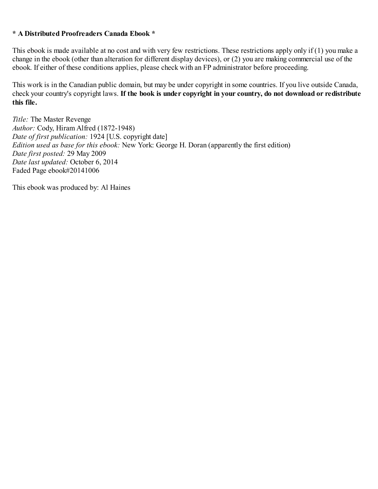#### <span id="page-0-0"></span>**\* A Distributed Proofreaders Canada Ebook \***

This ebook is made available at no cost and with very few restrictions. These restrictions apply only if (1) you make a change in the ebook (other than alteration for different display devices), or (2) you are making commercial use of the ebook. If either of these conditions applies, please check with an FP administrator before proceeding.

This work is in the Canadian public domain, but may be under copyright in some countries. If you live outside Canada, check your country's copyright laws. **If the book is under copyright in your country, do not download or redistribute this file.**

*Title:* The Master Revenge *Author:* Cody, Hiram Alfred (1872-1948) *Date of first publication:* 1924 [U.S. copyright date] *Edition used as base for this ebook:* New York: George H. Doran (apparently the first edition) *Date first posted:* 29 May 2009 *Date last updated:* October 6, 2014 Faded Page ebook#20141006

This ebook was produced by: Al Haines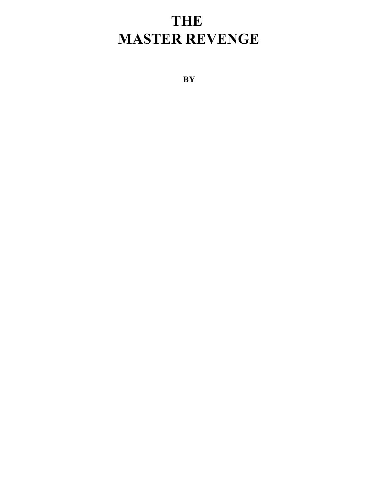# **THE MASTER REVENGE**

**BY**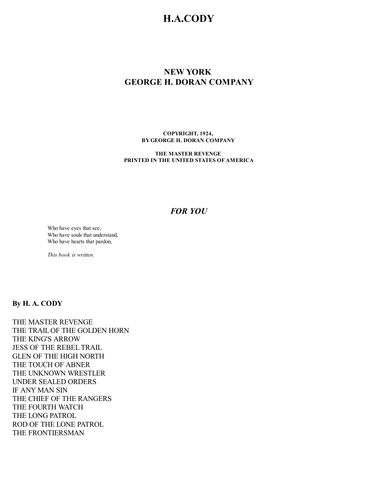## **H.A.CODY**

## **NEW YORK GEORGE H. DORAN COMPANY**

**COPYRIGHT, 1924, BYGEORGE H. DORAN COMPANY**

**THE MASTER REVENGE PRINTED IN THE UNITED STATES OF AMERICA**

## *FOR YOU*

Who have eyes that see, Who have souls that understand, Who have hearts that pardon,

*This book is written.*

## **By H. A. CODY**

THE MASTER REVENGE THE TRAILOF THE GOLDEN HORN THE KING'S ARROW JESS OF THE REBELTRAIL GLEN OF THE HIGH NORTH THE TOUCH OF ABNER THE UNKNOWN WRESTLER UNDER SEALED ORDERS IF ANY MAN SIN THE CHIEF OF THE RANGERS THE FOURTH WATCH THE LONG PATROL ROD OF THE LONE PATROL THE FRONTIERSMAN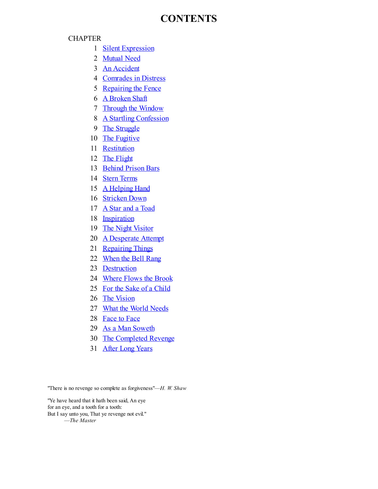## **CONTENTS**

#### **CHAPTER**

- 1 **Silent [Expression](#page-3-0)**
- 2 [Mutual](#page-7-0) Need
- 3 An [Accident](#page-10-0)
- 4 [Comrades](#page-14-0) in Distress
- 5 [Repairing](#page-19-0) the Fence
- 6 A [Broken](#page-21-0) Shaft
- 7 Through the [Window](#page-25-0)
- 8 A Startling [Confession](#page-28-0)
- 9 The [Struggle](#page-32-0)
- 10 The [Fugitive](#page-34-0)
- 11 [Restitution](#page-38-0)
- 12 The [Flight](#page-43-0)
- 13 [Behind](#page-47-0) Prison Bars
- 14 Stern [Terms](#page-49-0)
- 15 A [Helping](#page-55-0) Hand
- 16 [Stricken](#page-60-0) Down
- 17 A Star and a [Toad](#page-63-0)
- 18 [Inspiration](#page-66-0)
- 19 The Night [Visitor](#page-68-0)
- 20 A [Desperate](#page-72-0) Attempt
- 21 [Repairing](#page-76-0) Things
- 22 [When](#page-80-0) the Bell Rang
- 23 [Destruction](#page-82-0)
- 24 [Where](#page-86-0) Flows the Brook
- 25 For the Sake of a [Child](#page-89-0)
- 26 The [Vision](#page-93-0)
- 27 What the World [Needs](#page-97-0)
- 28 [Face](#page-101-0) to Face
- 29 As a Man [Soweth](#page-104-0)
- 30 The [Completed](#page-108-0) Revenge
- 31 After Long [Years](#page-112-0)

<span id="page-3-0"></span>"There is no revenge so complete as forgiveness"—*H. W. Shaw*

"Ye have heard that it hath been said, An eye for an eye, and a tooth for a tooth: But I say unto you, That ye revenge not evil." —*The Master*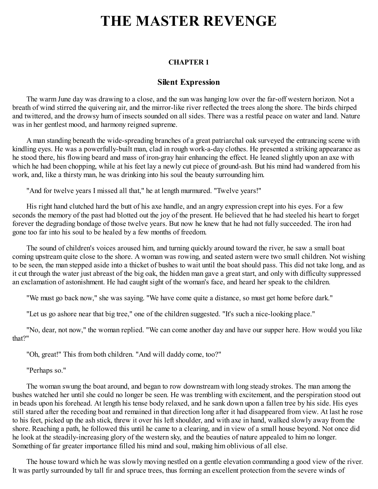# **THE MASTER REVENGE**

#### **CHAPTER 1**

#### **Silent Expression**

The warm June day was drawing to a close, and the sun was hanging low over the far-off western horizon. Not a breath of wind stirred the quivering air, and the mirror-like river reflected the trees along the shore. The birds chirped and twittered, and the drowsy hum of insects sounded on all sides. There was a restful peace on water and land. Nature was in her gentlest mood, and harmony reigned supreme.

A man standing beneath the wide-spreading branches of a great patriarchal oak surveyed the entrancing scene with kindling eyes. He was a powerfully-built man, clad in rough work-a-day clothes. He presented a striking appearance as he stood there, his flowing beard and mass of iron-gray hair enhancing the effect. He leaned slightly upon an axe with which he had been chopping, while at his feet lay a newly cut piece of ground-ash. But his mind had wandered from his work, and, like a thirsty man, he was drinking into his soul the beauty surrounding him.

"And for twelve years I missed all that," he at length murmured. "Twelve years!"

His right hand clutched hard the butt of his axe handle, and an angry expression crept into his eyes. For a few seconds the memory of the past had blotted out the joy of the present. He believed that he had steeled his heart to forget forever the degrading bondage of those twelve years. But now he knew that he had not fully succeeded. The iron had gone too far into his soul to be healed by a few months of freedom.

The sound of children's voices aroused him, and turning quickly around toward the river, he saw a small boat coming upstream quite close to the shore. A woman was rowing, and seated astern were two small children. Not wishing to be seen, the man stepped aside into a thicket of bushes to wait until the boat should pass. This did not take long, and as it cut through the water just abreast of the big oak, the hidden man gave a great start, and only with difficulty suppressed an exclamation of astonishment. He had caught sight of the woman's face, and heard her speak to the children.

"We must go back now," she was saying. "We have come quite a distance, so must get home before dark."

"Let us go ashore near that big tree," one of the children suggested. "It's such a nice-looking place."

"No, dear, not now," the woman replied. "We can come another day and have our supper here. How would you like that?"

"Oh, great!" This from both children. "And will daddy come, too?"

"Perhaps so."

The woman swung the boat around, and began to row downstream with long steady strokes. The man among the bushes watched her until she could no longer be seen. He was trembling with excitement, and the perspiration stood out in beads upon his forehead. At length his tense body relaxed, and he sank down upon a fallen tree by his side. His eyes still stared after the receding boat and remained in that direction long after it had disappeared from view. At last he rose to his feet, picked up the ash stick, threw it over his left shoulder, and with axe in hand, walked slowly away from the shore. Reaching a path, he followed this until he came to a clearing, and in view of a small house beyond. Not once did he look at the steadily-increasing glory of the western sky, and the beauties of nature appealed to him no longer. Something of far greater importance filled his mind and soul, making him oblivious of all else.

The house toward which he was slowly moving nestled on a gentle elevation commanding a good view of the river. It was partly surrounded by tall fir and spruce trees, thus forming an excellent protection from the severe winds of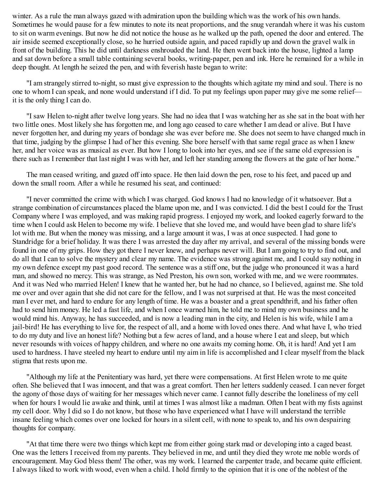winter. As a rule the man always gazed with admiration upon the building which was the work of his own hands. Sometimes he would pause for a few minutes to note its neat proportions, and the snug verandah where it was his custom to sit on warm evenings. But now he did not notice the house as he walked up the path, opened the door and entered. The air inside seemed exceptionally close, so he hurried outside again, and paced rapidly up and down the gravel walk in front of the building. This he did until darkness enshrouded the land. He then went back into the house, lighted a lamp and sat down before a small table containing several books, writing-paper, pen and ink. Here he remained for a while in deep thought. At length he seized the pen, and with feverish haste began to write:

"I am strangely stirred to-night, so must give expression to the thoughts which agitate my mind and soul. There is no one to whom I can speak, and none would understand if I did. To put my feelings upon paper may give me some relief it is the only thing I can do.

"I saw Helen to-night after twelve long years. She had no idea that I was watching her as she sat in the boat with her two little ones. Most likely she has forgotten me, and long ago ceased to care whether I am dead or alive. But I have never forgotten her, and during my years of bondage she was ever before me. She does not seem to have changed much in that time, judging by the glimpse I had of her this evening. She bore herself with that same regal grace as when I knew her, and her voice was as musical as ever. But how I long to look into her eyes, and see if the same old expression is there such as I remember that last night I was with her, and left her standing among the flowers at the gate of her home."

The man ceased writing, and gazed off into space. He then laid down the pen, rose to his feet, and paced up and down the small room. After a while he resumed his seat, and continued:

"I never committed the crime with which I was charged. God knows I had no knowledge of it whatsoever. But a strange combination of circumstances placed the blame upon me, and I was convicted. I did the best I could for the Trust Company where I was employed, and was making rapid progress. I enjoyed my work, and looked eagerly forward to the time when I could ask Helen to become my wife. I believe that she loved me, and would have been glad to share life's lot with me. But when the money was missing, and a large amount it was, I was at once suspected. I had gone to Standridge for a brief holiday. It was there I was arrested the day after my arrival, and several of the missing bonds were found in one of my grips. How they got there I never knew, and perhaps never will. But I am going to try to find out, and do all that I can to solve the mystery and clear my name. The evidence was strong against me, and I could say nothing in my own defence except my past good record. The sentence was a stiff one, but the judge who pronounced it was a hard man, and showed no mercy. This was strange, as Ned Preston, his own son, worked with me, and we were roommates. And it was Ned who married Helen! I knew that he wanted her, but he had no chance, so I believed, against me. She told me over and over again that she did not care for the fellow, and I was not surprised at that. He was the most conceited man I ever met, and hard to endure for any length of time. He was a boaster and a great spendthrift, and his father often had to send him money. He led a fast life, and when I once warned him, he told me to mind my own business and he would mind his. Anyway, he has succeeded, and is now a leading man in the city, and Helen is his wife, while I am a jail-bird! He has everything to live for, the respect of all, and a home with loved ones there. And what have I, who tried to do my duty and live an honest life? Nothing but a few acres of land, and a house where I eat and sleep, but which never resounds with voices of happy children, and where no one awaits my coming home. Oh, it is hard! And yet I am used to hardness. I have steeled my heart to endure until my aim in life is accomplished and I clear myself from the black stigma that rests upon me.

"Although my life at the Penitentiary was hard, yet there were compensations. At first Helen wrote to me quite often. She believed that I was innocent, and that was a great comfort. Then her letters suddenly ceased. I can never forget the agony of those days of waiting for her messages which never came. I cannot fully describe the loneliness of my cell when for hours I would lie awake and think, until at times I was almost like a madman. Often I beat with my fists against my cell door. Why I did so I do not know, but those who have experienced what I have will understand the terrible insane feeling which comes over one locked for hours in a silent cell, with none to speak to, and his own despairing thoughts for company.

"At that time there were two things which kept me from either going stark mad or developing into a caged beast. One was the letters I received from my parents. They believed in me, and until they died they wrote me noble words of encouragement. May God bless them! The other, was my work. I learned the carpenter trade, and became quite efficient. I always liked to work with wood, even when a child. I hold firmly to the opinion that it is one of the noblest of the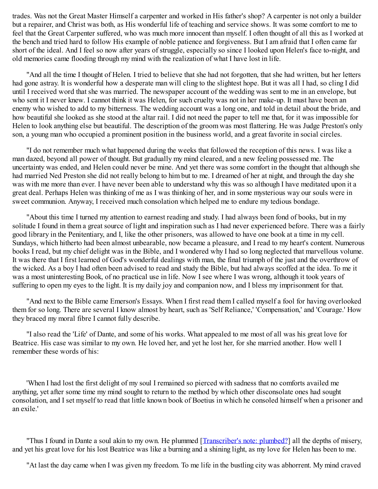trades. Was not the Great Master Himself a carpenter and worked in His father's shop? A carpenter is not only a builder but a repairer, and Christ was both, as His wonderful life of teaching and service shows. It was some comfort to me to feel that the Great Carpenter suffered, who was much more innocent than myself. I often thought of all this as I worked at the bench and tried hard to follow His example of noble patience and forgiveness. But I am afraid that I often came far short of the ideal. And I feel so now after years of struggle, especially so since I looked upon Helen's face to-night, and old memories came flooding through my mind with the realization of what I have lost in life.

"And all the time I thought of Helen. I tried to believe that she had not forgotten, that she had written, but her letters had gone astray. It is wonderful how a desperate man will cling to the slightest hope. But it was all I had, so cling I did until I received word that she was married. The newspaper account of the wedding was sent to me in an envelope, but who sent it I never knew. I cannot think it was Helen, for such cruelty was not in her make-up. It must have been an enemy who wished to add to my bitterness. The wedding account was a long one, and told in detail about the bride, and how beautiful she looked as she stood at the altar rail. I did not need the paper to tell me that, for it was impossible for Helen to look anything else but beautiful. The description of the groom was most flattering. He was Judge Preston's only son, a young man who occupied a prominent position in the business world, and a great favorite in social circles.

"I do not remember much what happened during the weeks that followed the reception of this news. I was like a man dazed, beyond all power of thought. But gradually my mind cleared, and a new feeling possessed me. The uncertainty was ended, and Helen could never be mine. And yet there was some comfort in the thought that although she had married Ned Preston she did not really belong to him but to me. I dreamed of her at night, and through the day she was with me more than ever. I have never been able to understand why this was so although I have meditated upon it a great deal. Perhaps Helen was thinking of me as I was thinking of her, and in some mysterious way our souls were in sweet communion. Anyway, I received much consolation which helped me to endure my tedious bondage.

"About this time I turned my attention to earnest reading and study. I had always been fond of books, but in my solitude I found in them a great source of light and inspiration such as I had never experienced before. There was a fairly good library in the Penitentiary, and I, like the other prisoners, was allowed to have one book at a time in my cell. Sundays, which hitherto had been almost unbearable, now became a pleasure, and I read to my heart's content. Numerous books I read, but my chief delight was in the Bible, and I wondered why I had so long neglected that marvellous volume. It was there that I first learned of God's wonderful dealings with man, the final triumph of the just and the overthrow of the wicked. As a boy I had often been advised to read and study the Bible, but had always scoffed at the idea. To me it was a most uninteresting Book, of no practical use in life. Now I see where I was wrong, although it took years of suffering to open my eyes to the light. It is my daily joy and companion now, and I bless my imprisonment for that.

"And next to the Bible came Emerson's Essays. When I first read them I called myself a fool for having overlooked them for so long. There are several I know almost by heart, such as 'Self Reliance,' 'Compensation,' and 'Courage.' How they braced my moral fibre I cannot fully describe.

"I also read the 'Life' of Dante, and some of his works. What appealed to me most of all was his great love for Beatrice. His case was similar to my own. He loved her, and yet he lost her, for she married another. How well I remember these words of his:

'When I had lost the first delight of my soul I remained so pierced with sadness that no comforts availed me anything, yet after some time my mind sought to return to the method by which other disconsolate ones had sought consolation, and I set myself to read that little known book of Boetius in which he consoled himself when a prisoner and an exile.'

"Thus I found in Dante a soul akin to my own. He plummed [[Transcriber's](#page-0-0) note: plumbed?] all the depths of misery, and yet his great love for his lost Beatrice was like a burning and a shining light, as my love for Helen has been to me.

"At last the day came when I was given my freedom. To me life in the bustling city was abhorrent. My mind craved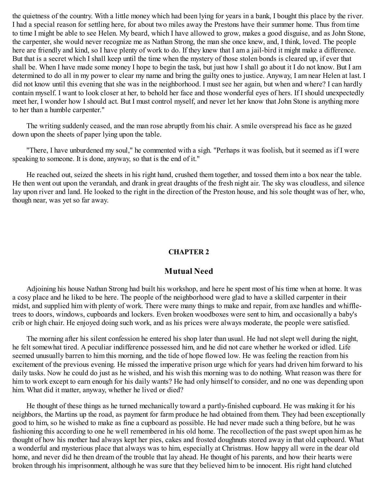the quietness of the country. With a little money which had been lying for years in a bank, I bought this place by the river. I had a special reason for settling here, for about two miles away the Prestons have their summer home. Thus from time to time I might be able to see Helen. My beard, which I have allowed to grow, makes a good disguise, and as John Stone, the carpenter, she would never recognize me as Nathan Strong, the man she once knew, and, I think, loved. The people here are friendly and kind, so I have plenty of work to do. If they knew that I am a jail-bird it might make a difference. But that is a secret which I shall keep until the time when the mystery of those stolen bonds is cleared up, if ever that shall be. When I have made some money I hope to begin the task, but just how I shall go about it I do not know. But I am determined to do all in my power to clear my name and bring the guilty ones to justice. Anyway, I am near Helen at last. I did not know until this evening that she was in the neighborhood. I must see her again, but when and where? I can hardly contain myself. I want to look closer at her, to behold her face and those wonderful eyes of hers. If I should unexpectedly meet her, I wonder how I should act. But I must control myself, and never let her know that John Stone is anything more to her than a humble carpenter."

The writing suddenly ceased, and the man rose abruptly from his chair. A smile overspread his face as he gazed down upon the sheets of paper lying upon the table.

"There, I have unburdened my soul," he commented with a sigh. "Perhaps it was foolish, but it seemed as if I were speaking to someone. It is done, anyway, so that is the end of it."

<span id="page-7-0"></span>He reached out, seized the sheets in his right hand, crushed them together, and tossed them into a box near the table. He then went out upon the verandah, and drank in great draughts of the fresh night air. The sky was cloudless, and silence lay upon river and land. He looked to the right in the direction of the Preston house, and his sole thought was of her, who, though near, was yet so far away.

#### **CHAPTER 2**

#### **Mutual Need**

Adjoining his house Nathan Strong had built his workshop, and here he spent most of his time when at home. It was a cosy place and he liked to be here. The people of the neighborhood were glad to have a skilled carpenter in their midst, and supplied him with plenty of work. There were many things to make and repair, from axe handles and whiffletrees to doors, windows, cupboards and lockers. Even broken woodboxes were sent to him, and occasionally a baby's crib or high chair. He enjoyed doing such work, and as his prices were always moderate, the people were satisfied.

The morning after his silent confession he entered his shop later than usual. He had not slept well during the night, he felt somewhat tired. A peculiar indifference possessed him, and he did not care whether he worked or idled. Life seemed unusually barren to him this morning, and the tide of hope flowed low. He was feeling the reaction from his excitement of the previous evening. He missed the imperative prison urge which for years had driven him forward to his daily tasks. Now he could do just as he wished, and his wish this morning was to do nothing. What reason was there for him to work except to earn enough for his daily wants? He had only himself to consider, and no one was depending upon him. What did it matter, anyway, whether he lived or died?

He thought of these things as he turned mechanically toward a partly-finished cupboard. He was making it for his neighbors, the Martins up the road, as payment for farm produce he had obtained from them. They had been exceptionally good to him, so he wished to make as fine a cupboard as possible. He had never made such a thing before, but he was fashioning this according to one he well remembered in his old home. The recollection of the past swept upon him as he thought of how his mother had always kept her pies, cakes and frosted doughnuts stored away in that old cupboard. What a wonderful and mysterious place that always was to him, especially at Christmas. How happy all were in the dear old home, and never did he then dream of the trouble that lay ahead. He thought of his parents, and how their hearts were broken through his imprisonment, although he was sure that they believed him to be innocent. His right hand clutched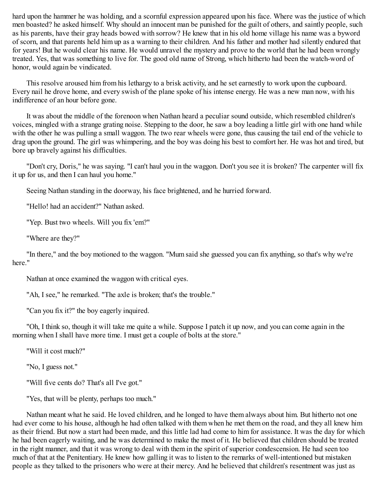hard upon the hammer he was holding, and a scornful expression appeared upon his face. Where was the justice of which men boasted? he asked himself. Why should an innocent man be punished for the guilt of others, and saintly people, such as his parents, have their gray heads bowed with sorrow? He knew that in his old home village his name was a byword of scorn, and that parents held him up as a warning to their children. And his father and mother had silently endured that for years! But he would clear his name. He would unravel the mystery and prove to the world that he had been wrongly treated. Yes, that was something to live for. The good old name of Strong, which hitherto had been the watch-word of honor, would again be vindicated.

This resolve aroused him from his lethargy to a brisk activity, and he set earnestly to work upon the cupboard. Every nail he drove home, and every swish of the plane spoke of his intense energy. He was a new man now, with his indifference of an hour before gone.

It was about the middle of the forenoon when Nathan heard a peculiar sound outside, which resembled children's voices, mingled with a strange grating noise. Stepping to the door, he saw a boy leading a little girl with one hand while with the other he was pulling a small waggon. The two rear wheels were gone, thus causing the tail end of the vehicle to drag upon the ground. The girl was whimpering, and the boy was doing his best to comfort her. He was hot and tired, but bore up bravely against his difficulties.

"Don't cry, Doris," he was saying. "I can't haul you in the waggon. Don't you see it is broken? The carpenter will fix it up for us, and then I can haul you home."

Seeing Nathan standing in the doorway, his face brightened, and he hurried forward.

"Hello! had an accident?" Nathan asked.

"Yep. Bust two wheels. Will you fix 'em?"

"Where are they?"

"In there," and the boy motioned to the waggon. "Mum said she guessed you can fix anything, so that's why we're here"

Nathan at once examined the waggon with critical eyes.

"Ah, I see," he remarked. "The axle is broken; that's the trouble."

"Can you fix it?" the boy eagerly inquired.

"Oh, I think so, though it will take me quite a while. Suppose I patch it up now, and you can come again in the morning when I shall have more time. I must get a couple of bolts at the store."

"Will it cost much?"

"No, I guess not."

"Will five cents do? That's all I've got."

"Yes, that will be plenty, perhaps too much."

Nathan meant what he said. He loved children, and he longed to have them always about him. But hitherto not one had ever come to his house, although he had often talked with them when he met them on the road, and they all knew him as their friend. But now a start had been made, and this little lad had come to him for assistance. It was the day for which he had been eagerly waiting, and he was determined to make the most of it. He believed that children should be treated in the right manner, and that it was wrong to deal with them in the spirit of superior condescension. He had seen too much of that at the Penitentiary. He knew how galling it was to listen to the remarks of well-intentioned but mistaken people as they talked to the prisoners who were at their mercy. And he believed that children's resentment was just as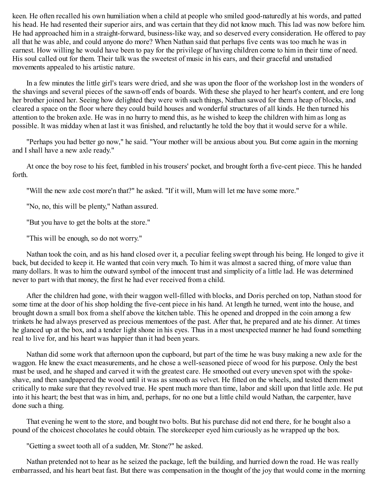keen. He often recalled his own humiliation when a child at people who smiled good-naturedly at his words, and patted his head. He had resented their superior airs, and was certain that they did not know much. This lad was now before him. He had approached him in a straight-forward, business-like way, and so deserved every consideration. He offered to pay all that he was able, and could anyone do more? When Nathan said that perhaps five cents was too much he was in earnest. How willing he would have been to pay for the privilege of having children come to him in their time of need. His soul called out for them. Their talk was the sweetest of music in his ears, and their graceful and unstudied movements appealed to his artistic nature.

In a few minutes the little girl's tears were dried, and she was upon the floor of the workshop lost in the wonders of the shavings and several pieces of the sawn-off ends of boards. With these she played to her heart's content, and ere long her brother joined her. Seeing how delighted they were with such things, Nathan sawed for them a heap of blocks, and cleared a space on the floor where they could build houses and wonderful structures of all kinds. He then turned his attention to the broken axle. He was in no hurry to mend this, as he wished to keep the children with him as long as possible. It was midday when at last it was finished, and reluctantly he told the boy that it would serve for a while.

"Perhaps you had better go now," he said. "Your mother will be anxious about you. But come again in the morning and I shall have a new axle ready."

At once the boy rose to his feet, fumbled in his trousers' pocket, and brought forth a five-cent piece. This he handed forth.

"Will the new axle cost more'n that?" he asked. "If it will, Mum will let me have some more."

"No, no, this will be plenty," Nathan assured.

"But you have to get the bolts at the store."

"This will be enough, so do not worry."

Nathan took the coin, and as his hand closed over it, a peculiar feeling swept through his being. He longed to give it back, but decided to keep it. He wanted that coin very much. To him it was almost a sacred thing, of more value than many dollars. It was to him the outward symbol of the innocent trust and simplicity of a little lad. He was determined never to part with that money, the first he had ever received from a child.

After the children had gone, with their waggon well-filled with blocks, and Doris perched on top, Nathan stood for some time at the door of his shop holding the five-cent piece in his hand. At length he turned, went into the house, and brought down a small box from a shelf above the kitchen table. This he opened and dropped in the coin among a few trinkets he had always preserved as precious mementoes of the past. After that, he prepared and ate his dinner. At times he glanced up at the box, and a tender light shone in his eyes. Thus in a most unexpected manner he had found something real to live for, and his heart was happier than it had been years.

Nathan did some work that afternoon upon the cupboard, but part of the time he was busy making a new axle for the waggon. He knew the exact measurements, and he chose a well-seasoned piece of wood for his purpose. Only the best must be used, and he shaped and carved it with the greatest care. He smoothed out every uneven spot with the spokeshave, and then sandpapered the wood until it was as smooth as velvet. He fitted on the wheels, and tested them most critically to make sure that they revolved true. He spent much more than time, labor and skill upon that little axle. He put into it his heart; the best that was in him, and, perhaps, for no one but a little child would Nathan, the carpenter, have done such a thing.

That evening he went to the store, and bought two bolts. But his purchase did not end there, for he bought also a pound of the choicest chocolates he could obtain. The storekeeper eyed him curiously as he wrapped up the box.

"Getting a sweet tooth all of a sudden, Mr. Stone?" he asked.

Nathan pretended not to hear as he seized the package, left the building, and hurried down the road. He was really embarrassed, and his heart beat fast. But there was compensation in the thought of the joy that would come in the morning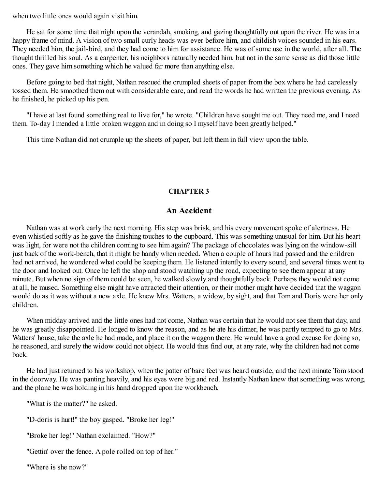when two little ones would again visit him.

He sat for some time that night upon the verandah, smoking, and gazing thoughtfully out upon the river. He was in a happy frame of mind. A vision of two small curly heads was ever before him, and childish voices sounded in his ears. They needed him, the jail-bird, and they had come to him for assistance. He was of some use in the world, after all. The thought thrilled his soul. As a carpenter, his neighbors naturally needed him, but not in the same sense as did those little ones. They gave him something which he valued far more than anything else.

Before going to bed that night, Nathan rescued the crumpled sheets of paper from the box where he had carelessly tossed them. He smoothed them out with considerable care, and read the words he had written the previous evening. As he finished, he picked up his pen.

"I have at last found something real to live for," he wrote. "Children have sought me out. They need me, and I need them. To-day I mended a little broken waggon and in doing so I myself have been greatly helped."

<span id="page-10-0"></span>This time Nathan did not crumple up the sheets of paper, but left them in full view upon the table.

#### **CHAPTER 3**

## **An Accident**

Nathan was at work early the next morning. His step was brisk, and his every movement spoke of alertness. He even whistled softly as he gave the finishing touches to the cupboard. This was something unusual for him. But his heart was light, for were not the children coming to see him again? The package of chocolates was lying on the window-sill just back of the work-bench, that it might be handy when needed. When a couple of hours had passed and the children had not arrived, he wondered what could be keeping them. He listened intently to every sound, and several times went to the door and looked out. Once he left the shop and stood watching up the road, expecting to see them appear at any minute. But when no sign of them could be seen, he walked slowly and thoughtfully back. Perhaps they would not come at all, he mused. Something else might have attracted their attention, or their mother might have decided that the waggon would do as it was without a new axle. He knew Mrs. Watters, a widow, by sight, and that Tom and Doris were her only children.

When midday arrived and the little ones had not come, Nathan was certain that he would not see them that day, and he was greatly disappointed. He longed to know the reason, and as he ate his dinner, he was partly tempted to go to Mrs. Watters' house, take the axle he had made, and place it on the waggon there. He would have a good excuse for doing so, he reasoned, and surely the widow could not object. He would thus find out, at any rate, why the children had not come back.

He had just returned to his workshop, when the patter of bare feet was heard outside, and the next minute Tom stood in the doorway. He was panting heavily, and his eyes were big and red. Instantly Nathan knew that something was wrong, and the plane he was holding in his hand dropped upon the workbench.

"What is the matter?" he asked.

"D-doris is hurt!" the boy gasped. "Broke her leg!"

"Broke her leg!" Nathan exclaimed. "How?"

"Gettin' over the fence. A pole rolled on top of her."

"Where is she now?"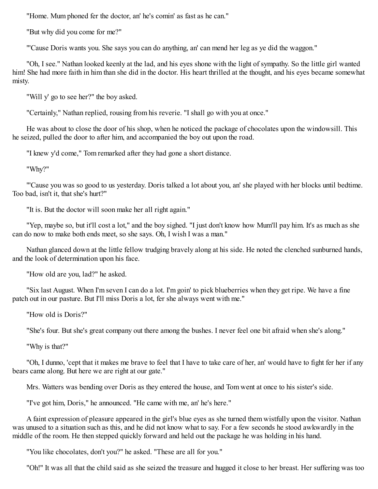"Home. Mum phoned fer the doctor, an' he's comin' as fast as he can."

"But why did you come for me?"

"'Cause Doris wants you. She says you can do anything, an' can mend her leg as ye did the waggon."

"Oh, I see." Nathan looked keenly at the lad, and his eyes shone with the light of sympathy. So the little girl wanted him! She had more faith in him than she did in the doctor. His heart thrilled at the thought, and his eyes became somewhat misty.

"Will y' go to see her?" the boy asked.

"Certainly," Nathan replied, rousing from his reverie. "I shall go with you at once."

He was about to close the door of his shop, when he noticed the package of chocolates upon the windowsill. This he seized, pulled the door to after him, and accompanied the boy out upon the road.

"I knew y'd come," Tom remarked after they had gone a short distance.

"Why?"

"'Cause you was so good to us yesterday. Doris talked a lot about you, an' she played with her blocks until bedtime. Too bad, isn't it, that she's hurt?"

"It is. But the doctor will soon make her all right again."

"Yep, maybe so, but it'll cost a lot," and the boy sighed. "I just don't know how Mum'll pay him. It's as much as she can do now to make both ends meet, so she says. Oh, I wish I was a man."

Nathan glanced down at the little fellow trudging bravely along at his side. He noted the clenched sunburned hands, and the look of determination upon his face.

"How old are you, lad?" he asked.

"Six last August. When I'm seven I can do a lot. I'm goin' to pick blueberries when they get ripe. We have a fine patch out in our pasture. But I'll miss Doris a lot, fer she always went with me."

"How old is Doris?"

"She's four. But she's great company out there among the bushes. I never feel one bit afraid when she's along."

"Why is that?"

"Oh, I dunno, 'cept that it makes me brave to feel that I have to take care of her, an' would have to fight fer her if any bears came along. But here we are right at our gate."

Mrs. Watters was bending over Doris as they entered the house, and Tom went at once to his sister's side.

"I've got him, Doris," he announced. "He came with me, an' he's here."

A faint expression of pleasure appeared in the girl's blue eyes as she turned them wistfully upon the visitor. Nathan was unused to a situation such as this, and he did not know what to say. For a few seconds he stood awkwardly in the middle of the room. He then stepped quickly forward and held out the package he was holding in his hand.

"You like chocolates, don't you?" he asked. "These are all for you."

"Oh!" It was all that the child said as she seized the treasure and hugged it close to her breast. Her suffering was too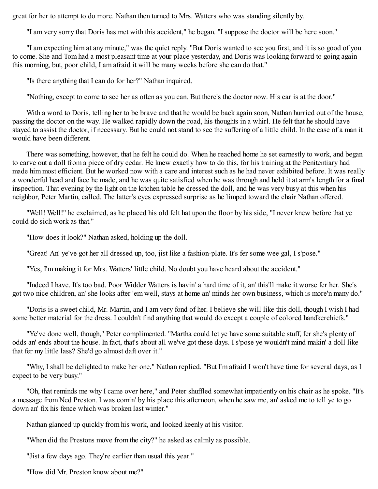great for her to attempt to do more. Nathan then turned to Mrs. Watters who was standing silently by.

"I am very sorry that Doris has met with this accident," he began. "I suppose the doctor will be here soon."

"I am expecting him at any minute," was the quiet reply. "But Doris wanted to see you first, and it is so good of you to come. She and Tom had a most pleasant time at your place yesterday, and Doris was looking forward to going again this morning, but, poor child, I am afraid it will be many weeks before she can do that."

"Is there anything that I can do for her?" Nathan inquired.

"Nothing, except to come to see her as often as you can. But there's the doctor now. His car is at the door."

With a word to Doris, telling her to be brave and that he would be back again soon, Nathan hurried out of the house, passing the doctor on the way. He walked rapidly down the road, his thoughts in a whirl. He felt that he should have stayed to assist the doctor, if necessary. But he could not stand to see the suffering of a little child. In the case of a man it would have been different.

There was something, however, that he felt he could do. When he reached home he set earnestly to work, and began to carve out a doll from a piece of dry cedar. He knew exactly how to do this, for his training at the Penitentiary had made him most efficient. But he worked now with a care and interest such as he had never exhibited before. It was really a wonderful head and face he made, and he was quite satisfied when he was through and held it at arm's length for a final inspection. That evening by the light on the kitchen table he dressed the doll, and he was very busy at this when his neighbor, Peter Martin, called. The latter's eyes expressed surprise as he limped toward the chair Nathan offered.

"Well! Well!" he exclaimed, as he placed his old felt hat upon the floor by his side, "I never knew before that ye could do sich work as that."

"How does it look?" Nathan asked, holding up the doll.

"Great! An' ye've got her all dressed up, too, jist like a fashion-plate. It's fer some wee gal, I s'pose."

"Yes, I'm making it for Mrs. Watters' little child. No doubt you have heard about the accident."

"Indeed I have. It's too bad. Poor Widder Watters is havin' a hard time of it, an' this'll make it worse fer her. She's got two nice children, an' she looks after 'em well, stays at home an' minds her own business, which is more'n many do."

"Doris is a sweet child, Mr. Martin, and I am very fond of her. I believe she will like this doll, though I wish I had some better material for the dress. I couldn't find anything that would do except a couple of colored handkerchiefs."

"Ye've done well, though," Peter complimented. "Martha could let ye have some suitable stuff, fer she's plenty of odds an' ends about the house. In fact, that's about all we've got these days. I s'pose ye wouldn't mind makin' a doll like that fer my little lass? She'd go almost daft over it."

"Why, I shall be delighted to make her one," Nathan replied. "But I'm afraid I won't have time for several days, as I expect to be very busy."

"Oh, that reminds me why I came over here," and Peter shuffled somewhat impatiently on his chair as he spoke. "It's a message from Ned Preston. I was comin' by his place this afternoon, when he saw me, an' asked me to tell ye to go down an' fix his fence which was broken last winter."

Nathan glanced up quickly from his work, and looked keenly at his visitor.

"When did the Prestons move from the city?" he asked as calmly as possible.

"Jist a few days ago. They're earlier than usual this year."

"How did Mr. Preston know about me?"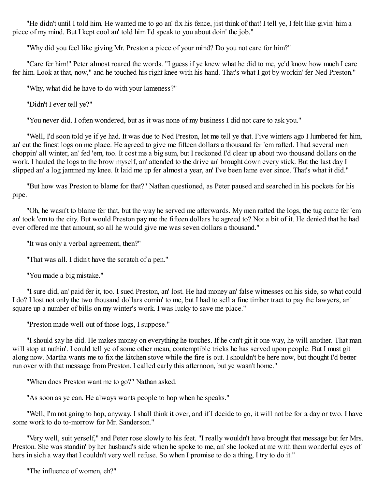"He didn't until I told him. He wanted me to go an' fix his fence, jist think of that! I tell ye, I felt like givin' him a piece of my mind. But I kept cool an' told him I'd speak to you about doin' the job."

"Why did you feel like giving Mr. Preston a piece of your mind? Do you not care for him?"

"Care fer him!" Peter almost roared the words. "I guess if ye knew what he did to me, ye'd know how much I care fer him. Look at that, now," and he touched his right knee with his hand. That's what I got by workin' fer Ned Preston."

"Why, what did he have to do with your lameness?"

"Didn't I ever tell ye?"

"You never did. I often wondered, but as it was none of my business I did not care to ask you."

"Well, I'd soon told ye if ye had. It was due to Ned Preston, let me tell ye that. Five winters ago I lumbered fer him, an' cut the finest logs on me place. He agreed to give me fifteen dollars a thousand fer 'em rafted. I had several men choppin' all winter, an' fed 'em, too. It cost me a big sum, but I reckoned I'd clear up about two thousand dollars on the work. I hauled the logs to the brow myself, an' attended to the drive an' brought down every stick. But the last day I slipped an' a log jammed my knee. It laid me up fer almost a year, an' I've been lame ever since. That's what it did."

"But how was Preston to blame for that?" Nathan questioned, as Peter paused and searched in his pockets for his pipe.

"Oh, he wasn't to blame fer that, but the way he served me afterwards. My men rafted the logs, the tug came fer 'em an' took 'em to the city. But would Preston pay me the fifteen dollars he agreed to? Not a bit of it. He denied that he had ever offered me that amount, so all he would give me was seven dollars a thousand."

"It was only a verbal agreement, then?"

"That was all. I didn't have the scratch of a pen."

"You made a big mistake."

"I sure did, an' paid fer it, too. I sued Preston, an' lost. He had money an' false witnesses on his side, so what could I do? I lost not only the two thousand dollars comin' to me, but I had to sell a fine timber tract to pay the lawyers, an' square up a number of bills on my winter's work. I was lucky to save me place."

"Preston made well out of those logs, I suppose."

"I should say he did. He makes money on everything he touches. If he can't git it one way, he will another. That man will stop at nuthin'. I could tell ye of some other mean, contemptible tricks he has served upon people. But I must git along now. Martha wants me to fix the kitchen stove while the fire is out. I shouldn't be here now, but thought I'd better run over with that message from Preston. I called early this afternoon, but ye wasn't home."

"When does Preston want me to go?" Nathan asked.

"As soon as ye can. He always wants people to hop when he speaks."

"Well, I'm not going to hop, anyway. I shall think it over, and if I decide to go, it will not be for a day or two. I have some work to do to-morrow for Mr. Sanderson."

"Very well, suit yerself," and Peter rose slowly to his feet. "I really wouldn't have brought that message but fer Mrs. Preston. She was standin' by her husband's side when he spoke to me, an' she looked at me with them wonderful eyes of hers in sich a way that I couldn't very well refuse. So when I promise to do a thing, I try to do it."

"The influence of women, eh?"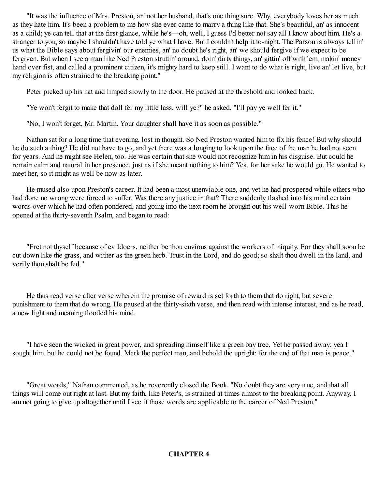"It was the influence of Mrs. Preston, an' not her husband, that's one thing sure. Why, everybody loves her as much as they hate him. It's been a problem to me how she ever came to marry a thing like that. She's beautiful, an' as innocent as a child; ye can tell that at the first glance, while he's—oh, well, I guess I'd better not say all I know about him. He's a stranger to you, so maybe I shouldn't have told ye what I have. But I couldn't help it to-night. The Parson is always tellin' us what the Bible says about fergivin' our enemies, an' no doubt he's right, an' we should fergive if we expect to be fergiven. But when I see a man like Ned Preston struttin' around, doin' dirty things, an' gittin' off with 'em, makin' money hand over fist, and called a prominent citizen, it's mighty hard to keep still. I want to do what is right, live an' let live, but my religion is often strained to the breaking point."

Peter picked up his hat and limped slowly to the door. He paused at the threshold and looked back.

"Ye won't fergit to make that doll fer my little lass, will ye?" he asked. "I'll pay ye well fer it."

"No, I won't forget, Mr. Martin. Your daughter shall have it as soon as possible."

Nathan sat for a long time that evening, lost in thought. So Ned Preston wanted him to fix his fence! But why should he do such a thing? He did not have to go, and yet there was a longing to look upon the face of the man he had not seen for years. And he might see Helen, too. He was certain that she would not recognize him in his disguise. But could he remain calm and natural in her presence, just as if she meant nothing to him? Yes, for her sake he would go. He wanted to meet her, so it might as well be now as later.

He mused also upon Preston's career. It had been a most unenviable one, and yet he had prospered while others who had done no wrong were forced to suffer. Was there any justice in that? There suddenly flashed into his mind certain words over which he had often pondered, and going into the next room he brought out his well-worn Bible. This he opened at the thirty-seventh Psalm, and began to read:

"Fret not thyself because of evildoers, neither be thou envious against the workers of iniquity. For they shall soon be cut down like the grass, and wither as the green herb. Trust in the Lord, and do good; so shalt thou dwell in the land, and verily thou shalt be fed."

He thus read verse after verse wherein the promise of reward is set forth to them that do right, but severe punishment to them that do wrong. He paused at the thirty-sixth verse, and then read with intense interest, and as he read, a new light and meaning flooded his mind.

"I have seen the wicked in great power, and spreading himself like a green bay tree. Yet he passed away; yea I sought him, but he could not be found. Mark the perfect man, and behold the upright: for the end of that man is peace."

<span id="page-14-0"></span>"Great words," Nathan commented, as he reverently closed the Book. "No doubt they are very true, and that all things will come out right at last. But my faith, like Peter's, is strained at times almost to the breaking point. Anyway, I am not going to give up altogether until I see if those words are applicable to the career of Ned Preston."

#### **CHAPTER 4**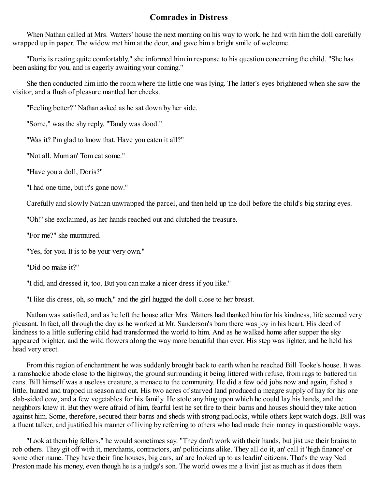## **Comrades in Distress**

When Nathan called at Mrs. Watters' house the next morning on his way to work, he had with him the doll carefully wrapped up in paper. The widow met him at the door, and gave him a bright smile of welcome.

"Doris is resting quite comfortably," she informed him in response to his question concerning the child. "She has been asking for you, and is eagerly awaiting your coming."

She then conducted him into the room where the little one was lying. The latter's eyes brightened when she saw the visitor, and a flush of pleasure mantled her cheeks.

"Feeling better?" Nathan asked as he sat down by her side.

"Some," was the shy reply. "Tandy was dood."

"Was it? I'm glad to know that. Have you eaten it all?"

"Not all. Mum an' Tom eat some."

"Have you a doll, Doris?"

"I had one time, but it's gone now."

Carefully and slowly Nathan unwrapped the parcel, and then held up the doll before the child's big staring eyes.

"Oh!" she exclaimed, as her hands reached out and clutched the treasure.

"For me?" she murmured.

"Yes, for you. It is to be your very own."

"Did oo make it?"

"I did, and dressed it, too. But you can make a nicer dress if you like."

"I like dis dress, oh, so much," and the girl hugged the doll close to her breast.

Nathan was satisfied, and as he left the house after Mrs. Watters had thanked him for his kindness, life seemed very pleasant. In fact, all through the day as he worked at Mr. Sanderson's barn there was joy in his heart. His deed of kindness to a little suffering child had transformed the world to him. And as he walked home after supper the sky appeared brighter, and the wild flowers along the way more beautiful than ever. His step was lighter, and he held his head very erect.

From this region of enchantment he was suddenly brought back to earth when he reached Bill Tooke's house. It was a ramshackle abode close to the highway, the ground surrounding it being littered with refuse, from rags to battered tin cans. Bill himself was a useless creature, a menace to the community. He did a few odd jobs now and again, fished a little, hunted and trapped in season and out. His two acres of starved land produced a meagre supply of hay for his one slab-sided cow, and a few vegetables for his family. He stole anything upon which he could lay his hands, and the neighbors knew it. But they were afraid of him, fearful lest he set fire to their barns and houses should they take action against him. Some, therefore, secured their barns and sheds with strong padlocks, while others kept watch dogs. Bill was a fluent talker, and justified his manner of living by referring to others who had made their money in questionable ways.

"Look at them big fellers," he would sometimes say. "They don't work with their hands, but jist use their brains to rob others. They git off with it, merchants, contractors, an' politicians alike. They all do it, an' call it 'high finance' or some other name. They have their fine houses, big cars, an' are looked up to as leadin' citizens. That's the way Ned Preston made his money, even though he is a judge's son. The world owes me a livin' jist as much as it does them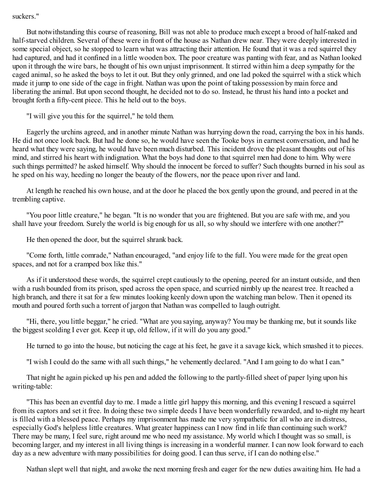#### suckers."

But notwithstanding this course of reasoning, Bill was not able to produce much except a brood of half-naked and half-starved children. Several of these were in front of the house as Nathan drew near. They were deeply interested in some special object, so he stopped to learn what was attracting their attention. He found that it was a red squirrel they had captured, and had it confined in a little wooden box. The poor creature was panting with fear, and as Nathan looked upon it through the wire bars, he thought of his own unjust imprisonment. It stirred within him a deep sympathy for the caged animal, so he asked the boys to let it out. But they only grinned, and one lad poked the squirrel with a stick which made it jump to one side of the cage in fright. Nathan was upon the point of taking possession by main force and liberating the animal. But upon second thought, he decided not to do so. Instead, he thrust his hand into a pocket and brought forth a fifty-cent piece. This he held out to the boys.

"I will give you this for the squirrel," he told them.

Eagerly the urchins agreed, and in another minute Nathan was hurrying down the road, carrying the box in his hands. He did not once look back. But had he done so, he would have seen the Tooke boys in earnest conversation, and had he heard what they were saying, he would have been much disturbed. This incident drove the pleasant thoughts out of his mind, and stirred his heart with indignation. What the boys had done to that squirrel men had done to him. Why were such things permitted? he asked himself. Why should the innocent be forced to suffer? Such thoughts burned in his soul as he sped on his way, heeding no longer the beauty of the flowers, nor the peace upon river and land.

At length he reached his own house, and at the door he placed the box gently upon the ground, and peered in at the trembling captive.

"You poor little creature," he began. "It is no wonder that you are frightened. But you are safe with me, and you shall have your freedom. Surely the world is big enough for us all, so why should we interfere with one another?"

He then opened the door, but the squirrel shrank back.

"Come forth, little comrade," Nathan encouraged, "and enjoy life to the full. You were made for the great open spaces, and not for a cramped box like this."

As if it understood these words, the squirrel crept cautiously to the opening, peered for an instant outside, and then with a rush bounded from its prison, sped across the open space, and scurried nimbly up the nearest tree. It reached a high branch, and there it sat for a few minutes looking keenly down upon the watching man below. Then it opened its mouth and poured forth such a torrent of jargon that Nathan was compelled to laugh outright.

"Hi, there, you little beggar," he cried. "What are you saying, anyway? You may be thanking me, but it sounds like the biggest scolding I ever got. Keep it up, old fellow, if it will do you any good."

He turned to go into the house, but noticing the cage at his feet, he gave it a savage kick, which smashed it to pieces.

"I wish I could do the same with all such things," he vehemently declared. "And I am going to do what I can."

That night he again picked up his pen and added the following to the partly-filled sheet of paper lying upon his writing-table:

"This has been an eventful day to me. I made a little girl happy this morning, and this evening I rescued a squirrel from its captors and set it free. In doing these two simple deeds I have been wonderfully rewarded, and to-night my heart is filled with a blessed peace. Perhaps my imprisonment has made me very sympathetic for all who are in distress, especially God's helpless little creatures. What greater happiness can I now find in life than continuing such work? There may be many, I feel sure, right around me who need my assistance. My world which I thought was so small, is becoming larger, and my interest in all living things is increasing in a wonderful manner. I can now look forward to each day as a new adventure with many possibilities for doing good. I can thus serve, if I can do nothing else."

Nathan slept well that night, and awoke the next morning fresh and eager for the new duties awaiting him. He had a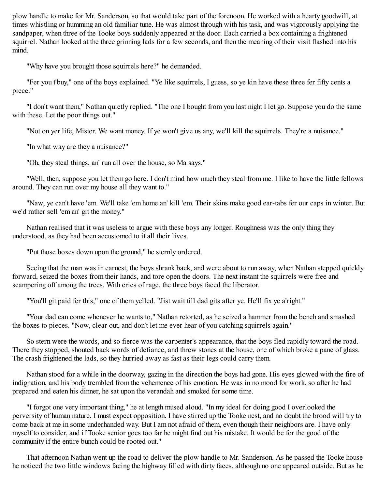plow handle to make for Mr. Sanderson, so that would take part of the forenoon. He worked with a hearty goodwill, at times whistling or humming an old familiar tune. He was almost through with his task, and was vigorously applying the sandpaper, when three of the Tooke boys suddenly appeared at the door. Each carried a box containing a frightened squirrel. Nathan looked at the three grinning lads for a few seconds, and then the meaning of their visit flashed into his mind.

"Why have you brought those squirrels here?" he demanded.

"Fer you t'buy," one of the boys explained. "Ye like squirrels, I guess, so ye kin have these three fer fifty cents a piece."

"I don't want them," Nathan quietly replied. "The one I bought from you last night I let go. Suppose you do the same with these. Let the poor things out."

"Not on yer life, Mister. We want money. If ye won't give us any, we'll kill the squirrels. They're a nuisance."

"In what way are they a nuisance?"

"Oh, they steal things, an' run all over the house, so Ma says."

"Well, then, suppose you let them go here. I don't mind how much they steal from me. I like to have the little fellows around. They can run over my house all they want to."

"Naw, ye can't have 'em. We'll take 'em home an' kill 'em. Their skins make good ear-tabs fer our caps in winter. But we'd rather sell 'em an' git the money."

Nathan realised that it was useless to argue with these boys any longer. Roughness was the only thing they understood, as they had been accustomed to it all their lives.

"Put those boxes down upon the ground," he sternly ordered.

Seeing that the man was in earnest, the boys shrank back, and were about to run away, when Nathan stepped quickly forward, seized the boxes from their hands, and tore open the doors. The next instant the squirrels were free and scampering off among the trees. With cries of rage, the three boys faced the liberator.

"You'll git paid fer this," one of them yelled. "Jist wait till dad gits after ye. He'll fix ye a'right."

"Your dad can come whenever he wants to," Nathan retorted, as he seized a hammer from the bench and smashed the boxes to pieces. "Now, clear out, and don't let me ever hear of you catching squirrels again."

So stern were the words, and so fierce was the carpenter's appearance, that the boys fled rapidly toward the road. There they stopped, shouted back words of defiance, and threw stones at the house, one of which broke a pane of glass. The crash frightened the lads, so they hurried away as fast as their legs could carry them.

Nathan stood for a while in the doorway, gazing in the direction the boys had gone. His eyes glowed with the fire of indignation, and his body trembled from the vehemence of his emotion. He was in no mood for work, so after he had prepared and eaten his dinner, he sat upon the verandah and smoked for some time.

"I forgot one very important thing," he at length mused aloud. "In my ideal for doing good I overlooked the perversity of human nature. I must expect opposition. I have stirred up the Tooke nest, and no doubt the brood will try to come back at me in some underhanded way. But I am not afraid of them, even though their neighbors are. I have only myself to consider, and if Tooke senior goes too far he might find out his mistake. It would be for the good of the community if the entire bunch could be rooted out."

That afternoon Nathan went up the road to deliver the plow handle to Mr. Sanderson. As he passed the Tooke house he noticed the two little windows facing the highway filled with dirty faces, although no one appeared outside. But as he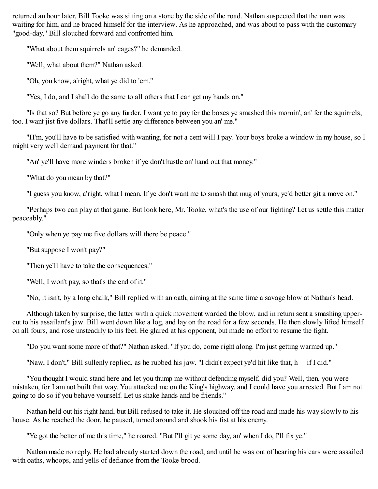returned an hour later, Bill Tooke was sitting on a stone by the side of the road. Nathan suspected that the man was waiting for him, and he braced himself for the interview. As he approached, and was about to pass with the customary "good-day," Bill slouched forward and confronted him.

"What about them squirrels an' cages?" he demanded.

"Well, what about them?" Nathan asked.

"Oh, you know, a'right, what ye did to 'em."

"Yes, I do, and I shall do the same to all others that I can get my hands on."

"Is that so? But before ye go any furder, I want ye to pay fer the boxes ye smashed this mornin', an' fer the squirrels, too. I want jist five dollars. That'll settle any difference between you an' me."

"H'm, you'll have to be satisfied with wanting, for not a cent will I pay. Your boys broke a window in my house, so I might very well demand payment for that."

"An' ye'll have more winders broken if ye don't hustle an' hand out that money."

"What do you mean by that?"

"I guess you know, a'right, what I mean. If ye don't want me to smash that mug of yours, ye'd better git a move on."

"Perhaps two can play at that game. But look here, Mr. Tooke, what's the use of our fighting? Let us settle this matter peaceably."

"Only when ye pay me five dollars will there be peace."

"But suppose I won't pay?"

"Then ye'll have to take the consequences."

"Well, I won't pay, so that's the end of it."

"No, it isn't, by a long chalk," Bill replied with an oath, aiming at the same time a savage blow at Nathan's head.

Although taken by surprise, the latter with a quick movement warded the blow, and in return sent a smashing uppercut to his assailant's jaw. Bill went down like a log, and lay on the road for a few seconds. He then slowly lifted himself on all fours, and rose unsteadily to his feet. He glared at his opponent, but made no effort to resume the fight.

"Do you want some more of that?" Nathan asked. "If you do, come right along. I'm just getting warmed up."

"Naw, I don't," Bill sullenly replied, as he rubbed his jaw. "I didn't expect ye'd hit like that, h— if I did."

"You thought I would stand here and let you thump me without defending myself, did you? Well, then, you were mistaken, for I am not built that way. You attacked me on the King's highway, and I could have you arrested. But I am not going to do so if you behave yourself. Let us shake hands and be friends."

Nathan held out his right hand, but Bill refused to take it. He slouched off the road and made his way slowly to his house. As he reached the door, he paused, turned around and shook his fist at his enemy.

"Ye got the better of me this time," he roared. "But I'll git ye some day, an' when I do, I'll fix ye."

Nathan made no reply. He had already started down the road, and until he was out of hearing his ears were assailed with oaths, whoops, and yells of defiance from the Tooke brood.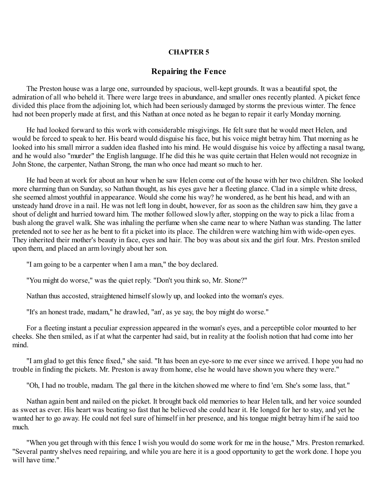#### **CHAPTER 5**

#### **Repairing the Fence**

<span id="page-19-0"></span>The Preston house was a large one, surrounded by spacious, well-kept grounds. It was a beautiful spot, the admiration of all who beheld it. There were large trees in abundance, and smaller ones recently planted. A picket fence divided this place from the adjoining lot, which had been seriously damaged by storms the previous winter. The fence had not been properly made at first, and this Nathan at once noted as he began to repair it early Monday morning.

He had looked forward to this work with considerable misgivings. He felt sure that he would meet Helen, and would be forced to speak to her. His beard would disguise his face, but his voice might betray him. That morning as he looked into his small mirror a sudden idea flashed into his mind. He would disguise his voice by affecting a nasal twang, and he would also "murder" the English language. If he did this he was quite certain that Helen would not recognize in John Stone, the carpenter, Nathan Strong, the man who once had meant so much to her.

He had been at work for about an hour when he saw Helen come out of the house with her two children. She looked more charming than on Sunday, so Nathan thought, as his eyes gave her a fleeting glance. Clad in a simple white dress, she seemed almost youthful in appearance. Would she come his way? he wondered, as he bent his head, and with an unsteady hand drove in a nail. He was not left long in doubt, however, for as soon as the children saw him, they gave a shout of delight and hurried toward him. The mother followed slowly after, stopping on the way to pick a lilac from a bush along the gravel walk. She was inhaling the perfume when she came near to where Nathan was standing. The latter pretended not to see her as he bent to fit a picket into its place. The children were watching him with wide-open eyes. They inherited their mother's beauty in face, eyes and hair. The boy was about six and the girl four. Mrs. Preston smiled upon them, and placed an arm lovingly about her son.

"I am going to be a carpenter when I am a man," the boy declared.

"You might do worse," was the quiet reply. "Don't you think so, Mr. Stone?"

Nathan thus accosted, straightened himself slowly up, and looked into the woman's eyes.

"It's an honest trade, madam," he drawled, "an', as ye say, the boy might do worse."

For a fleeting instant a peculiar expression appeared in the woman's eyes, and a perceptible color mounted to her cheeks. She then smiled, as if at what the carpenter had said, but in reality at the foolish notion that had come into her mind.

"I am glad to get this fence fixed," she said. "It has been an eye-sore to me ever since we arrived. I hope you had no trouble in finding the pickets. Mr. Preston is away from home, else he would have shown you where they were."

"Oh, I had no trouble, madam. The gal there in the kitchen showed me where to find 'em. She's some lass, that."

Nathan again bent and nailed on the picket. It brought back old memories to hear Helen talk, and her voice sounded as sweet as ever. His heart was beating so fast that he believed she could hear it. He longed for her to stay, and yet he wanted her to go away. He could not feel sure of himself in her presence, and his tongue might betray him if he said too much.

"When you get through with this fence I wish you would do some work for me in the house," Mrs. Preston remarked. "Several pantry shelves need repairing, and while you are here it is a good opportunity to get the work done. I hope you will have time."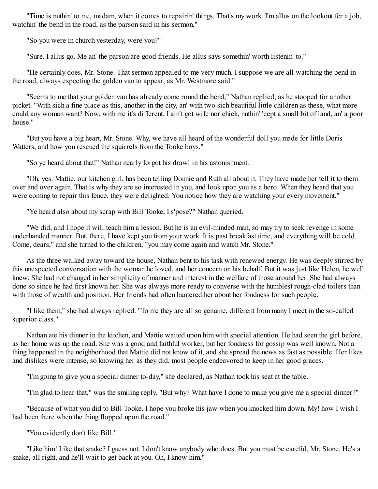"Time is nuthin' to me, madam, when it comes to repairin' things. That's my work. I'm allus on the lookout fer a job, watchin' the bend in the road, as the parson said in his sermon."

"So you were in church yesterday, were you?"

"Sure. I allus go. Me an' the parson are good friends. He allus says somethin' worth listenin' to."

"He certainly does, Mr. Stone. That sermon appealed to me very much. I suppose we are all watching the bend in the road, always expecting the golden van to appear, as Mr. Westmore said."

"Seems to me that your golden van has already come round the bend," Nathan replied, as he stooped for another picket. "With sich a fine place as this, another in the city, an' with two sich beautiful little children as these, what more could any woman want? Now, with me it's different. I ain't got wife nor chick, nuthin' 'cept a small bit of land, an' a poor house."

"But you have a big heart, Mr. Stone. Why, we have all heard of the wonderful doll you made for little Doris Watters, and how you rescued the squirrels from the Tooke boys."

"So ye heard about that!" Nathan nearly forgot his drawl in his astonishment.

"Oh, yes. Mattie, our kitchen girl, has been telling Donnie and Ruth all about it. They have made her tell it to them over and over again. That is why they are so interested in you, and look upon you as a hero. When they heard that you were coming to repair this fence, they were delighted. You notice how they are watching your every movement."

"Ye heard also about my scrap with Bill Tooke, I s'pose?" Nathan queried.

"We did, and I hope it will teach him a lesson. But he is an evil-minded man, so may try to seek revenge in some underhanded manner. But, there, I have kept you from your work. It is past breakfast time, and everything will be cold. Come, dears," and she turned to the children, "you may come again and watch Mr. Stone."

As the three walked away toward the house, Nathan bent to his task with renewed energy. He was deeply stirred by this unexpected conversation with the woman he loved, and her concern on his behalf. But it was just like Helen, he well knew. She had not changed in her simplicity of manner and interest in the welfare of those around her. She had always done so since he had first known her. She was always more ready to converse with the humblest rough-clad toilers than with those of wealth and position. Her friends had often bantered her about her fondness for such people.

"I like them," she had always replied. "To me they are all so genuine, different from many I meet in the so-called superior class."

Nathan ate his dinner in the kitchen, and Mattie waited upon him with special attention. He had seen the girl before, as her home was up the road. She was a good and faithful worker, but her fondness for gossip was well known. Not a thing happened in the neighborhood that Mattie did not know of it, and she spread the news as fast as possible. Her likes and dislikes were intense, so knowing her as they did, most people endeavored to keep in her good graces.

"I'm going to give you a special dinner to-day," she declared, as Nathan took his seat at the table.

"I'm glad to hear that," was the smiling reply. "But why? What have I done to make you give me a special dinner?"

"Because of what you did to Bill Tooke. I hope you broke his jaw when you knocked him down. My! how I wish I had been there when the thing flopped upon the road."

"You evidently don't like Bill."

"Like him! Like that snake? I guess not. I don't know anybody who does. But you must be careful, Mr. Stone. He's a snake, all right, and he'll wait to get back at you. Oh, I know him."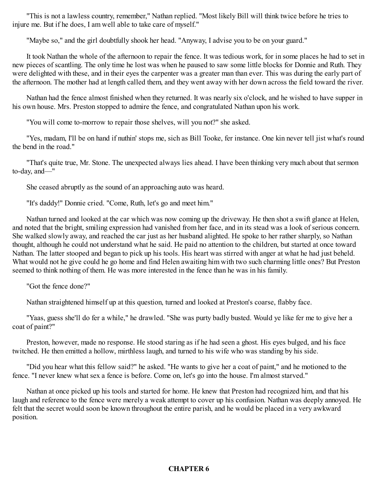"This is not a lawless country, remember," Nathan replied. "Most likely Bill will think twice before he tries to injure me. But if he does, I am well able to take care of myself."

"Maybe so," and the girl doubtfully shook her head. "Anyway, I advise you to be on your guard."

It took Nathan the whole of the afternoon to repair the fence. It was tedious work, for in some places he had to set in new pieces of scantling. The only time he lost was when he paused to saw some little blocks for Donnie and Ruth. They were delighted with these, and in their eyes the carpenter was a greater man than ever. This was during the early part of the afternoon. The mother had at length called them, and they went away with her down across the field toward the river.

Nathan had the fence almost finished when they returned. It was nearly six o'clock, and he wished to have supper in his own house. Mrs. Preston stopped to admire the fence, and congratulated Nathan upon his work.

"You will come to-morrow to repair those shelves, will you not?" she asked.

"Yes, madam, I'll be on hand if nuthin' stops me, sich as Bill Tooke, fer instance. One kin never tell jist what's round the bend in the road."

"That's quite true, Mr. Stone. The unexpected always lies ahead. I have been thinking very much about that sermon to-day, and—"

She ceased abruptly as the sound of an approaching auto was heard.

"It's daddy!" Donnie cried. "Come, Ruth, let's go and meet him."

Nathan turned and looked at the car which was now coming up the driveway. He then shot a swift glance at Helen, and noted that the bright, smiling expression had vanished from her face, and in its stead was a look of serious concern. She walked slowly away, and reached the car just as her husband alighted. He spoke to her rather sharply, so Nathan thought, although he could not understand what he said. He paid no attention to the children, but started at once toward Nathan. The latter stooped and began to pick up his tools. His heart was stirred with anger at what he had just beheld. What would not he give could he go home and find Helen awaiting him with two such charming little ones? But Preston seemed to think nothing of them. He was more interested in the fence than he was in his family.

"Got the fence done?"

Nathan straightened himself up at this question, turned and looked at Preston's coarse, flabby face.

"Yaas, guess she'll do fer a while," he drawled. "She was purty badly busted. Would ye like fer me to give her a coat of paint?"

Preston, however, made no response. He stood staring as if he had seen a ghost. His eyes bulged, and his face twitched. He then emitted a hollow, mirthless laugh, and turned to his wife who was standing by his side.

"Did you hear what this fellow said?" he asked. "He wants to give her a coat of paint," and he motioned to the fence. "I never knew what sex a fence is before. Come on, let's go into the house. I'm almost starved."

<span id="page-21-0"></span>Nathan at once picked up his tools and started for home. He knew that Preston had recognized him, and that his laugh and reference to the fence were merely a weak attempt to cover up his confusion. Nathan was deeply annoyed. He felt that the secret would soon be known throughout the entire parish, and he would be placed in a very awkward position.

#### **CHAPTER 6**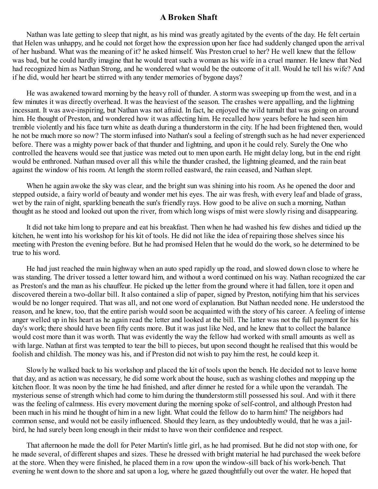#### **A Broken Shaft**

Nathan was late getting to sleep that night, as his mind was greatly agitated by the events of the day. He felt certain that Helen was unhappy, and he could not forget how the expression upon her face had suddenly changed upon the arrival of her husband. What was the meaning of it? he asked himself. Was Preston cruel to her? He well knew that the fellow was bad, but he could hardly imagine that he would treat such a woman as his wife in a cruel manner. He knew that Ned had recognized him as Nathan Strong, and he wondered what would be the outcome of it all. Would he tell his wife? And if he did, would her heart be stirred with any tender memories of bygone days?

He was awakened toward morning by the heavy roll of thunder. A storm was sweeping up from the west, and in a few minutes it was directly overhead. It was the heaviest of the season. The crashes were appalling, and the lightning incessant. It was awe-inspiring, but Nathan was not afraid. In fact, he enjoyed the wild tumult that was going on around him. He thought of Preston, and wondered how it was affecting him. He recalled how years before he had seen him tremble violently and his face turn white as death during a thunderstorm in the city. If he had been frightened then, would he not be much more so now? The storm infused into Nathan's soul a feeling of strength such as he had never experienced before. There was a mighty power back of that thunder and lightning, and upon it he could rely. Surely the One who controlled the heavens would see that justice was meted out to men upon earth. He might delay long, but in the end right would be enthroned. Nathan mused over all this while the thunder crashed, the lightning gleamed, and the rain beat against the window of his room. At length the storm rolled eastward, the rain ceased, and Nathan slept.

When he again awoke the sky was clear, and the bright sun was shining into his room. As he opened the door and stepped outside, a fairy world of beauty and wonder met his eyes. The air was fresh, with every leaf and blade of grass, wet by the rain of night, sparkling beneath the sun's friendly rays. How good to be alive on such a morning, Nathan thought as he stood and looked out upon the river, from which long wisps of mist were slowly rising and disappearing.

It did not take him long to prepare and eat his breakfast. Then when he had washed his few dishes and tidied up the kitchen, he went into his workshop for his kit of tools. He did not like the idea of repairing those shelves since his meeting with Preston the evening before. But he had promised Helen that he would do the work, so he determined to be true to his word.

He had just reached the main highway when an auto sped rapidly up the road, and slowed down close to where he was standing. The driver tossed a letter toward him, and without a word continued on his way. Nathan recognized the car as Preston's and the man as his chauffeur. He picked up the letter from the ground where it had fallen, tore it open and discovered therein a two-dollar bill. It also contained a slip of paper, signed by Preston, notifying him that his services would be no longer required. That was all, and not one word of explanation. But Nathan needed none. He understood the reason, and he knew, too, that the entire parish would soon be acquainted with the story of his career. A feeling of intense anger welled up in his heart as he again read the letter and looked at the bill. The latter was not the full payment for his day's work; there should have been fifty cents more. But it was just like Ned, and he knew that to collect the balance would cost more than it was worth. That was evidently the way the fellow had worked with small amounts as well as with large. Nathan at first was tempted to tear the bill to pieces, but upon second thought he realised that this would be foolish and childish. The money was his, and if Preston did not wish to pay him the rest, he could keep it.

Slowly he walked back to his workshop and placed the kit of tools upon the bench. He decided not to leave home that day, and as action was necessary, he did some work about the house, such as washing clothes and mopping up the kitchen floor. It was noon by the time he had finished, and after dinner he rested for a while upon the verandah. The mysterious sense of strength which had come to him during the thunderstorm still possessed his soul. And with it there was the feeling of calmness. His every movement during the morning spoke of self-control, and although Preston had been much in his mind he thought of him in a new light. What could the fellow do to harm him? The neighbors had common sense, and would not be easily influenced. Should they learn, as they undoubtedly would, that he was a jailbird, he had surely been long enough in their midst to have won their confidence and respect.

That afternoon he made the doll for Peter Martin's little girl, as he had promised. But he did not stop with one, for he made several, of different shapes and sizes. These he dressed with bright material he had purchased the week before at the store. When they were finished, he placed them in a row upon the window-sill back of his work-bench. That evening he went down to the shore and sat upon a log, where he gazed thoughtfully out over the water. He hoped that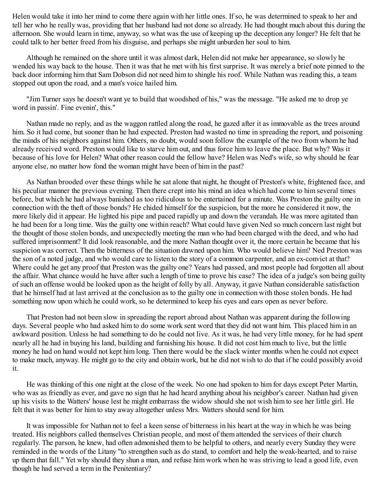Helen would take it into her mind to come there again with her little ones. If so, he was determined to speak to her and tell her who he really was, providing that her husband had not done so already. He had thought much about this during the afternoon. She would learn in time, anyway, so what was the use of keeping up the deception any longer? He felt that he could talk to her better freed from his disguise, and perhaps she might unburden her soul to him.

Although he remained on the shore until it was almost dark, Helen did not make her appearance, so slowly he wended his way back to the house. Then it was that he met with his first surprise. It was merely a brief note pinned to the back door informing him that Sam Dobson did not need him to shingle his roof. While Nathan was reading this, a team stopped out upon the road, and a man's voice hailed him.

"Jim Turner says he doesn't want ye to build that woodshed of his," was the message. "He asked me to drop ye word in passin'. Fine evenin', this."

Nathan made no reply, and as the waggon rattled along the road, he gazed after it as immovable as the trees around him. So it had come, but sooner than he had expected. Preston had wasted no time in spreading the report, and poisoning the minds of his neighbors against him. Others, no doubt, would soon follow the example of the two from whom he had already received word. Preston would like to starve him out, and thus force him to leave the place. But why? Was it because of his love for Helen? What other reason could the fellow have? Helen was Ned's wife, so why should he fear anyone else, no matter how fond the woman might have been of him in the past?

As Nathan brooded over these things while he sat alone that night, he thought of Preston's white, frightened face, and his peculiar manner the previous evening. Then there crept into his mind an idea which had come to him several times before, but which he had always banished as too ridiculous to be entertained for a minute. Was Preston the guilty one in connection with the theft of those bonds? He chided himself for the suspicion, but the more he considered it now, the more likely did it appear. He lighted his pipe and paced rapidly up and down the verandah. He was more agitated than he had been for a long time. Was the guilty one within reach? What could have given Ned so much concern last night but the thought of those stolen bonds, and unexpectedly meeting the man who had been charged with the deed, and who had suffered imprisonment? It did look reasonable, and the more Nathan thought over it, the more certain he became that his suspicion was correct. Then the bitterness of the situation dawned upon him. Who would believe him? Ned Preston was the son of a noted judge, and who would care to listen to the story of a common carpenter, and an ex-convict at that? Where could he get any proof that Preston was the guilty one? Years had passed, and most people had forgotten all about the affair. What chance would he have after such a length of time to prove his case? The idea of a judge's son being guilty of such an offense would be looked upon as the height of folly by all. Anyway, it gave Nathan considerable satisfaction that he himself had at last arrived at the conclusion as to the guilty one in connection with those stolen bonds. He had something now upon which he could work, so he determined to keep his eyes and ears open as never before.

That Preston had not been slow in spreading the report abroad about Nathan was apparent during the following days. Several people who had asked him to do some work sent word that they did not want him. This placed him in an awkward position. Unless he had something to do he could not live. As it was, he had very little money, for he had spent nearly all he had in buying his land, building and furnishing his house. It did not cost him much to live, but the little money he had on hand would not kept him long. Then there would be the slack winter months when he could not expect to make much, anyway. He might go to the city and obtain work, but he did not wish to do that if he could possibly avoid it.

He was thinking of this one night at the close of the week. No one had spoken to him for days except Peter Martin, who was as friendly as ever, and gave no sign that he had heard anything about his neighbor's career. Nathan had given up his visits to the Watters' house lest he might embarrass the widow should she not wish him to see her little girl. He felt that it was better for him to stay away altogether unless Mrs. Watters should send for him.

It was impossible for Nathan not to feel a keen sense of bitterness in his heart at the way in which he was being treated. His neighbors called themselves Christian people, and most of them attended the services of their church regularly. The parson, he knew, had often admonished them to be helpful to others, and nearly every Sunday they were reminded in the words of the Litany "to strengthen such as do stand, to comfort and help the weak-hearted, and to raise up them that fall." Yet why should they shun a man, and refuse him work when he was striving to lead a good life, even though he had served a term in the Penitentiary?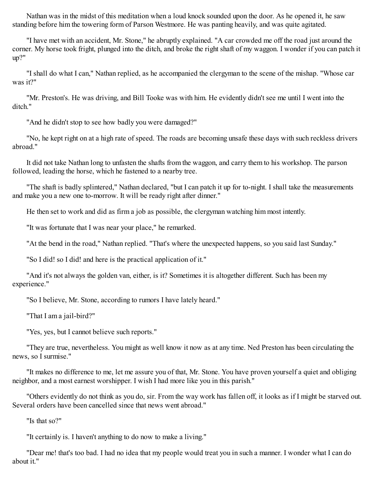Nathan was in the midst of this meditation when a loud knock sounded upon the door. As he opened it, he saw standing before him the towering form of Parson Westmore. He was panting heavily, and was quite agitated.

"I have met with an accident, Mr. Stone," he abruptly explained. "A car crowded me off the road just around the corner. My horse took fright, plunged into the ditch, and broke the right shaft of my waggon. I wonder if you can patch it up?"

"I shall do what I can," Nathan replied, as he accompanied the clergyman to the scene of the mishap. "Whose car was it?"

"Mr. Preston's. He was driving, and Bill Tooke was with him. He evidently didn't see me until I went into the ditch"

"And he didn't stop to see how badly you were damaged?"

"No, he kept right on at a high rate of speed. The roads are becoming unsafe these days with such reckless drivers abroad."

It did not take Nathan long to unfasten the shafts from the waggon, and carry them to his workshop. The parson followed, leading the horse, which he fastened to a nearby tree.

"The shaft is badly splintered," Nathan declared, "but I can patch it up for to-night. I shall take the measurements and make you a new one to-morrow. It will be ready right after dinner."

He then set to work and did as firm a job as possible, the clergyman watching him most intently.

"It was fortunate that I was near your place," he remarked.

"At the bend in the road," Nathan replied. "That's where the unexpected happens, so you said last Sunday."

"So I did! so I did! and here is the practical application of it."

"And it's not always the golden van, either, is it? Sometimes it is altogether different. Such has been my experience."

"So I believe, Mr. Stone, according to rumors I have lately heard."

"That I am a jail-bird?"

"Yes, yes, but I cannot believe such reports."

"They are true, nevertheless. You might as well know it now as at any time. Ned Preston has been circulating the news, so I surmise."

"It makes no difference to me, let me assure you of that, Mr. Stone. You have proven yourself a quiet and obliging neighbor, and a most earnest worshipper. I wish I had more like you in this parish."

"Others evidently do not think as you do, sir. From the way work has fallen off, it looks as if I might be starved out. Several orders have been cancelled since that news went abroad."

"Is that so?"

"It certainly is. I haven't anything to do now to make a living."

"Dear me! that's too bad. I had no idea that my people would treat you in such a manner. I wonder what I can do about it."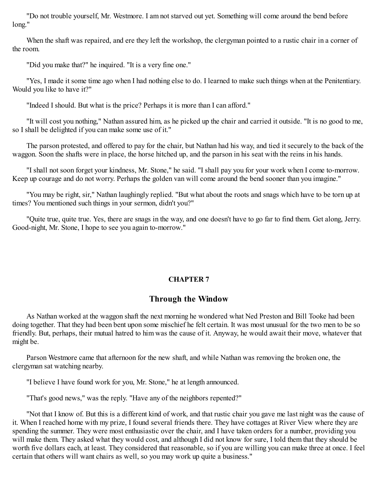"Do not trouble yourself, Mr. Westmore. I am not starved out yet. Something will come around the bend before long."

When the shaft was repaired, and ere they left the workshop, the clergyman pointed to a rustic chair in a corner of the room.

"Did you make that?" he inquired. "It is a very fine one."

"Yes, I made it some time ago when I had nothing else to do. I learned to make such things when at the Penitentiary. Would you like to have it?"

"Indeed I should. But what is the price? Perhaps it is more than I can afford."

"It will cost you nothing," Nathan assured him, as he picked up the chair and carried it outside. "It is no good to me, so I shall be delighted if you can make some use of it."

The parson protested, and offered to pay for the chair, but Nathan had his way, and tied it securely to the back of the waggon. Soon the shafts were in place, the horse hitched up, and the parson in his seat with the reins in his hands.

"I shall not soon forget your kindness, Mr. Stone," he said. "I shall pay you for your work when I come to-morrow. Keep up courage and do not worry. Perhaps the golden van will come around the bend sooner than you imagine."

"You may be right, sir," Nathan laughingly replied. "But what about the roots and snags which have to be torn up at times? You mentioned such things in your sermon, didn't you?"

<span id="page-25-0"></span>"Quite true, quite true. Yes, there are snags in the way, and one doesn't have to go far to find them. Get along, Jerry. Good-night, Mr. Stone, I hope to see you again to-morrow."

#### **CHAPTER 7**

#### **Through the Window**

As Nathan worked at the waggon shaft the next morning he wondered what Ned Preston and Bill Tooke had been doing together. That they had been bent upon some mischief he felt certain. It was most unusual for the two men to be so friendly. But, perhaps, their mutual hatred to him was the cause of it. Anyway, he would await their move, whatever that might be.

Parson Westmore came that afternoon for the new shaft, and while Nathan was removing the broken one, the clergyman sat watching nearby.

"I believe I have found work for you, Mr. Stone," he at length announced.

"That's good news," was the reply. "Have any of the neighbors repented?"

"Not that I know of. But this is a different kind of work, and that rustic chair you gave me last night was the cause of it. When I reached home with my prize, I found several friends there. They have cottages at River View where they are spending the summer. They were most enthusiastic over the chair, and I have taken orders for a number, providing you will make them. They asked what they would cost, and although I did not know for sure. I told them that they should be worth five dollars each, at least. They considered that reasonable, so if you are willing you can make three at once. I feel certain that others will want chairs as well, so you may work up quite a business."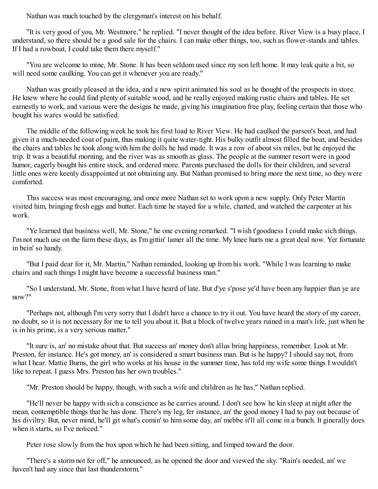Nathan was much touched by the clergyman's interest on his behalf.

"It is very good of you, Mr. Westmore," he replied. "I never thought of the idea before. River View is a busy place, I understand, so there should be a good sale for the chairs. I can make other things, too, such as flower-stands and tables. If I had a rowboat, I could take them there myself."

"You are welcome to mine, Mr. Stone. It has been seldom used since my son left home. It may leak quite a bit, so will need some caulking. You can get it whenever you are ready."

Nathan was greatly pleased at the idea, and a new spirit animated his soul as he thought of the prospects in store. He knew where he could find plenty of suitable wood, and he really enjoyed making rustic chairs and tables. He set earnestly to work, and various were the designs he made, giving his imagination free play, feeling certain that those who bought his wares would be satisfied.

The middle of the following week he took his first load to River View. He had caulked the parson's boat, and had given it a much-needed coat of paint, thus making it quite water-tight. His bulky outfit almost filled the boat, and besides the chairs and tables he took along with him the dolls he had made. It was a row of about six miles, but he enjoyed the trip. It was a beautiful morning, and the river was as smooth as glass. The people at the summer resort were in good humor, eagerly bought his entire stock, and ordered more. Parents purchased the dolls for their children, and several little ones were keenly disappointed at not obtaining any. But Nathan promised to bring more the next time, so they were comforted.

This success was most encouraging, and once more Nathan set to work upon a new supply. Only Peter Martin visited him, bringing fresh eggs and butter. Each time he stayed for a while, chatted, and watched the carpenter at his work.

"Ye learned that business well, Mr. Stone," he one evening remarked. "I wish t'goodness I could make sich things. I'm not much use on the farm these days, as I'm gittin' lamer all the time. My knee hurts me a great deal now. Yer fortunate in bein' so handy.

"But I paid dear for it, Mr. Martin," Nathan reminded, looking up from his work. "While I was learning to make chairs and such things I might have become a successful business man."

"So I understand, Mr. Stone, from what I have heard of late. But d'ye s'pose ye'd have been any happier than ye are now?"

"Perhaps not, although I'm very sorry that I didn't have a chance to try it out. You have heard the story of my career, no doubt, so it is not necessary for me to tell you about it. But a block of twelve years ruined in a man's life, just when he is in his prime, is a very serious matter."

"It sure is, an' no mistake about that. But success an' money don't allus bring happiness, remember. Look at Mr. Preston, fer instance. He's got money, an' is considered a smart business man. But is he happy? I should say not, from what I hear. Mattie Burns, the girl who works at his house in the summer time, has told my wife some things I wouldn't like to repeat. I guess Mrs. Preston has her own troubles."

"Mr. Preston should be happy, though, with such a wife and children as he has," Nathan replied.

"He'll never be happy with sich a conscience as he carries around. I don't see how he kin sleep at night after the mean, contemptible things that he has done. There's my leg, fer instance, an' the good money I had to pay out because of his diviltry. But, never mind, he'll git what's comin' to him some day, an' mebbe it'll all come in a bunch. It ginerally does when it starts, so I've noticed."

Peter rose slowly from the box upon which he had been sitting, and limped toward the door.

"There's a storm not fer off," he announced, as he opened the door and viewed the sky. "Rain's needed, an' we haven't had any since that last thunderstorm."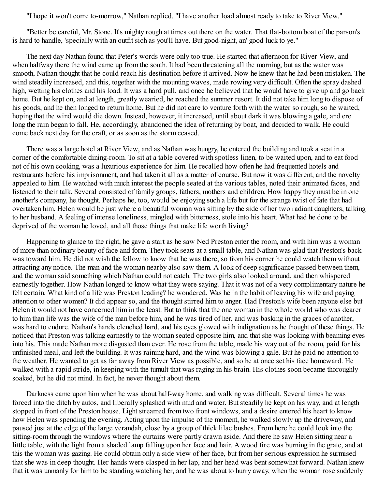"I hope it won't come to-morrow," Nathan replied. "I have another load almost ready to take to River View."

"Better be careful, Mr. Stone. It's mighty rough at times out there on the water. That flat-bottom boat of the parson's is hard to handle, 'specially with an outfit sich as you'll have. But good-night, an' good luck to ye."

The next day Nathan found that Peter's words were only too true. He started that afternoon for River View, and when halfway there the wind came up from the south. It had been threatening all the morning, but as the water was smooth, Nathan thought that he could reach his destination before it arrived. Now he knew that he had been mistaken. The wind steadily increased, and this, together with the mounting waves, made rowing very difficult. Often the spray dashed high, wetting his clothes and his load. It was a hard pull, and once he believed that he would have to give up and go back home. But he kept on, and at length, greatly wearied, he reached the summer resort. It did not take him long to dispose of his goods, and he then longed to return home. But he did not care to venture forth with the water so rough, so he waited, hoping that the wind would die down. Instead, however, it increased, until about dark it was blowing a gale, and ere long the rain began to fall. He, accordingly, abandoned the idea of returning by boat, and decided to walk. He could come back next day for the craft, or as soon as the storm ceased.

There was a large hotel at River View, and as Nathan was hungry, he entered the building and took a seat in a corner of the comfortable dining-room. To sit at a table covered with spotless linen, to be waited upon, and to eat food not of his own cooking, was a luxurious experience for him. He recalled how often he had frequented hotels and restaurants before his imprisonment, and had taken it all as a matter of course. But now it was different, and the novelty appealed to him. He watched with much interest the people seated at the various tables, noted their animated faces, and listened to their talk. Several consisted of family groups, fathers, mothers and children. How happy they must be in one another's company, he thought. Perhaps he, too, would be enjoying such a life but for the strange twist of fate that had overtaken him. Helen would be just where a beautiful woman was sitting by the side of her two radiant daughters, talking to her husband. A feeling of intense loneliness, mingled with bitterness, stole into his heart. What had he done to be deprived of the woman he loved, and all those things that make life worth living?

Happening to glance to the right, he gave a start as he saw Ned Preston enter the room, and with him was a woman of more than ordinary beauty of face and form. They took seats at a small table, and Nathan was glad that Preston's back was toward him. He did not wish the fellow to know that he was there, so from his corner he could watch them without attracting any notice. The man and the woman nearby also saw them. A look of deep significance passed between them, and the woman said something which Nathan could not catch. The two girls also looked around, and then whispered earnestly together. How Nathan longed to know what they were saying. That it was not of a very complimentary nature he felt certain. What kind of a life was Preston leading? he wondered. Was he in the habit of leaving his wife and paying attention to other women? It did appear so, and the thought stirred him to anger. Had Preston's wife been anyone else but Helen it would not have concerned him in the least. But to think that the one woman in the whole world who was dearer to him than life was the wife of the man before him, and he was tired of her, and was basking in the graces of another, was hard to endure. Nathan's hands clenched hard, and his eyes glowed with indignation as he thought of these things. He noticed that Preston was talking earnestly to the woman seated opposite him, and that she was looking with beaming eyes into his. This made Nathan more disgusted than ever. He rose from the table, made his way out of the room, paid for his unfinished meal, and left the building. It was raining hard, and the wind was blowing a gale. But he paid no attention to the weather. He wanted to get as far away from River View as possible, and so he at once set his face homeward. He walked with a rapid stride, in keeping with the tumult that was raging in his brain. His clothes soon became thoroughly soaked, but he did not mind. In fact, he never thought about them.

Darkness came upon him when he was about half-way home, and walking was difficult. Several times he was forced into the ditch by autos, and liberally splashed with mud and water. But steadily he kept on his way, and at length stopped in front of the Preston house. Light streamed from two front windows, and a desire entered his heart to know how Helen was spending the evening. Acting upon the impulse of the moment, he walked slowly up the driveway, and paused just at the edge of the large verandah, close by a group of thick lilac bushes. From here he could look into the sitting-room through the windows where the curtains were partly drawn aside. And there he saw Helen sitting near a little table, with the light from a shaded lamp falling upon her face and hair. A wood fire was burning in the grate, and at this the woman was gazing. He could obtain only a side view of her face, but from her serious expression he surmised that she was in deep thought. Her hands were clasped in her lap, and her head was bent somewhat forward. Nathan knew that it was unmanly for him to be standing watching her, and he was about to hurry away, when the woman rose suddenly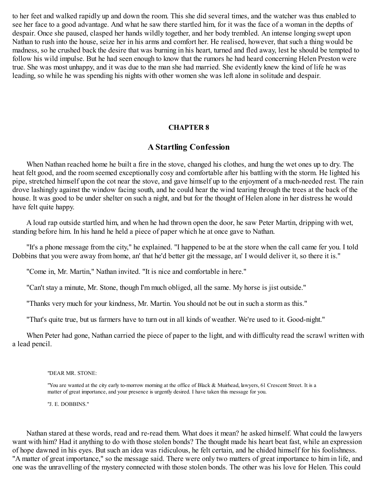to her feet and walked rapidly up and down the room. This she did several times, and the watcher was thus enabled to see her face to a good advantage. And what he saw there startled him, for it was the face of a woman in the depths of despair. Once she paused, clasped her hands wildly together, and her body trembled. An intense longing swept upon Nathan to rush into the house, seize her in his arms and comfort her. He realised, however, that such a thing would be madness, so he crushed back the desire that was burning in his heart, turned and fled away, lest he should be tempted to follow his wild impulse. But he had seen enough to know that the rumors he had heard concerning Helen Preston were true. She was most unhappy, and it was due to the man she had married. She evidently knew the kind of life he was leading, so while he was spending his nights with other women she was left alone in solitude and despair.

#### **CHAPTER 8**

## **A Startling Confession**

<span id="page-28-0"></span>When Nathan reached home he built a fire in the stove, changed his clothes, and hung the wet ones up to dry. The heat felt good, and the room seemed exceptionally cosy and comfortable after his battling with the storm. He lighted his pipe, stretched himself upon the cot near the stove, and gave himself up to the enjoyment of a much-needed rest. The rain drove lashingly against the window facing south, and he could hear the wind tearing through the trees at the back of the house. It was good to be under shelter on such a night, and but for the thought of Helen alone in her distress he would have felt quite happy.

A loud rap outside startled him, and when he had thrown open the door, he saw Peter Martin, dripping with wet, standing before him. In his hand he held a piece of paper which he at once gave to Nathan.

"It's a phone message from the city," he explained. "I happened to be at the store when the call came fer you. I told Dobbins that you were away from home, an' that he'd better git the message, an' I would deliver it, so there it is."

"Come in, Mr. Martin," Nathan invited. "It is nice and comfortable in here."

"Can't stay a minute, Mr. Stone, though I'm much obliged, all the same. My horse is jist outside."

"Thanks very much for your kindness, Mr. Martin. You should not be out in such a storm as this."

"That's quite true, but us farmers have to turn out in all kinds of weather. We're used to it. Good-night."

When Peter had gone, Nathan carried the piece of paper to the light, and with difficulty read the scrawl written with a lead pencil.

#### "DEAR MR. STONE:

"You are wanted at the city early to-morrow morning at the office of Black & Muirhead, lawyers, 61 Crescent Street. It is a matter of great importance, and your presence is urgently desired. I have taken this message for you.

"J. E. DOBBINS."

Nathan stared at these words, read and re-read them. What does it mean? he asked himself. What could the lawyers want with him? Had it anything to do with those stolen bonds? The thought made his heart beat fast, while an expression of hope dawned in his eyes. But such an idea was ridiculous, he felt certain, and he chided himself for his foolishness. "A matter of great importance," so the message said. There were only two matters of great importance to him in life, and one was the unravelling of the mystery connected with those stolen bonds. The other was his love for Helen. This could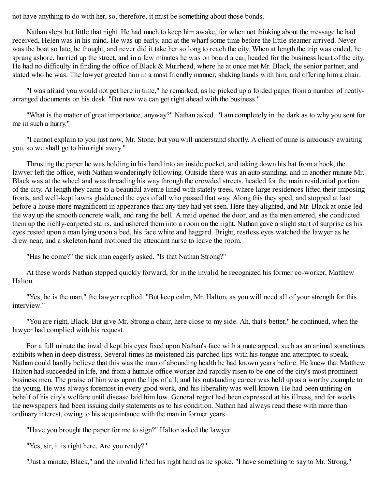not have anything to do with her, so, therefore, it must be something about those bonds.

Nathan slept but little that night. He had much to keep him awake, for when not thinking about the message he had received, Helen was in his mind. He was up early, and at the wharf some time before the little steamer arrived. Never was the boat so late, he thought, and never did it take her so long to reach the city. When at length the trip was ended, he sprang ashore, hurried up the street, and in a few minutes he was on board a car, headed for the business heart of the city. He had no difficulty in finding the office of Black & Muirhead, where he at once met Mr. Black, the senior partner, and stated who he was. The lawyer greeted him in a most friendly manner, shaking hands with him, and offering him a chair.

"I was afraid you would not get here in time," he remarked, as he picked up a folded paper from a number of neatlyarranged documents on his desk. "But now we can get right ahead with the business."

"What is the matter of great importance, anyway?" Nathan asked. "I am completely in the dark as to why you sent for me in such a hurry."

"I cannot explain to you just now, Mr. Stone, but you will understand shortly. A client of mine is anxiously awaiting you, so we shall go to him right away."

Thrusting the paper he was holding in his hand into an inside pocket, and taking down his hat from a hook, the lawyer left the office, with Nathan wonderingly following. Outside there was an auto standing, and in another minute Mr. Black was at the wheel and was threading his way through the crowded streets, headed for the main residential portion of the city. At length they came to a beautiful avenue lined with stately trees, where large residences lifted their imposing fronts, and well-kept lawns gladdened the eyes of all who passed that way. Along this they sped, and stopped at last before a house more magnificent in appearance than any they had yet seen. Here they alighted, and Mr. Black at once led the way up the smooth concrete walk, and rang the bell. A maid opened the door, and as the men entered, she conducted them up the richly-carpeted stairs, and ushered them into a room on the right. Nathan gave a slight start of surprise as his eyes rested upon a man lying upon a bed, his face white and haggard. Bright, restless eyes watched the lawyer as he drew near, and a skeleton hand motioned the attendant nurse to leave the room.

"Has he come?" the sick man eagerly asked. "Is that Nathan Strong?"

At these words Nathan stepped quickly forward, for in the invalid he recognized his former co-worker, Matthew Halton.

"Yes, he is the man," the lawyer replied. "But keep calm, Mr. Halton, as you will need all of your strength for this interview."

"You are right, Black. But give Mr. Strong a chair, here close to my side. Ah, that's better," he continued, when the lawyer had complied with his request.

For a full minute the invalid kept his eyes fixed upon Nathan's face with a mute appeal, such as an animal sometimes exhibits when in deep distress. Several times he moistened his parched lips with his tongue and attempted to speak. Nathan could hardly believe that this was the man of abounding health he had known years before. He knew that Matthew Halton had succeeded in life, and from a humble office worker had rapidly risen to be one of the city's most prominent business men. The praise of him was upon the lips of all, and his outstanding career was held up as a worthy example to the young. He was always foremost in every good work, and his liberality was well known. He had been untiring on behalf of his city's welfare until disease laid him low. General regret had been expressed at his illness, and for weeks the newspapers had been issuing daily statements as to his condition. Nathan had always read these with more than ordinary interest, owing to his acquaintance with the man in former years.

"Have you brought the paper for me to sign?" Halton asked the lawyer.

"Yes, sir, it is right here. Are you ready?"

"Just a minute, Black," and the invalid lifted his right hand as he spoke. "I have something to say to Mr. Strong."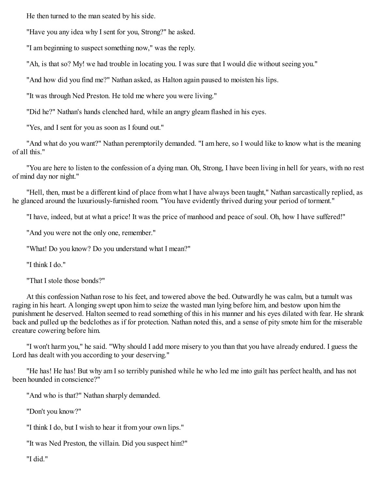He then turned to the man seated by his side.

"Have you any idea why I sent for you, Strong?" he asked.

"I am beginning to suspect something now," was the reply.

"Ah, is that so? My! we had trouble in locating you. I was sure that I would die without seeing you."

"And how did you find me?" Nathan asked, as Halton again paused to moisten his lips.

"It was through Ned Preston. He told me where you were living."

"Did he?" Nathan's hands clenched hard, while an angry gleam flashed in his eyes.

"Yes, and I sent for you as soon as I found out."

"And what do you want?" Nathan peremptorily demanded. "I am here, so I would like to know what is the meaning of all this."

"You are here to listen to the confession of a dying man. Oh, Strong, I have been living in hell for years, with no rest of mind day nor night."

"Hell, then, must be a different kind of place from what I have always been taught," Nathan sarcastically replied, as he glanced around the luxuriously-furnished room. "You have evidently thrived during your period of torment."

"I have, indeed, but at what a price! It was the price of manhood and peace of soul. Oh, how I have suffered!"

"And you were not the only one, remember."

"What! Do you know? Do you understand what I mean?"

"I think I do."

"That I stole those bonds?"

At this confession Nathan rose to his feet, and towered above the bed. Outwardly he was calm, but a tumult was raging in his heart. A longing swept upon him to seize the wasted man lying before him, and bestow upon him the punishment he deserved. Halton seemed to read something of this in his manner and his eyes dilated with fear. He shrank back and pulled up the bedclothes as if for protection. Nathan noted this, and a sense of pity smote him for the miserable creature cowering before him.

"I won't harm you," he said. "Why should I add more misery to you than that you have already endured. I guess the Lord has dealt with you according to your deserving."

"He has! He has! But why am I so terribly punished while he who led me into guilt has perfect health, and has not been hounded in conscience?"

"And who is that?" Nathan sharply demanded.

"Don't you know?"

"I think I do, but I wish to hear it from your own lips."

"It was Ned Preston, the villain. Did you suspect him?"

"I did."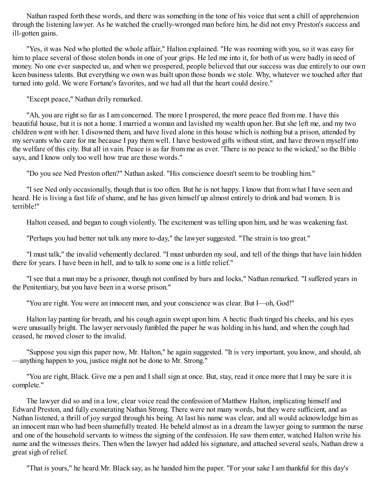Nathan rasped forth these words, and there was something in the tone of his voice that sent a chill of apprehension through the listening lawyer. As he watched the cruelly-wronged man before him, he did not envy Preston's success and ill-gotten gains.

"Yes, it was Ned who plotted the whole affair," Halton explained. "He was rooming with you, so it was easy for him to place several of those stolen bonds in one of your grips. He led me into it, for both of us were badly in need of money. No one ever suspected us, and when we prospered, people believed that our success was due entirely to our own keen business talents. But everything we own was built upon those bonds we stole. Why, whatever we touched after that turned into gold. We were Fortune's favorites, and we had all that the heart could desire."

"Except peace," Nathan drily remarked.

"Ah, you are right so far as I am concerned. The more I prospered, the more peace fled from me. I have this beautiful house, but it is not a home. I married a woman and lavished my wealth upon her. But she left me, and my two children went with her. I disowned them, and have lived alone in this house which is nothing but a prison, attended by my servants who care for me because I pay them well. I have bestowed gifts without stint, and have thrown myself into the welfare of this city. But all in vain. Peace is as far from me as ever. 'There is no peace to the wicked,' so the Bible says, and I know only too well how true are those words."

"Do you see Ned Preston often?" Nathan asked. "His conscience doesn't seem to be troubling him."

"I see Ned only occasionally, though that is too often. But he is not happy. I know that from what I have seen and heard. He is living a fast life of shame, and he has given himself up almost entirely to drink and bad women. It is terrible!"

Halton ceased, and began to cough violently. The excitement was telling upon him, and he was weakening fast.

"Perhaps you had better not talk any more to-day," the lawyer suggested. "The strain is too great."

"I must talk," the invalid vehemently declared. "I must unburden my soul, and tell of the things that have lain hidden there for years. I have been in hell, and to talk to some one is a little relief."

"I see that a man may be a prisoner, though not confined by bars and locks," Nathan remarked. "I suffered years in the Penitentiary, but you have been in a worse prison."

"You are right. You were an innocent man, and your conscience was clear. But I—oh, God!"

Halton lay panting for breath, and his cough again swept upon him. A hectic flush tinged his cheeks, and his eyes were unusually bright. The lawyer nervously fumbled the paper he was holding in his hand, and when the cough had ceased, he moved closer to the invalid.

"Suppose you sign this paper now, Mr. Halton," he again suggested. "It is very important, you know, and should, ah —anything happen to you, justice might not be done to Mr. Strong."

"You are right, Black. Give me a pen and I shall sign at once. But, stay, read it once more that I may be sure it is complete."

The lawyer did so and in a low, clear voice read the confession of Matthew Halton, implicating himself and Edward Preston, and fully exonerating Nathan Strong. There were not many words, but they were sufficient, and as Nathan listened, a thrill of joy surged through his being. At last his name was clear, and all would acknowledge him as an innocent man who had been shamefully treated. He beheld almost as in a dream the lawyer going to summon the nurse and one of the household servants to witness the signing of the confession. He saw them enter, watched Halton write his name and the witnesses theirs. Then when the lawyer had added his signature, and attached several seals, Nathan drew a great sigh of relief.

"That is yours," he heard Mr. Black say, as he handed him the paper. "For your sake I am thankful for this day's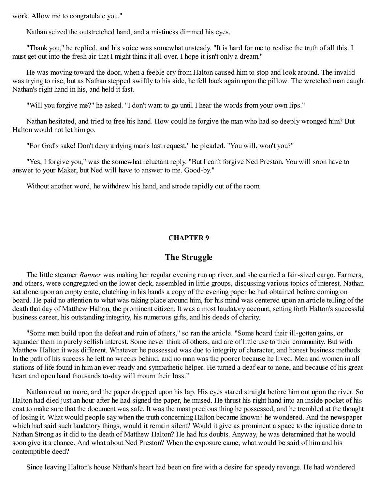work. Allow me to congratulate you."

Nathan seized the outstretched hand, and a mistiness dimmed his eyes.

"Thank you," he replied, and his voice was somewhat unsteady. "It is hard for me to realise the truth of all this. I must get out into the fresh air that I might think it all over. I hope it isn't only a dream."

He was moving toward the door, when a feeble cry from Halton caused him to stop and look around. The invalid was trying to rise, but as Nathan stepped swiftly to his side, he fell back again upon the pillow. The wretched man caught Nathan's right hand in his, and held it fast.

"Will you forgive me?" he asked. "I don't want to go until I hear the words from your own lips."

Nathan hesitated, and tried to free his hand. How could he forgive the man who had so deeply wronged him? But Halton would not let him go.

"For God's sake! Don't deny a dying man's last request," he pleaded. "You will, won't you?"

"Yes, I forgive you," was the somewhat reluctant reply. "But I can't forgive Ned Preston. You will soon have to answer to your Maker, but Ned will have to answer to me. Good-by."

<span id="page-32-0"></span>Without another word, he withdrew his hand, and strode rapidly out of the room.

#### **CHAPTER 9**

#### **The Struggle**

The little steamer *Banner* was making her regular evening run up river, and she carried a fair-sized cargo. Farmers, and others, were congregated on the lower deck, assembled in little groups, discussing various topics of interest. Nathan sat alone upon an empty crate, clutching in his hands a copy of the evening paper he had obtained before coming on board. He paid no attention to what was taking place around him, for his mind was centered upon an article telling of the death that day of Matthew Halton, the prominent citizen. It was a most laudatory account, setting forth Halton's successful business career, his outstanding integrity, his numerous gifts, and his deeds of charity.

"Some men build upon the defeat and ruin of others," so ran the article. "Some hoard their ill-gotten gains, or squander them in purely selfish interest. Some never think of others, and are of little use to their community. But with Matthew Halton it was different. Whatever he possessed was due to integrity of character, and honest business methods. In the path of his success he left no wrecks behind, and no man was the poorer because he lived. Men and women in all stations of life found in him an ever-ready and sympathetic helper. He turned a deaf ear to none, and because of his great heart and open hand thousands to-day will mourn their loss."

Nathan read no more, and the paper dropped upon his lap. His eyes stared straight before him out upon the river. So Halton had died just an hour after he had signed the paper, he mused. He thrust his right hand into an inside pocket of his coat to make sure that the document was safe. It was the most precious thing he possessed, and he trembled at the thought of losing it. What would people say when the truth concerning Halton became known? he wondered. And the newspaper which had said such laudatory things, would it remain silent? Would it give as prominent a space to the injustice done to Nathan Strong as it did to the death of Matthew Halton? He had his doubts. Anyway, he was determined that he would soon give it a chance. And what about Ned Preston? When the exposure came, what would be said of him and his contemptible deed?

Since leaving Halton's house Nathan's heart had been on fire with a desire for speedy revenge. He had wandered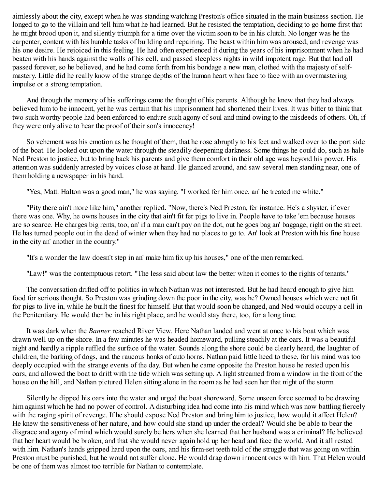aimlessly about the city, except when he was standing watching Preston's office situated in the main business section. He longed to go to the villain and tell him what he had learned. But he resisted the temptation, deciding to go home first that he might brood upon it, and silently triumph for a time over the victim soon to be in his clutch. No longer was he the carpenter, content with his humble tasks of building and repairing. The beast within him was aroused, and revenge was his one desire. He rejoiced in this feeling. He had often experienced it during the years of his imprisonment when he had beaten with his hands against the walls of his cell, and passed sleepless nights in wild impotent rage. But that had all passed forever, so he believed, and he had come forth from his bondage a new man, clothed with the majesty of selfmastery. Little did he really know of the strange depths of the human heart when face to face with an overmastering impulse or a strong temptation.

And through the memory of his sufferings came the thought of his parents. Although he knew that they had always believed him to be innocent, yet he was certain that his imprisonment had shortened their lives. It was bitter to think that two such worthy people had been enforced to endure such agony of soul and mind owing to the misdeeds of others. Oh, if they were only alive to hear the proof of their son's innocency!

So vehement was his emotion as he thought of them, that he rose abruptly to his feet and walked over to the port side of the boat. He looked out upon the water through the steadily deepening darkness. Some things he could do, such as hale Ned Preston to justice, but to bring back his parents and give them comfort in their old age was beyond his power. His attention was suddenly arrested by voices close at hand. He glanced around, and saw several men standing near, one of them holding a newspaper in his hand.

"Yes, Matt. Halton was a good man," he was saying. "I worked fer him once, an' he treated me white."

"Pity there ain't more like him," another replied. "Now, there's Ned Preston, fer instance. He's a shyster, if ever there was one. Why, he owns houses in the city that ain't fit fer pigs to live in. People have to take 'em because houses are so scarce. He charges big rents, too, an' if a man can't pay on the dot, out he goes bag an' baggage, right on the street. He has turned people out in the dead of winter when they had no places to go to. An' look at Preston with his fine house in the city an' another in the country."

"It's a wonder the law doesn't step in an' make him fix up his houses," one of the men remarked.

"Law!" was the contemptuous retort. "The less said about law the better when it comes to the rights of tenants."

The conversation drifted off to politics in which Nathan was not interested. But he had heard enough to give him food for serious thought. So Preston was grinding down the poor in the city, was he? Owned houses which were not fit for pigs to live in, while he built the finest for himself. But that would soon be changed, and Ned would occupy a cell in the Penitentiary. He would then be in his right place, and he would stay there, too, for a long time.

It was dark when the *Banner* reached River View. Here Nathan landed and went at once to his boat which was drawn well up on the shore. In a few minutes he was headed homeward, pulling steadily at the oars. It was a beautiful night and hardly a ripple ruffled the surface of the water. Sounds along the shore could be clearly heard, the laughter of children, the barking of dogs, and the raucous honks of auto horns. Nathan paid little heed to these, for his mind was too deeply occupied with the strange events of the day. But when he came opposite the Preston house he rested upon his oars, and allowed the boat to drift with the tide which was setting up. A light streamed from a window in the front of the house on the hill, and Nathan pictured Helen sitting alone in the room as he had seen her that night of the storm.

Silently he dipped his oars into the water and urged the boat shoreward. Some unseen force seemed to be drawing him against which he had no power of control. A disturbing idea had come into his mind which was now battling fiercely with the raging spirit of revenge. If he should expose Ned Preston and bring him to justice, how would it affect Helen? He knew the sensitiveness of her nature, and how could she stand up under the ordeal? Would she be able to bear the disgrace and agony of mind which would surely be hers when she learned that her husband was a criminal? He believed that her heart would be broken, and that she would never again hold up her head and face the world. And it all rested with him. Nathan's hands gripped hard upon the oars, and his firm-set teeth told of the struggle that was going on within. Preston must be punished, but he would not suffer alone. He would drag down innocent ones with him. That Helen would be one of them was almost too terrible for Nathan to contemplate.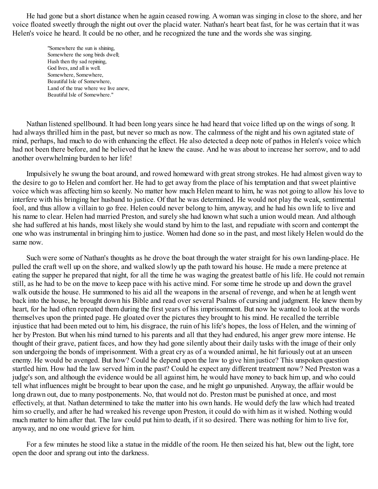He had gone but a short distance when he again ceased rowing. A woman was singing in close to the shore, and her voice floated sweetly through the night out over the placid water. Nathan's heart beat fast, for he was certain that it was Helen's voice he heard. It could be no other, and he recognized the tune and the words she was singing.

> "Somewhere the sun is shining, Somewhere the song birds dwell; Hush then thy sad repining, God lives, and all is well. Somewhere, Somewhere, Beautiful Isle of Somewhere, Land of the true where we live anew, Beautiful Isle of Somewhere."

Nathan listened spellbound. It had been long years since he had heard that voice lifted up on the wings of song. It had always thrilled him in the past, but never so much as now. The calmness of the night and his own agitated state of mind, perhaps, had much to do with enhancing the effect. He also detected a deep note of pathos in Helen's voice which had not been there before, and he believed that he knew the cause. And he was about to increase her sorrow, and to add another overwhelming burden to her life!

Impulsively he swung the boat around, and rowed homeward with great strong strokes. He had almost given way to the desire to go to Helen and comfort her. He had to get away from the place of his temptation and that sweet plaintive voice which was affecting him so keenly. No matter how much Helen meant to him, he was not going to allow his love to interfere with his bringing her husband to justice. Of that he was determined. He would not play the weak, sentimental fool, and thus allow a villain to go free. Helen could never belong to him, anyway, and he had his own life to live and his name to clear. Helen had married Preston, and surely she had known what such a union would mean. And although she had suffered at his hands, most likely she would stand by him to the last, and repudiate with scorn and contempt the one who was instrumental in bringing him to justice. Women had done so in the past, and most likely Helen would do the same now.

Such were some of Nathan's thoughts as he drove the boat through the water straight for his own landing-place. He pulled the craft well up on the shore, and walked slowly up the path toward his house. He made a mere pretence at eating the supper he prepared that night, for all the time he was waging the greatest battle of his life. He could not remain still, as he had to be on the move to keep pace with his active mind. For some time he strode up and down the gravel walk outside the house. He summoned to his aid all the weapons in the arsenal of revenge, and when he at length went back into the house, he brought down his Bible and read over several Psalms of cursing and judgment. He knew them by heart, for he had often repeated them during the first years of his imprisonment. But now he wanted to look at the words themselves upon the printed page. He gloated over the pictures they brought to his mind. He recalled the terrible injustice that had been meted out to him, his disgrace, the ruin of his life's hopes, the loss of Helen, and the winning of her by Preston. But when his mind turned to his parents and all that they had endured, his anger grew more intense. He thought of their grave, patient faces, and how they had gone silently about their daily tasks with the image of their only son undergoing the bonds of imprisonment. With a great cry as of a wounded animal, he hit furiously out at an unseen enemy. He would be avenged. But how? Could he depend upon the law to give him justice? This unspoken question startled him. How had the law served him in the past? Could he expect any different treatment now? Ned Preston was a judge's son, and although the evidence would be all against him, he would have money to back him up, and who could tell what influences might be brought to bear upon the case, and he might go unpunished. Anyway, the affair would be long drawn out, due to many postponements. No, that would not do. Preston must be punished at once, and most effectively, at that. Nathan determined to take the matter into his own hands. He would defy the law which had treated him so cruelly, and after he had wreaked his revenge upon Preston, it could do with him as it wished. Nothing would much matter to him after that. The law could put him to death, if it so desired. There was nothing for him to live for, anyway, and no one would grieve for him.

<span id="page-34-0"></span>For a few minutes he stood like a statue in the middle of the room. He then seized his hat, blew out the light, tore open the door and sprang out into the darkness.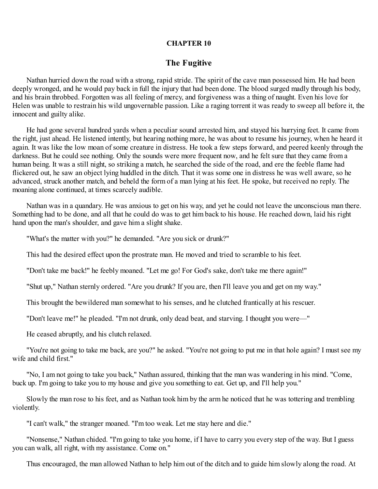#### **CHAPTER 10**

#### **The Fugitive**

Nathan hurried down the road with a strong, rapid stride. The spirit of the cave man possessed him. He had been deeply wronged, and he would pay back in full the injury that had been done. The blood surged madly through his body, and his brain throbbed. Forgotten was all feeling of mercy, and forgiveness was a thing of naught. Even his love for Helen was unable to restrain his wild ungovernable passion. Like a raging torrent it was ready to sweep all before it, the innocent and guilty alike.

He had gone several hundred yards when a peculiar sound arrested him, and stayed his hurrying feet. It came from the right, just ahead. He listened intently, but hearing nothing more, he was about to resume his journey, when he heard it again. It was like the low moan of some creature in distress. He took a few steps forward, and peered keenly through the darkness. But he could see nothing. Only the sounds were more frequent now, and he felt sure that they came from a human being. It was a still night, so striking a match, he searched the side of the road, and ere the feeble flame had flickered out, he saw an object lying huddled in the ditch. That it was some one in distress he was well aware, so he advanced, struck another match, and beheld the form of a man lying at his feet. He spoke, but received no reply. The moaning alone continued, at times scarcely audible.

Nathan was in a quandary. He was anxious to get on his way, and yet he could not leave the unconscious man there. Something had to be done, and all that he could do was to get him back to his house. He reached down, laid his right hand upon the man's shoulder, and gave him a slight shake.

"What's the matter with you?" he demanded. "Are you sick or drunk?"

This had the desired effect upon the prostrate man. He moved and tried to scramble to his feet.

"Don't take me back!" he feebly moaned. "Let me go! For God's sake, don't take me there again!"

"Shut up," Nathan sternly ordered. "Are you drunk? If you are, then I'll leave you and get on my way."

This brought the bewildered man somewhat to his senses, and he clutched frantically at his rescuer.

"Don't leave me!" he pleaded. "I'm not drunk, only dead beat, and starving. I thought you were—"

He ceased abruptly, and his clutch relaxed.

"You're not going to take me back, are you?" he asked. "You're not going to put me in that hole again? I must see my wife and child first."

"No, I am not going to take you back," Nathan assured, thinking that the man was wandering in his mind. "Come, buck up. I'm going to take you to my house and give you something to eat. Get up, and I'll help you."

Slowly the man rose to his feet, and as Nathan took him by the arm he noticed that he was tottering and trembling violently.

"I can't walk," the stranger moaned. "I'm too weak. Let me stay here and die."

"Nonsense," Nathan chided. "I'm going to take you home, if I have to carry you every step of the way. But I guess you can walk, all right, with my assistance. Come on."

Thus encouraged, the man allowed Nathan to help him out of the ditch and to guide him slowly along the road. At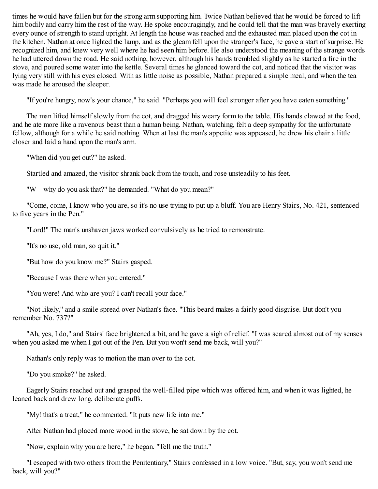times he would have fallen but for the strong arm supporting him. Twice Nathan believed that he would be forced to lift him bodily and carry him the rest of the way. He spoke encouragingly, and he could tell that the man was bravely exerting every ounce of strength to stand upright. At length the house was reached and the exhausted man placed upon the cot in the kitchen. Nathan at once lighted the lamp, and as the gleam fell upon the stranger's face, he gave a start of surprise. He recognized him, and knew very well where he had seen him before. He also understood the meaning of the strange words he had uttered down the road. He said nothing, however, although his hands trembled slightly as he started a fire in the stove, and poured some water into the kettle. Several times he glanced toward the cot, and noticed that the visitor was lying very still with his eyes closed. With as little noise as possible, Nathan prepared a simple meal, and when the tea was made he aroused the sleeper.

"If you're hungry, now's your chance," he said. "Perhaps you will feel stronger after you have eaten something."

The man lifted himself slowly from the cot, and dragged his weary form to the table. His hands clawed at the food, and he ate more like a ravenous beast than a human being. Nathan, watching, felt a deep sympathy for the unfortunate fellow, although for a while he said nothing. When at last the man's appetite was appeased, he drew his chair a little closer and laid a hand upon the man's arm.

"When did you get out?" he asked.

Startled and amazed, the visitor shrank back from the touch, and rose unsteadily to his feet.

"W—why do you ask that?" he demanded. "What do you mean?"

"Come, come, I know who you are, so it's no use trying to put up a bluff. You are Henry Stairs, No. 421, sentenced to five years in the Pen."

"Lord!" The man's unshaven jaws worked convulsively as he tried to remonstrate.

"It's no use, old man, so quit it."

"But how do you know me?" Stairs gasped.

"Because I was there when you entered."

"You were! And who are you? I can't recall your face."

"Not likely," and a smile spread over Nathan's face. "This beard makes a fairly good disguise. But don't you remember No. 737?"

"Ah, yes, I do," and Stairs' face brightened a bit, and he gave a sigh of relief. "I was scared almost out of my senses when you asked me when I got out of the Pen. But you won't send me back, will you?"

Nathan's only reply was to motion the man over to the cot.

"Do you smoke?" he asked.

Eagerly Stairs reached out and grasped the well-filled pipe which was offered him, and when it was lighted, he leaned back and drew long, deliberate puffs.

"My! that's a treat," he commented. "It puts new life into me."

After Nathan had placed more wood in the stove, he sat down by the cot.

"Now, explain why you are here," he began. "Tell me the truth."

"I escaped with two others from the Penitentiary," Stairs confessed in a low voice. "But, say, you won't send me back, will you?"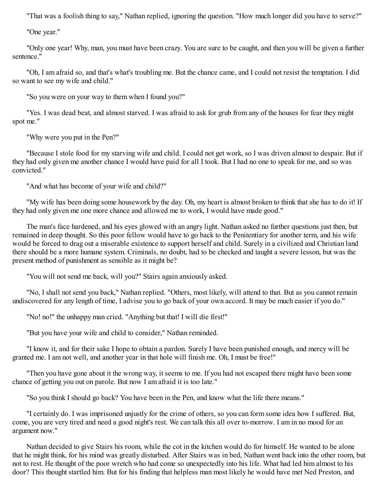"That was a foolish thing to say," Nathan replied, ignoring the question. "How much longer did you have to serve?"

"One year."

"Only one year! Why, man, you must have been crazy. You are sure to be caught, and then you will be given a further sentence."

"Oh, I am afraid so, and that's what's troubling me. But the chance came, and I could not resist the temptation. I did so want to see my wife and child."

"So you were on your way to them when I found you?"

"Yes. I was dead beat, and almost starved. I was afraid to ask for grub from any of the houses for fear they might spot me."

"Why were you put in the Pen?"

"Because I stole food for my starving wife and child. I could not get work, so I was driven almost to despair. But if they had only given me another chance I would have paid for all I took. But I had no one to speak for me, and so was convicted."

"And what has become of your wife and child?"

"My wife has been doing some housework by the day. Oh, my heart is almost broken to think that she has to do it! If they had only given me one more chance and allowed me to work, I would have made good."

The man's face hardened, and his eyes glowed with an angry light. Nathan asked no further questions just then, but remained in deep thought. So this poor fellow would have to go back to the Penitentiary for another term, and his wife would be forced to drag out a miserable existence to support herself and child. Surely in a civilized and Christian land there should be a more humane system. Criminals, no doubt, had to be checked and taught a severe lesson, but was the present method of punishment as sensible as it might be?

"You will not send me back, will you?" Stairs again anxiously asked.

"No, I shall not send you back," Nathan replied. "Others, most likely, will attend to that. But as you cannot remain undiscovered for any length of time, I advise you to go back of your own accord. It may be much easier if you do."

"No! no!" the unhappy man cried. "Anything but that! I will die first!"

"But you have your wife and child to consider," Nathan reminded.

"I know it, and for their sake I hope to obtain a pardon. Surely I have been punished enough, and mercy will be granted me. I am not well, and another year in that hole will finish me. Oh, I must be free!"

"Then you have gone about it the wrong way, it seems to me. If you had not escaped there might have been some chance of getting you out on parole. But now I am afraid it is too late."

"So you think I should go back? You have been in the Pen, and know what the life there means."

"I certainly do. I was imprisoned unjustly for the crime of others, so you can form some idea how I suffered. But, come, you are very tired and need a good night's rest. We can talk this all over to-morrow. I am in no mood for an argument now."

Nathan decided to give Stairs his room, while the cot in the kitchen would do for himself. He wanted to be alone that he might think, for his mind was greatly disturbed. After Stairs was in bed, Nathan went back into the other room, but not to rest. He thought of the poor wretch who had come so unexpectedly into his life. What had led him almost to his door? This thought startled him. But for his finding that helpless man most likely he would have met Ned Preston, and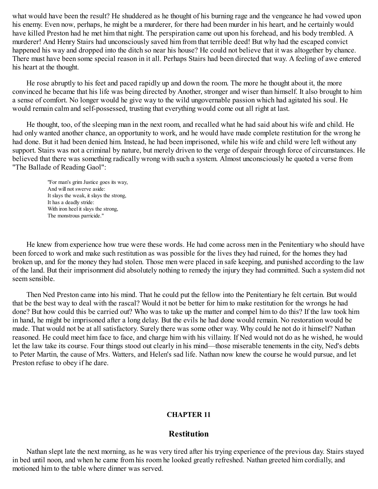what would have been the result? He shuddered as he thought of his burning rage and the vengeance he had vowed upon his enemy. Even now, perhaps, he might be a murderer, for there had been murder in his heart, and he certainly would have killed Preston had he met him that night. The perspiration came out upon his forehead, and his body trembled. A murderer! And Henry Stairs had unconsciously saved him from that terrible deed! But why had the escaped convict happened his way and dropped into the ditch so near his house? He could not believe that it was altogether by chance. There must have been some special reason in it all. Perhaps Stairs had been directed that way. A feeling of awe entered his heart at the thought.

He rose abruptly to his feet and paced rapidly up and down the room. The more he thought about it, the more convinced he became that his life was being directed by Another, stronger and wiser than himself. It also brought to him a sense of comfort. No longer would he give way to the wild ungovernable passion which had agitated his soul. He would remain calm and self-possessed, trusting that everything would come out all right at last.

He thought, too, of the sleeping man in the next room, and recalled what he had said about his wife and child. He had only wanted another chance, an opportunity to work, and he would have made complete restitution for the wrong he had done. But it had been denied him. Instead, he had been imprisoned, while his wife and child were left without any support. Stairs was not a criminal by nature, but merely driven to the verge of despair through force of circumstances. He believed that there was something radically wrong with such a system. Almost unconsciously he quoted a verse from "The Ballade of Reading Gaol":

"For man's grim Justice goes its way, And will not swerve aside: It slays the weak, it slays the strong, It has a deadly stride: With iron heel it slays the strong, The monstrous parricide."

He knew from experience how true were these words. He had come across men in the Penitentiary who should have been forced to work and make such restitution as was possible for the lives they had ruined, for the homes they had broken up, and for the money they had stolen. Those men were placed in safe keeping, and punished according to the law of the land. But their imprisonment did absolutely nothing to remedy the injury they had committed. Such a system did not seem sensible.

Then Ned Preston came into his mind. That he could put the fellow into the Penitentiary he felt certain. But would that be the best way to deal with the rascal? Would it not be better for him to make restitution for the wrongs he had done? But how could this be carried out? Who was to take up the matter and compel him to do this? If the law took him in hand, he might be imprisoned after a long delay. But the evils he had done would remain. No restoration would be made. That would not be at all satisfactory. Surely there was some other way. Why could he not do it himself? Nathan reasoned. He could meet him face to face, and charge him with his villainy. If Ned would not do as he wished, he would let the law take its course. Four things stood out clearly in his mind—those miserable tenements in the city, Ned's debts to Peter Martin, the cause of Mrs. Watters, and Helen's sad life. Nathan now knew the course he would pursue, and let Preston refuse to obey if he dare.

## **CHAPTER 11**

## **Restitution**

Nathan slept late the next morning, as he was very tired after his trying experience of the previous day. Stairs stayed in bed until noon, and when he came from his room he looked greatly refreshed. Nathan greeted him cordially, and motioned him to the table where dinner was served.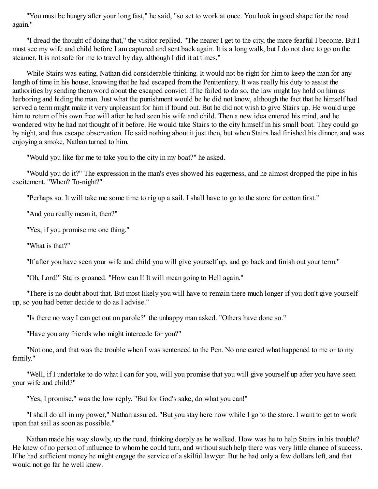"You must be hungry after your long fast," he said, "so set to work at once. You look in good shape for the road again."

"I dread the thought of doing that," the visitor replied. "The nearer I get to the city, the more fearful I become. But I must see my wife and child before I am captured and sent back again. It is a long walk, but I do not dare to go on the steamer. It is not safe for me to travel by day, although I did it at times."

While Stairs was eating, Nathan did considerable thinking. It would not be right for him to keep the man for any length of time in his house, knowing that he had escaped from the Penitentiary. It was really his duty to assist the authorities by sending them word about the escaped convict. If he failed to do so, the law might lay hold on him as harboring and hiding the man. Just what the punishment would be he did not know, although the fact that he himself had served a term might make it very unpleasant for him if found out. But he did not wish to give Stairs up. He would urge him to return of his own free will after he had seen his wife and child. Then a new idea entered his mind, and he wondered why he had not thought of it before. He would take Stairs to the city himself in his small boat. They could go by night, and thus escape observation. He said nothing about it just then, but when Stairs had finished his dinner, and was enjoying a smoke, Nathan turned to him.

"Would you like for me to take you to the city in my boat?" he asked.

"Would you do it?" The expression in the man's eyes showed his eagerness, and he almost dropped the pipe in his excitement. "When? To-night?"

"Perhaps so. It will take me some time to rig up a sail. I shall have to go to the store for cotton first."

"And you really mean it, then?"

"Yes, if you promise me one thing."

"What is that?"

"If after you have seen your wife and child you will give yourself up, and go back and finish out your term."

"Oh, Lord!" Stairs groaned. "How can I! It will mean going to Hell again."

"There is no doubt about that. But most likely you will have to remain there much longer if you don't give yourself up, so you had better decide to do as I advise."

"Is there no way I can get out on parole?" the unhappy man asked. "Others have done so."

"Have you any friends who might intercede for you?"

"Not one, and that was the trouble when I was sentenced to the Pen. No one cared what happened to me or to my family."

"Well, if I undertake to do what I can for you, will you promise that you will give yourself up after you have seen your wife and child?"

"Yes, I promise," was the low reply. "But for God's sake, do what you can!"

"I shall do all in my power," Nathan assured. "But you stay here now while I go to the store. I want to get to work upon that sail as soon as possible."

Nathan made his way slowly, up the road, thinking deeply as he walked. How was he to help Stairs in his trouble? He knew of no person of influence to whom he could turn, and without such help there was very little chance of success. If he had sufficient money he might engage the service of a skilful lawyer. But he had only a few dollars left, and that would not go far he well knew.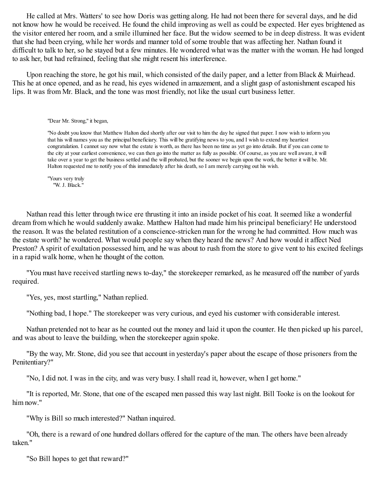He called at Mrs. Watters' to see how Doris was getting along. He had not been there for several days, and he did not know how he would be received. He found the child improving as well as could be expected. Her eyes brightened as the visitor entered her room, and a smile illumined her face. But the widow seemed to be in deep distress. It was evident that she had been crying, while her words and manner told of some trouble that was affecting her. Nathan found it difficult to talk to her, so he stayed but a few minutes. He wondered what was the matter with the woman. He had longed to ask her, but had refrained, feeling that she might resent his interference.

Upon reaching the store, he got his mail, which consisted of the daily paper, and a letter from Black & Muirhead. This he at once opened, and as he read, his eyes widened in amazement, and a slight gasp of astonishment escaped his lips. It was from Mr. Black, and the tone was most friendly, not like the usual curt business letter.

"Dear Mr. Strong," it began,

"No doubt you know that Matthew Halton died shortly after our visit to him the day he signed that paper. I now wish to inform you that his will names you as the principal beneficiary. This will be gratifying news to you, and I wish to extend my heartiest congratulation. I cannot say now what the estate is worth, as there has been no time as yet go into details. But if you can come to the city at your earliest convenience, we can then go into the matter as fully as possible. Of course, as you are well aware, it will take over a year to get the business settled and the will probated, but the sooner we begin upon the work, the better it will be. Mr. Halton requested me to notify you of this immediately after his death, so I am merely carrying out his wish.

"Yours very truly "W. J. Black."

Nathan read this letter through twice ere thrusting it into an inside pocket of his coat. It seemed like a wonderful dream from which he would suddenly awake. Matthew Halton had made him his principal beneficiary! He understood the reason. It was the belated restitution of a conscience-stricken man for the wrong he had committed. How much was the estate worth? he wondered. What would people say when they heard the news? And how would it affect Ned Preston? A spirit of exultation possessed him, and he was about to rush from the store to give vent to his excited feelings in a rapid walk home, when he thought of the cotton.

"You must have received startling news to-day," the storekeeper remarked, as he measured off the number of yards required.

"Yes, yes, most startling," Nathan replied.

"Nothing bad, I hope." The storekeeper was very curious, and eyed his customer with considerable interest.

Nathan pretended not to hear as he counted out the money and laid it upon the counter. He then picked up his parcel, and was about to leave the building, when the storekeeper again spoke.

"By the way, Mr. Stone, did you see that account in yesterday's paper about the escape of those prisoners from the Penitentiary?"

"No, I did not. I was in the city, and was very busy. I shall read it, however, when I get home."

"It is reported, Mr. Stone, that one of the escaped men passed this way last night. Bill Tooke is on the lookout for him now."

"Why is Bill so much interested?" Nathan inquired.

"Oh, there is a reward of one hundred dollars offered for the capture of the man. The others have been already taken."

"So Bill hopes to get that reward?"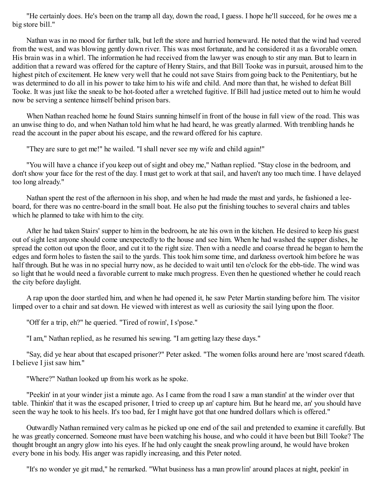"He certainly does. He's been on the tramp all day, down the road, I guess. I hope he'll succeed, for he owes me a big store bill."

Nathan was in no mood for further talk, but left the store and hurried homeward. He noted that the wind had veered from the west, and was blowing gently down river. This was most fortunate, and he considered it as a favorable omen. His brain was in a whirl. The information he had received from the lawyer was enough to stir any man. But to learn in addition that a reward was offered for the capture of Henry Stairs, and that Bill Tooke was in pursuit, aroused him to the highest pitch of excitement. He knew very well that he could not save Stairs from going back to the Penitentiary, but he was determined to do all in his power to take him to his wife and child. And more than that, he wished to defeat Bill Tooke. It was just like the sneak to be hot-footed after a wretched fugitive. If Bill had justice meted out to him he would now be serving a sentence himself behind prison bars.

When Nathan reached home he found Stairs sunning himself in front of the house in full view of the road. This was an unwise thing to do, and when Nathan told him what he had heard, he was greatly alarmed. With trembling hands he read the account in the paper about his escape, and the reward offered for his capture.

"They are sure to get me!" he wailed. "I shall never see my wife and child again!"

"You will have a chance if you keep out of sight and obey me," Nathan replied. "Stay close in the bedroom, and don't show your face for the rest of the day. I must get to work at that sail, and haven't any too much time. I have delayed too long already."

Nathan spent the rest of the afternoon in his shop, and when he had made the mast and yards, he fashioned a leeboard, for there was no centre-board in the small boat. He also put the finishing touches to several chairs and tables which he planned to take with him to the city.

After he had taken Stairs' supper to him in the bedroom, he ate his own in the kitchen. He desired to keep his guest out of sight lest anyone should come unexpectedly to the house and see him. When he had washed the supper dishes, he spread the cotton out upon the floor, and cut it to the right size. Then with a needle and coarse thread he began to hem the edges and form holes to fasten the sail to the yards. This took him some time, and darkness overtook him before he was half through. But he was in no special hurry now, as he decided to wait until ten o'clock for the ebb-tide. The wind was so light that he would need a favorable current to make much progress. Even then he questioned whether he could reach the city before daylight.

A rap upon the door startled him, and when he had opened it, he saw Peter Martin standing before him. The visitor limped over to a chair and sat down. He viewed with interest as well as curiosity the sail lying upon the floor.

"Off fer a trip, eh?" he queried. "Tired of rowin', I s'pose."

"I am," Nathan replied, as he resumed his sewing. "I am getting lazy these days."

"Say, did ye hear about that escaped prisoner?" Peter asked. "The women folks around here are 'most scared t'death. I believe I jist saw him."

"Where?" Nathan looked up from his work as he spoke.

"Peekin' in at your winder jist a minute ago. As I came from the road I saw a man standin' at the winder over that table. Thinkin' that it was the escaped prisoner, I tried to creep up an' capture him. But he heard me, an' you should have seen the way he took to his heels. It's too bad, fer I might have got that one hundred dollars which is offered."

Outwardly Nathan remained very calm as he picked up one end of the sail and pretended to examine it carefully. But he was greatly concerned. Someone must have been watching his house, and who could it have been but Bill Tooke? The thought brought an angry glow into his eyes. If he had only caught the sneak prowling around, he would have broken every bone in his body. His anger was rapidly increasing, and this Peter noted.

"It's no wonder ye git mad," he remarked. "What business has a man prowlin' around places at night, peekin' in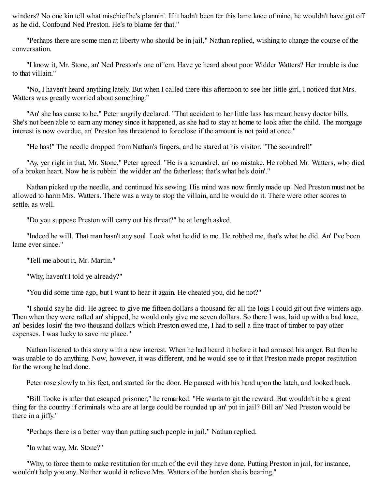winders? No one kin tell what mischief he's plannin'. If it hadn't been fer this lame knee of mine, he wouldn't have got off as he did. Confound Ned Preston. He's to blame fer that."

"Perhaps there are some men at liberty who should be in jail," Nathan replied, wishing to change the course of the conversation.

"I know it, Mr. Stone, an' Ned Preston's one of 'em. Have ye heard about poor Widder Watters? Her trouble is due to that villain."

"No, I haven't heard anything lately. But when I called there this afternoon to see her little girl, I noticed that Mrs. Watters was greatly worried about something."

"An' she has cause to be," Peter angrily declared. "That accident to her little lass has meant heavy doctor bills. She's not been able to earn any money since it happened, as she had to stay at home to look after the child. The mortgage interest is now overdue, an' Preston has threatened to foreclose if the amount is not paid at once."

"He has!" The needle dropped from Nathan's fingers, and he stared at his visitor. "The scoundrel!"

"Ay, yer right in that, Mr. Stone," Peter agreed. "He is a scoundrel, an' no mistake. He robbed Mr. Watters, who died of a broken heart. Now he is robbin' the widder an' the fatherless; that's what he's doin'."

Nathan picked up the needle, and continued his sewing. His mind was now firmly made up. Ned Preston must not be allowed to harm Mrs. Watters. There was a way to stop the villain, and he would do it. There were other scores to settle, as well.

"Do you suppose Preston will carry out his threat?" he at length asked.

"Indeed he will. That man hasn't any soul. Look what he did to me. He robbed me, that's what he did. An' I've been lame ever since."

"Tell me about it, Mr. Martin."

"Why, haven't I told ye already?"

"You did some time ago, but I want to hear it again. He cheated you, did he not?"

"I should say he did. He agreed to give me fifteen dollars a thousand fer all the logs I could git out five winters ago. Then when they were rafted an' shipped, he would only give me seven dollars. So there I was, laid up with a bad knee, an' besides losin' the two thousand dollars which Preston owed me, I had to sell a fine tract of timber to pay other expenses. I was lucky to save me place."

Nathan listened to this story with a new interest. When he had heard it before it had aroused his anger. But then he was unable to do anything. Now, however, it was different, and he would see to it that Preston made proper restitution for the wrong he had done.

Peter rose slowly to his feet, and started for the door. He paused with his hand upon the latch, and looked back.

"Bill Tooke is after that escaped prisoner," he remarked. "He wants to git the reward. But wouldn't it be a great thing fer the country if criminals who are at large could be rounded up an' put in jail? Bill an' Ned Preston would be there in a jiffy."

"Perhaps there is a better way than putting such people in jail," Nathan replied.

"In what way, Mr. Stone?"

"Why, to force them to make restitution for much of the evil they have done. Putting Preston in jail, for instance, wouldn't help you any. Neither would it relieve Mrs. Watters of the burden she is bearing."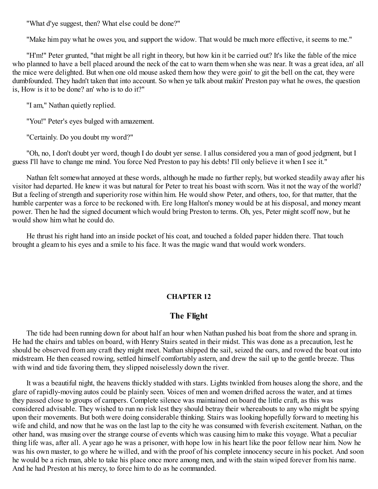"What d'ye suggest, then? What else could be done?"

"Make him pay what he owes you, and support the widow. That would be much more effective, it seems to me."

"H'm!" Peter grunted, "that might be all right in theory, but how kin it be carried out? It's like the fable of the mice who planned to have a bell placed around the neck of the cat to warn them when she was near. It was a great idea, an' all the mice were delighted. But when one old mouse asked them how they were goin' to git the bell on the cat, they were dumbfounded. They hadn't taken that into account. So when ye talk about makin' Preston pay what he owes, the question is, How is it to be done? an' who is to do it?"

"I am," Nathan quietly replied.

"You!" Peter's eyes bulged with amazement.

"Certainly. Do you doubt my word?"

"Oh, no, I don't doubt yer word, though I do doubt yer sense. I allus considered you a man of good jedgment, but I guess I'll have to change me mind. You force Ned Preston to pay his debts! I'll only believe it when I see it."

Nathan felt somewhat annoyed at these words, although he made no further reply, but worked steadily away after his visitor had departed. He knew it was but natural for Peter to treat his boast with scorn. Was it not the way of the world? But a feeling of strength and superiority rose within him. He would show Peter, and others, too, for that matter, that the humble carpenter was a force to be reckoned with. Ere long Halton's money would be at his disposal, and money meant power. Then he had the signed document which would bring Preston to terms. Oh, yes, Peter might scoff now, but he would show him what he could do.

He thrust his right hand into an inside pocket of his coat, and touched a folded paper hidden there. That touch brought a gleam to his eyes and a smile to his face. It was the magic wand that would work wonders.

## **CHAPTER 12**

# **The Flight**

The tide had been running down for about half an hour when Nathan pushed his boat from the shore and sprang in. He had the chairs and tables on board, with Henry Stairs seated in their midst. This was done as a precaution, lest he should be observed from any craft they might meet. Nathan shipped the sail, seized the oars, and rowed the boat out into midstream. He then ceased rowing, settled himself comfortably astern, and drew the sail up to the gentle breeze. Thus with wind and tide favoring them, they slipped noiselessly down the river.

It was a beautiful night, the heavens thickly studded with stars. Lights twinkled from houses along the shore, and the glare of rapidly-moving autos could be plainly seen. Voices of men and women drifted across the water, and at times they passed close to groups of campers. Complete silence was maintained on board the little craft, as this was considered advisable. They wished to run no risk lest they should betray their whereabouts to any who might be spying upon their movements. But both were doing considerable thinking. Stairs was looking hopefully forward to meeting his wife and child, and now that he was on the last lap to the city he was consumed with feverish excitement. Nathan, on the other hand, was musing over the strange course of events which was causing him to make this voyage. What a peculiar thing life was, after all. A year ago he was a prisoner, with hope low in his heart like the poor fellow near him. Now he was his own master, to go where he willed, and with the proof of his complete innocency secure in his pocket. And soon he would be a rich man, able to take his place once more among men, and with the stain wiped forever from his name. And he had Preston at his mercy, to force him to do as he commanded.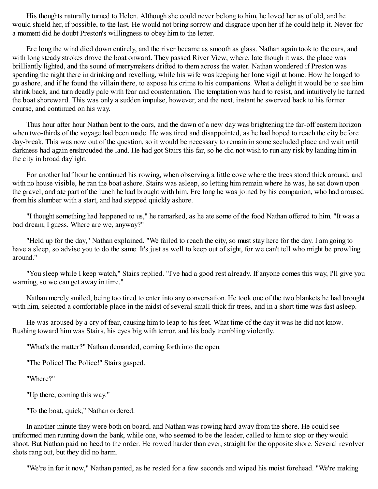His thoughts naturally turned to Helen. Although she could never belong to him, he loved her as of old, and he would shield her, if possible, to the last. He would not bring sorrow and disgrace upon her if he could help it. Never for a moment did he doubt Preston's willingness to obey him to the letter.

Ere long the wind died down entirely, and the river became as smooth as glass. Nathan again took to the oars, and with long steady strokes drove the boat onward. They passed River View, where, late though it was, the place was brilliantly lighted, and the sound of merrymakers drifted to them across the water. Nathan wondered if Preston was spending the night there in drinking and revelling, while his wife was keeping her lone vigil at home. How he longed to go ashore, and if he found the villain there, to expose his crime to his companions. What a delight it would be to see him shrink back, and turn deadly pale with fear and consternation. The temptation was hard to resist, and intuitively he turned the boat shoreward. This was only a sudden impulse, however, and the next, instant he swerved back to his former course, and continued on his way.

Thus hour after hour Nathan bent to the oars, and the dawn of a new day was brightening the far-off eastern horizon when two-thirds of the voyage had been made. He was tired and disappointed, as he had hoped to reach the city before day-break. This was now out of the question, so it would be necessary to remain in some secluded place and wait until darkness had again enshrouded the land. He had got Stairs this far, so he did not wish to run any risk by landing him in the city in broad daylight.

For another half hour he continued his rowing, when observing a little cove where the trees stood thick around, and with no house visible, he ran the boat ashore. Stairs was asleep, so letting him remain where he was, he sat down upon the gravel, and ate part of the lunch he had brought with him. Ere long he was joined by his companion, who had aroused from his slumber with a start, and had stepped quickly ashore.

"I thought something had happened to us," he remarked, as he ate some of the food Nathan offered to him. "It was a bad dream, I guess. Where are we, anyway?"

"Held up for the day," Nathan explained. "We failed to reach the city, so must stay here for the day. I am going to have a sleep, so advise you to do the same. It's just as well to keep out of sight, for we can't tell who might be prowling around."

"You sleep while I keep watch," Stairs replied. "I've had a good rest already. If anyone comes this way, I'll give you warning, so we can get away in time."

Nathan merely smiled, being too tired to enter into any conversation. He took one of the two blankets he had brought with him, selected a comfortable place in the midst of several small thick fir trees, and in a short time was fast asleep.

He was aroused by a cry of fear, causing him to leap to his feet. What time of the day it was he did not know. Rushing toward him was Stairs, his eyes big with terror, and his body trembling violently.

"What's the matter?" Nathan demanded, coming forth into the open.

"The Police! The Police!" Stairs gasped.

"Where?"

"Up there, coming this way."

"To the boat, quick," Nathan ordered.

In another minute they were both on board, and Nathan was rowing hard away from the shore. He could see uniformed men running down the bank, while one, who seemed to be the leader, called to him to stop or they would shoot. But Nathan paid no heed to the order. He rowed harder than ever, straight for the opposite shore. Several revolver shots rang out, but they did no harm.

"We're in for it now," Nathan panted, as he rested for a few seconds and wiped his moist forehead. "We're making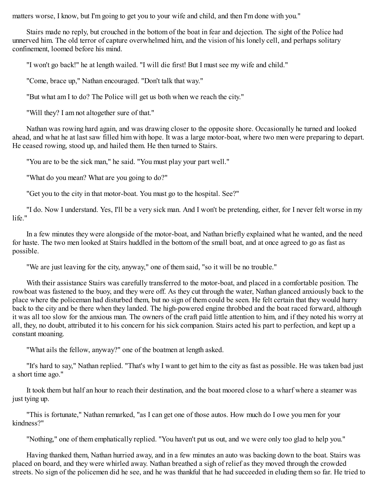matters worse, I know, but I'm going to get you to your wife and child, and then I'm done with you."

Stairs made no reply, but crouched in the bottom of the boat in fear and dejection. The sight of the Police had unnerved him. The old terror of capture overwhelmed him, and the vision of his lonely cell, and perhaps solitary confinement, loomed before his mind.

"I won't go back!" he at length wailed. "I will die first! But I must see my wife and child."

"Come, brace up," Nathan encouraged. "Don't talk that way."

"But what am I to do? The Police will get us both when we reach the city."

"Will they? I am not altogether sure of that."

Nathan was rowing hard again, and was drawing closer to the opposite shore. Occasionally he turned and looked ahead, and what he at last saw filled him with hope. It was a large motor-boat, where two men were preparing to depart. He ceased rowing, stood up, and hailed them. He then turned to Stairs.

"You are to be the sick man," he said. "You must play your part well."

"What do you mean? What are you going to do?"

"Get you to the city in that motor-boat. You must go to the hospital. See?"

"I do. Now I understand. Yes, I'll be a very sick man. And I won't be pretending, either, for I never felt worse in my life."

In a few minutes they were alongside of the motor-boat, and Nathan briefly explained what he wanted, and the need for haste. The two men looked at Stairs huddled in the bottom of the small boat, and at once agreed to go as fast as possible.

"We are just leaving for the city, anyway," one of them said, "so it will be no trouble."

With their assistance Stairs was carefully transferred to the motor-boat, and placed in a comfortable position. The rowboat was fastened to the buoy, and they were off. As they cut through the water, Nathan glanced anxiously back to the place where the policeman had disturbed them, but no sign of them could be seen. He felt certain that they would hurry back to the city and be there when they landed. The high-powered engine throbbed and the boat raced forward, although it was all too slow for the anxious man. The owners of the craft paid little attention to him, and if they noted his worry at all, they, no doubt, attributed it to his concern for his sick companion. Stairs acted his part to perfection, and kept up a constant moaning.

"What ails the fellow, anyway?" one of the boatmen at length asked.

"It's hard to say," Nathan replied. "That's why I want to get him to the city as fast as possible. He was taken bad just a short time ago."

It took them but half an hour to reach their destination, and the boat moored close to a wharf where a steamer was just tying up.

"This is fortunate," Nathan remarked, "as I can get one of those autos. How much do I owe you men for your kindness?"

"Nothing," one of them emphatically replied. "You haven't put us out, and we were only too glad to help you."

Having thanked them, Nathan hurried away, and in a few minutes an auto was backing down to the boat. Stairs was placed on board, and they were whirled away. Nathan breathed a sigh of relief as they moved through the crowded streets. No sign of the policemen did he see, and he was thankful that he had succeeded in eluding them so far. He tried to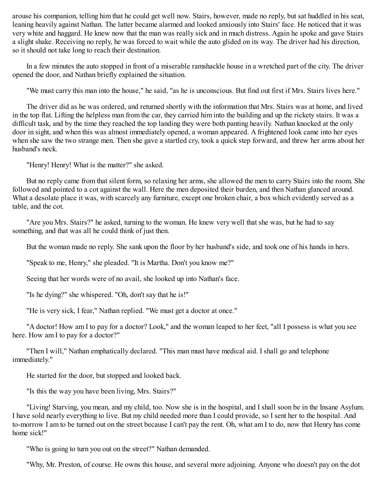arouse his companion, telling him that he could get well now. Stairs, however, made no reply, but sat huddled in his seat, leaning heavily against Nathan. The latter became alarmed and looked anxiously into Stairs' face. He noticed that it was very white and haggard. He knew now that the man was really sick and in much distress. Again he spoke and gave Stairs a slight shake. Receiving no reply, he was forced to wait while the auto glided on its way. The driver had his direction, so it should not take long to reach their destination.

In a few minutes the auto stopped in front of a miserable ramshackle house in a wretched part of the city. The driver opened the door, and Nathan briefly explained the situation.

"We must carry this man into the house," he said, "as he is unconscious. But find out first if Mrs. Stairs lives here."

The driver did as he was ordered, and returned shortly with the information that Mrs. Stairs was at home, and lived in the top flat. Lifting the helpless man from the car, they carried him into the building and up the rickety stairs. It was a difficult task, and by the time they reached the top landing they were both panting heavily. Nathan knocked at the only door in sight, and when this was almost immediately opened, a woman appeared. A frightened look came into her eyes when she saw the two strange men. Then she gave a startled cry, took a quick step forward, and threw her arms about her husband's neck.

"Henry! Henry! What is the matter?" she asked.

But no reply came from that silent form, so relaxing her arms, she allowed the men to carry Stairs into the room. She followed and pointed to a cot against the wall. Here the men deposited their burden, and then Nathan glanced around. What a desolate place it was, with scarcely any furniture, except one broken chair, a box which evidently served as a table, and the cot.

"Are you Mrs. Stairs?" he asked, turning to the woman. He knew very well that she was, but he had to say something, and that was all he could think of just then.

But the woman made no reply. She sank upon the floor by her husband's side, and took one of his hands in hers.

"Speak to me, Henry," she pleaded. "It is Martha. Don't you know me?"

Seeing that her words were of no avail, she looked up into Nathan's face.

"Is he dying?" she whispered. "Oh, don't say that he is!"

"He is very sick, I fear," Nathan replied. "We must get a doctor at once."

"A doctor! How am I to pay for a doctor? Look," and the woman leaped to her feet, "all I possess is what you see here. How am I to pay for a doctor?"

"Then I will," Nathan emphatically declared. "This man must have medical aid. I shall go and telephone immediately."

He started for the door, but stopped and looked back.

"Is this the way you have been living, Mrs. Stairs?"

"Living! Starving, you mean, and my child, too. Now she is in the hospital, and I shall soon be in the Insane Asylum. I have sold nearly everything to live. But my child needed more than I could provide, so I sent her to the hospital. And to-morrow I am to be turned out on the street because I can't pay the rent. Oh, what am I to do, now that Henry has come home sick!"

"Who is going to turn you out on the street?" Nathan demanded.

"Why, Mr. Preston, of course. He owns this house, and several more adjoining. Anyone who doesn't pay on the dot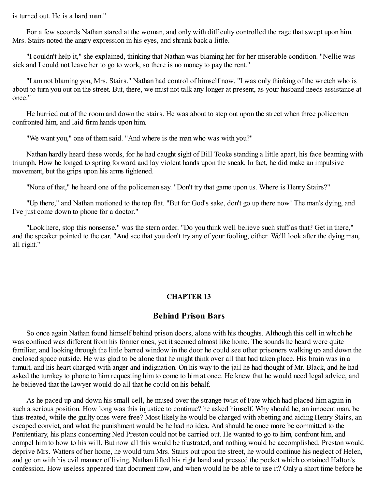is turned out. He is a hard man."

For a few seconds Nathan stared at the woman, and only with difficulty controlled the rage that swept upon him. Mrs. Stairs noted the angry expression in his eyes, and shrank back a little.

"I couldn't help it," she explained, thinking that Nathan was blaming her for her miserable condition. "Nellie was sick and I could not leave her to go to work, so there is no money to pay the rent."

"I am not blaming you, Mrs. Stairs." Nathan had control of himself now. "I was only thinking of the wretch who is about to turn you out on the street. But, there, we must not talk any longer at present, as your husband needs assistance at once."

He hurried out of the room and down the stairs. He was about to step out upon the street when three policemen confronted him, and laid firm hands upon him.

"We want you," one of them said. "And where is the man who was with you?"

Nathan hardly heard these words, for he had caught sight of Bill Tooke standing a little apart, his face beaming with triumph. How he longed to spring forward and lay violent hands upon the sneak. In fact, he did make an impulsive movement, but the grips upon his arms tightened.

"None of that," he heard one of the policemen say. "Don't try that game upon us. Where is Henry Stairs?"

"Up there," and Nathan motioned to the top flat. "But for God's sake, don't go up there now! The man's dying, and I've just come down to phone for a doctor."

"Look here, stop this nonsense," was the stern order. "Do you think well believe such stuff as that? Get in there," and the speaker pointed to the car. "And see that you don't try any of your fooling, either. We'll look after the dying man, all right."

### **CHAPTER 13**

# **Behind Prison Bars**

So once again Nathan found himself behind prison doors, alone with his thoughts. Although this cell in which he was confined was different from his former ones, yet it seemed almost like home. The sounds he heard were quite familiar, and looking through the little barred window in the door he could see other prisoners walking up and down the enclosed space outside. He was glad to be alone that he might think over all that had taken place. His brain was in a tumult, and his heart charged with anger and indignation. On his way to the jail he had thought of Mr. Black, and he had asked the turnkey to phone to him requesting him to come to him at once. He knew that he would need legal advice, and he believed that the lawyer would do all that he could on his behalf.

As he paced up and down his small cell, he mused over the strange twist of Fate which had placed him again in such a serious position. How long was this injustice to continue? he asked himself. Why should he, an innocent man, be thus treated, while the guilty ones were free? Most likely he would be charged with abetting and aiding Henry Stairs, an escaped convict, and what the punishment would be he had no idea. And should he once more be committed to the Penitentiary, his plans concerning Ned Preston could not be carried out. He wanted to go to him, confront him, and compel him to bow to his will. But now all this would be frustrated, and nothing would be accomplished. Preston would deprive Mrs. Watters of her home, he would turn Mrs. Stairs out upon the street, he would continue his neglect of Helen, and go on with his evil manner of living. Nathan lifted his right hand and pressed the pocket which contained Halton's confession. How useless appeared that document now, and when would he be able to use it? Only a short time before he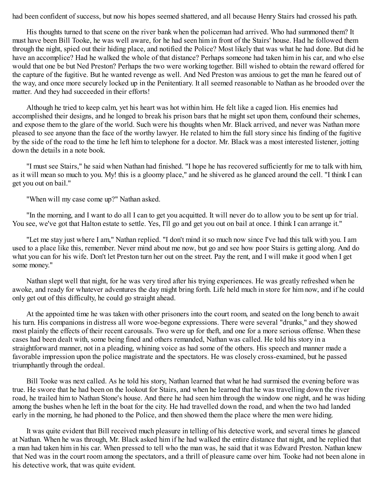had been confident of success, but now his hopes seemed shattered, and all because Henry Stairs had crossed his path.

His thoughts turned to that scene on the river bank when the policeman had arrived. Who had summoned them? It must have been Bill Tooke, he was well aware, for he had seen him in front of the Stairs' house. Had he followed them through the night, spied out their hiding place, and notified the Police? Most likely that was what he had done. But did he have an accomplice? Had he walked the whole of that distance? Perhaps someone had taken him in his car, and who else would that one be but Ned Preston? Perhaps the two were working together. Bill wished to obtain the reward offered for the capture of the fugitive. But he wanted revenge as well. And Ned Preston was anxious to get the man he feared out of the way, and once more securely locked up in the Penitentiary. It all seemed reasonable to Nathan as he brooded over the matter. And they had succeeded in their efforts!

Although he tried to keep calm, yet his heart was hot within him. He felt like a caged lion. His enemies had accomplished their designs, and he longed to break his prison bars that he might set upon them, confound their schemes, and expose them to the glare of the world. Such were his thoughts when Mr. Black arrived, and never was Nathan more pleased to see anyone than the face of the worthy lawyer. He related to him the full story since his finding of the fugitive by the side of the road to the time he left him to telephone for a doctor. Mr. Black was a most interested listener, jotting down the details in a note book.

"I must see Stairs," he said when Nathan had finished. "I hope he has recovered sufficiently for me to talk with him, as it will mean so much to you. My! this is a gloomy place," and he shivered as he glanced around the cell. "I think I can get you out on bail."

"When will my case come up?" Nathan asked.

"In the morning, and I want to do all I can to get you acquitted. It will never do to allow you to be sent up for trial. You see, we've got that Halton estate to settle. Yes, I'll go and get you out on bail at once. I think I can arrange it."

"Let me stay just where I am," Nathan replied. "I don't mind it so much now since I've had this talk with you. I am used to a place like this, remember. Never mind about me now, but go and see how poor Stairs is getting along. And do what you can for his wife. Don't let Preston turn her out on the street. Pay the rent, and I will make it good when I get some money."

Nathan slept well that night, for he was very tired after his trying experiences. He was greatly refreshed when he awoke, and ready for whatever adventures the day might bring forth. Life held much in store for him now, and if he could only get out of this difficulty, he could go straight ahead.

At the appointed time he was taken with other prisoners into the court room, and seated on the long bench to await his turn. His companions in distress all wore woe-begone expressions. There were several "drunks," and they showed most plainly the effects of their recent carousals. Two were up for theft, and one for a more serious offense. When these cases had been dealt with, some being fined and others remanded, Nathan was called. He told his story in a straightforward manner, not in a pleading, whining voice as had some of the others. His speech and manner made a favorable impression upon the police magistrate and the spectators. He was closely cross-examined, but he passed triumphantly through the ordeal.

Bill Tooke was next called. As he told his story, Nathan learned that what he had surmised the evening before was true. He swore that he had been on the lookout for Stairs, and when he learned that he was travelling down the river road, he trailed him to Nathan Stone's house. And there he had seen him through the window one night, and he was hiding among the bushes when he left in the boat for the city. He had travelled down the road, and when the two had landed early in the morning, he had phoned to the Police, and then showed them the place where the men were hiding.

It was quite evident that Bill received much pleasure in telling of his detective work, and several times he glanced at Nathan. When he was through, Mr. Black asked him if he had walked the entire distance that night, and he replied that a man had taken him in his car. When pressed to tell who the man was, he said that it was Edward Preston. Nathan knew that Ned was in the court room among the spectators, and a thrill of pleasure came over him. Tooke had not been alone in his detective work, that was quite evident.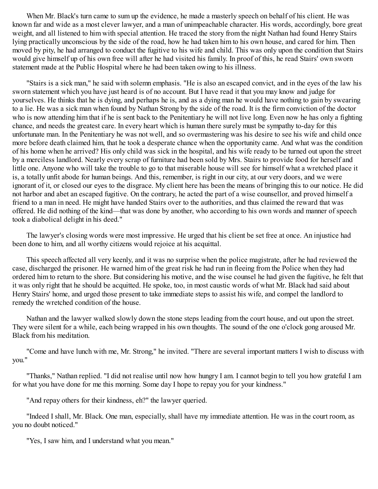When Mr. Black's turn came to sum up the evidence, he made a masterly speech on behalf of his client. He was known far and wide as a most clever lawyer, and a man of unimpeachable character. His words, accordingly, bore great weight, and all listened to him with special attention. He traced the story from the night Nathan had found Henry Stairs lying practically unconscious by the side of the road, how he had taken him to his own house, and cared for him. Then moved by pity, he had arranged to conduct the fugitive to his wife and child. This was only upon the condition that Stairs would give himself up of his own free will after he had visited his family. In proof of this, he read Stairs' own sworn statement made at the Public Hospital where he had been taken owing to his illness.

"Stairs is a sick man," he said with solemn emphasis. "He is also an escaped convict, and in the eyes of the law his sworn statement which you have just heard is of no account. But I have read it that you may know and judge for yourselves. He thinks that he is dying, and perhaps he is, and as a dying man he would have nothing to gain by swearing to a lie. He was a sick man when found by Nathan Strong by the side of the road. It is the firm conviction of the doctor who is now attending him that if he is sent back to the Penitentiary he will not live long. Even now he has only a fighting chance, and needs the greatest care. In every heart which is human there surely must be sympathy to-day for this unfortunate man. In the Penitentiary he was not well, and so overmastering was his desire to see his wife and child once more before death claimed him, that he took a desperate chance when the opportunity came. And what was the condition of his home when he arrived? His only child was sick in the hospital, and his wife ready to be turned out upon the street by a merciless landlord. Nearly every scrap of furniture had been sold by Mrs. Stairs to provide food for herself and little one. Anyone who will take the trouble to go to that miserable house will see for himself what a wretched place it is, a totally unfit abode for human beings. And this, remember, is right in our city, at our very doors, and we were ignorant of it, or closed our eyes to the disgrace. My client here has been the means of bringing this to our notice. He did not harbor and abet an escaped fugitive. On the contrary, he acted the part of a wise counsellor, and proved himself a friend to a man in need. He might have handed Stairs over to the authorities, and thus claimed the reward that was offered. He did nothing of the kind—that was done by another, who according to his own words and manner of speech took a diabolical delight in his deed."

The lawyer's closing words were most impressive. He urged that his client be set free at once. An injustice had been done to him, and all worthy citizens would rejoice at his acquittal.

This speech affected all very keenly, and it was no surprise when the police magistrate, after he had reviewed the case, discharged the prisoner. He warned him of the great risk he had run in fleeing from the Police when they had ordered him to return to the shore. But considering his motive, and the wise counsel he had given the fugitive, he felt that it was only right that he should be acquitted. He spoke, too, in most caustic words of what Mr. Black had said about Henry Stairs' home, and urged those present to take immediate steps to assist his wife, and compel the landlord to remedy the wretched condition of the house.

Nathan and the lawyer walked slowly down the stone steps leading from the court house, and out upon the street. They were silent for a while, each being wrapped in his own thoughts. The sound of the one o'clock gong aroused Mr. Black from his meditation.

"Come and have lunch with me, Mr. Strong," he invited. "There are several important matters I wish to discuss with you."

"Thanks," Nathan replied. "I did not realise until now how hungry I am. I cannot begin to tell you how grateful I am for what you have done for me this morning. Some day I hope to repay you for your kindness."

"And repay others for their kindness, eh?" the lawyer queried.

"Indeed I shall, Mr. Black. One man, especially, shall have my immediate attention. He was in the court room, as you no doubt noticed."

"Yes, I saw him, and I understand what you mean."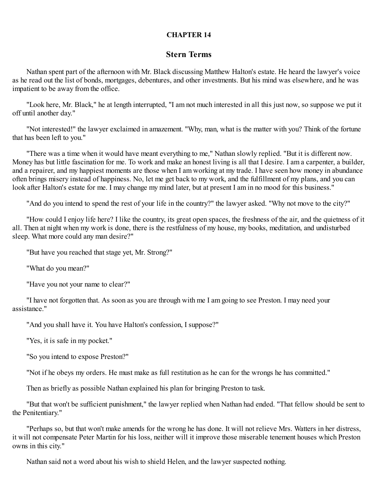### **CHAPTER 14**

# **Stern Terms**

Nathan spent part of the afternoon with Mr. Black discussing Matthew Halton's estate. He heard the lawyer's voice as he read out the list of bonds, mortgages, debentures, and other investments. But his mind was elsewhere, and he was impatient to be away from the office.

"Look here, Mr. Black," he at length interrupted, "I am not much interested in all this just now, so suppose we put it off until another day."

"Not interested!" the lawyer exclaimed in amazement. "Why, man, what is the matter with you? Think of the fortune that has been left to you."

"There was a time when it would have meant everything to me," Nathan slowly replied. "But it is different now. Money has but little fascination for me. To work and make an honest living is all that I desire. I am a carpenter, a builder, and a repairer, and my happiest moments are those when I am working at my trade. I have seen how money in abundance often brings misery instead of happiness. No, let me get back to my work, and the fulfillment of my plans, and you can look after Halton's estate for me. I may change my mind later, but at present I am in no mood for this business."

"And do you intend to spend the rest of your life in the country?" the lawyer asked. "Why not move to the city?"

"How could I enjoy life here? I like the country, its great open spaces, the freshness of the air, and the quietness of it all. Then at night when my work is done, there is the restfulness of my house, my books, meditation, and undisturbed sleep. What more could any man desire?"

"But have you reached that stage yet, Mr. Strong?"

"What do you mean?"

"Have you not your name to clear?"

"I have not forgotten that. As soon as you are through with me I am going to see Preston. I may need your assistance."

"And you shall have it. You have Halton's confession, I suppose?"

"Yes, it is safe in my pocket."

"So you intend to expose Preston?"

"Not if he obeys my orders. He must make as full restitution as he can for the wrongs he has committed."

Then as briefly as possible Nathan explained his plan for bringing Preston to task.

"But that won't be sufficient punishment," the lawyer replied when Nathan had ended. "That fellow should be sent to the Penitentiary."

"Perhaps so, but that won't make amends for the wrong he has done. It will not relieve Mrs. Watters in her distress, it will not compensate Peter Martin for his loss, neither will it improve those miserable tenement houses which Preston owns in this city."

Nathan said not a word about his wish to shield Helen, and the lawyer suspected nothing.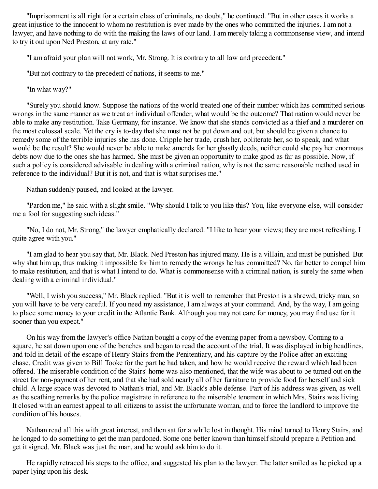"Imprisonment is all right for a certain class of criminals, no doubt," he continued. "But in other cases it works a great injustice to the innocent to whom no restitution is ever made by the ones who committed the injuries. I am not a lawyer, and have nothing to do with the making the laws of our land. I am merely taking a commonsense view, and intend to try it out upon Ned Preston, at any rate."

"I am afraid your plan will not work, Mr. Strong. It is contrary to all law and precedent."

"But not contrary to the precedent of nations, it seems to me."

"In what way?"

"Surely you should know. Suppose the nations of the world treated one of their number which has committed serious wrongs in the same manner as we treat an individual offender, what would be the outcome? That nation would never be able to make any restitution. Take Germany, for instance. We know that she stands convicted as a thief and a murderer on the most colossal scale. Yet the cry is to-day that she must not be put down and out, but should be given a chance to remedy some of the terrible injuries she has done. Cripple her trade, crush her, obliterate her, so to speak, and what would be the result? She would never be able to make amends for her ghastly deeds, neither could she pay her enormous debts now due to the ones she has harmed. She must be given an opportunity to make good as far as possible. Now, if such a policy is considered advisable in dealing with a criminal nation, why is not the same reasonable method used in reference to the individual? But it is not, and that is what surprises me."

Nathan suddenly paused, and looked at the lawyer.

"Pardon me," he said with a slight smile. "Why should I talk to you like this? You, like everyone else, will consider me a fool for suggesting such ideas."

"No, I do not, Mr. Strong," the lawyer emphatically declared. "I like to hear your views; they are most refreshing. I quite agree with you."

"I am glad to hear you say that, Mr. Black. Ned Preston has injured many. He is a villain, and must be punished. But why shut him up, thus making it impossible for him to remedy the wrongs he has committed? No, far better to compel him to make restitution, and that is what I intend to do. What is commonsense with a criminal nation, is surely the same when dealing with a criminal individual."

"Well, I wish you success," Mr. Black replied. "But it is well to remember that Preston is a shrewd, tricky man, so you will have to be very careful. If you need my assistance, I am always at your command. And, by the way, I am going to place some money to your credit in the Atlantic Bank. Although you may not care for money, you may find use for it sooner than you expect."

On his way from the lawyer's office Nathan bought a copy of the evening paper from a newsboy. Coming to a square, he sat down upon one of the benches and began to read the account of the trial. It was displayed in big headlines, and told in detail of the escape of Henry Stairs from the Penitentiary, and his capture by the Police after an exciting chase. Credit was given to Bill Tooke for the part he had taken, and how he would receive the reward which had been offered. The miserable condition of the Stairs' home was also mentioned, that the wife was about to be turned out on the street for non-payment of her rent, and that she had sold nearly all of her furniture to provide food for herself and sick child. A large space was devoted to Nathan's trial, and Mr. Black's able defense. Part of his address was given, as well as the scathing remarks by the police magistrate in reference to the miserable tenement in which Mrs. Stairs was living. It closed with an earnest appeal to all citizens to assist the unfortunate woman, and to force the landlord to improve the condition of his houses.

Nathan read all this with great interest, and then sat for a while lost in thought. His mind turned to Henry Stairs, and he longed to do something to get the man pardoned. Some one better known than himself should prepare a Petition and get it signed. Mr. Black was just the man, and he would ask him to do it.

He rapidly retraced his steps to the office, and suggested his plan to the lawyer. The latter smiled as he picked up a paper lying upon his desk.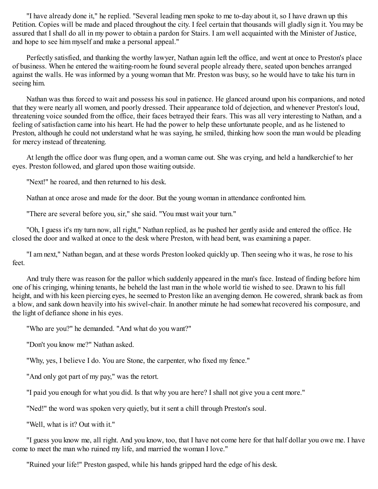"I have already done it," he replied. "Several leading men spoke to me to-day about it, so I have drawn up this Petition. Copies will be made and placed throughout the city. I feel certain that thousands will gladly sign it. You may be assured that I shall do all in my power to obtain a pardon for Stairs. I am well acquainted with the Minister of Justice, and hope to see him myself and make a personal appeal."

Perfectly satisfied, and thanking the worthy lawyer, Nathan again left the office, and went at once to Preston's place of business. When he entered the waiting-room he found several people already there, seated upon benches arranged against the walls. He was informed by a young woman that Mr. Preston was busy, so he would have to take his turn in seeing him.

Nathan was thus forced to wait and possess his soul in patience. He glanced around upon his companions, and noted that they were nearly all women, and poorly dressed. Their appearance told of dejection, and whenever Preston's loud, threatening voice sounded from the office, their faces betrayed their fears. This was all very interesting to Nathan, and a feeling of satisfaction came into his heart. He had the power to help these unfortunate people, and as he listened to Preston, although he could not understand what he was saying, he smiled, thinking how soon the man would be pleading for mercy instead of threatening.

At length the office door was flung open, and a woman came out. She was crying, and held a handkerchief to her eyes. Preston followed, and glared upon those waiting outside.

"Next!" he roared, and then returned to his desk.

Nathan at once arose and made for the door. But the young woman in attendance confronted him.

"There are several before you, sir," she said. "You must wait your turn."

"Oh, I guess it's my turn now, all right," Nathan replied, as he pushed her gently aside and entered the office. He closed the door and walked at once to the desk where Preston, with head bent, was examining a paper.

"I am next," Nathan began, and at these words Preston looked quickly up. Then seeing who it was, he rose to his feet.

And truly there was reason for the pallor which suddenly appeared in the man's face. Instead of finding before him one of his cringing, whining tenants, he beheld the last man in the whole world tie wished to see. Drawn to his full height, and with his keen piercing eyes, he seemed to Preston like an avenging demon. He cowered, shrank back as from a blow, and sank down heavily into his swivel-chair. In another minute he had somewhat recovered his composure, and the light of defiance shone in his eyes.

"Who are you?" he demanded. "And what do you want?"

"Don't you know me?" Nathan asked.

"Why, yes, I believe I do. You are Stone, the carpenter, who fixed my fence."

"And only got part of my pay," was the retort.

"I paid you enough for what you did. Is that why you are here? I shall not give you a cent more."

"Ned!" the word was spoken very quietly, but it sent a chill through Preston's soul.

"Well, what is it? Out with it."

"I guess you know me, all right. And you know, too, that I have not come here for that half dollar you owe me. I have come to meet the man who ruined my life, and married the woman I love."

"Ruined your life!" Preston gasped, while his hands gripped hard the edge of his desk.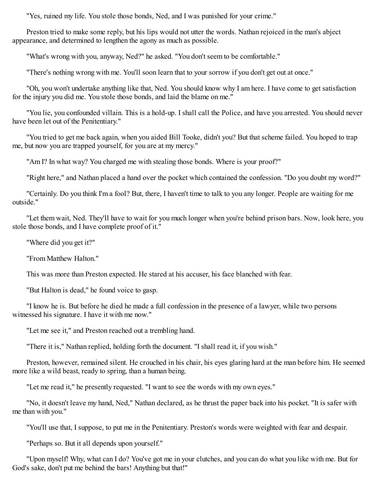"Yes, ruined my life. You stole those bonds, Ned, and I was punished for your crime."

Preston tried to make some reply, but his lips would not utter the words. Nathan rejoiced in the man's abject appearance, and determined to lengthen the agony as much as possible.

"What's wrong with you, anyway, Ned?" he asked. "You don't seem to be comfortable."

"There's nothing wrong with me. You'll soon learn that to your sorrow if you don't get out at once."

"Oh, you won't undertake anything like that, Ned. You should know why I am here. I have come to get satisfaction for the injury you did me. You stole those bonds, and laid the blame on me."

"You lie, you confounded villain. This is a hold-up. I shall call the Police, and have you arrested. You should never have been let out of the Penitentiary."

"You tried to get me back again, when you aided Bill Tooke, didn't you? But that scheme failed. You hoped to trap me, but now you are trapped yourself, for you are at my mercy."

"Am I? In what way? You charged me with stealing those bonds. Where is your proof?"

"Right here," and Nathan placed a hand over the pocket which contained the confession. "Do you doubt my word?"

"Certainly. Do you think I'm a fool? But, there, I haven't time to talk to you any longer. People are waiting for me outside."

"Let them wait, Ned. They'll have to wait for you much longer when you're behind prison bars. Now, look here, you stole those bonds, and I have complete proof of it."

"Where did you get it?"

"From Matthew Halton."

This was more than Preston expected. He stared at his accuser, his face blanched with fear.

"But Halton is dead," he found voice to gasp.

"I know he is. But before he died he made a full confession in the presence of a lawyer, while two persons witnessed his signature. I have it with me now."

"Let me see it," and Preston reached out a trembling hand.

"There it is," Nathan replied, holding forth the document. "I shall read it, if you wish."

Preston, however, remained silent. He crouched in his chair, his eyes glaring hard at the man before him. He seemed more like a wild beast, ready to spring, than a human being.

"Let me read it," he presently requested. "I want to see the words with my own eyes."

"No, it doesn't leave my hand, Ned," Nathan declared, as he thrust the paper back into his pocket. "It is safer with me than with you."

"You'll use that, I suppose, to put me in the Penitentiary. Preston's words were weighted with fear and despair.

"Perhaps so. But it all depends upon yourself."

"Upon myself! Why, what can I do? You've got me in your clutches, and you can do what you like with me. But for God's sake, don't put me behind the bars! Anything but that!"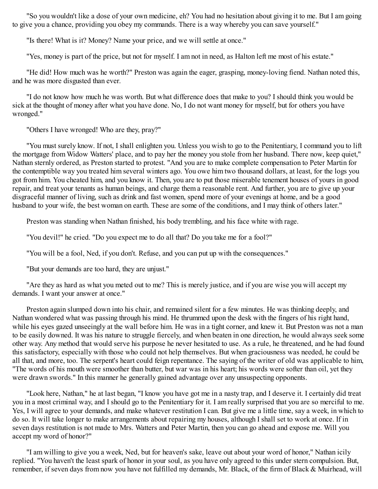"So you wouldn't like a dose of your own medicine, eh? You had no hesitation about giving it to me. But I am going to give you a chance, providing you obey my commands. There is a way whereby you can save yourself."

"Is there! What is it? Money? Name your price, and we will settle at once."

"Yes, money is part of the price, but not for myself. I am not in need, as Halton left me most of his estate."

"He did! How much was he worth?" Preston was again the eager, grasping, money-loving fiend. Nathan noted this, and he was more disgusted than ever.

"I do not know how much he was worth. But what difference does that make to you? I should think you would be sick at the thought of money after what you have done. No, I do not want money for myself, but for others you have wronged."

"Others I have wronged! Who are they, pray?"

"You must surely know. If not, I shall enlighten you. Unless you wish to go to the Penitentiary, I command you to lift the mortgage from Widow Watters' place, and to pay her the money you stole from her husband. There now, keep quiet," Nathan sternly ordered, as Preston started to protest. "And you are to make complete compensation to Peter Martin for the contemptible way you treated him several winters ago. You owe him two thousand dollars, at least, for the logs you got from him. You cheated him, and you know it. Then, you are to put those miserable tenement houses of yours in good repair, and treat your tenants as human beings, and charge them a reasonable rent. And further, you are to give up your disgraceful manner of living, such as drink and fast women, spend more of your evenings at home, and be a good husband to your wife, the best woman on earth. These are some of the conditions, and I may think of others later."

Preston was standing when Nathan finished, his body trembling, and his face white with rage.

"You devil!" he cried. "Do you expect me to do all that? Do you take me for a fool?"

"You will be a fool, Ned, if you don't. Refuse, and you can put up with the consequences."

"But your demands are too hard, they are unjust."

"Are they as hard as what you meted out to me? This is merely justice, and if you are wise you will accept my demands. I want your answer at once."

Preston again slumped down into his chair, and remained silent for a few minutes. He was thinking deeply, and Nathan wondered what was passing through his mind. He thrummed upon the desk with the fingers of his right hand, while his eyes gazed unseeingly at the wall before him. He was in a tight corner, and knew it. But Preston was not a man to be easily downed. It was his nature to struggle fiercely, and when beaten in one direction, he would always seek some other way. Any method that would serve his purpose he never hesitated to use. As a rule, he threatened, and he had found this satisfactory, especially with those who could not help themselves. But when graciousness was needed, he could be all that, and more, too. The serpent's heart could feign repentance. The saying of the writer of old was applicable to him, "The words of his mouth were smoother than butter, but war was in his heart; his words were softer than oil, yet they were drawn swords." In this manner he generally gained advantage over any unsuspecting opponents.

"Look here, Nathan," he at last began, "I know you have got me in a nasty trap, and I deserve it. I certainly did treat you in a most criminal way, and I should go to the Penitentiary for it. I am really surprised that you are so merciful to me. Yes, I will agree to your demands, and make whatever restitution I can. But give me a little time, say a week, in which to do so. It will take longer to make arrangements about repairing my houses, although I shall set to work at once. If in seven days restitution is not made to Mrs. Watters and Peter Martin, then you can go ahead and expose me. Will you accept my word of honor?"

"I am willing to give you a week, Ned, but for heaven's sake, leave out about your word of honor," Nathan icily replied. "You haven't the least spark of honor in your soul, as you have only agreed to this under stern compulsion. But, remember, if seven days from now you have not fulfilled my demands, Mr. Black, of the firm of Black & Muirhead, will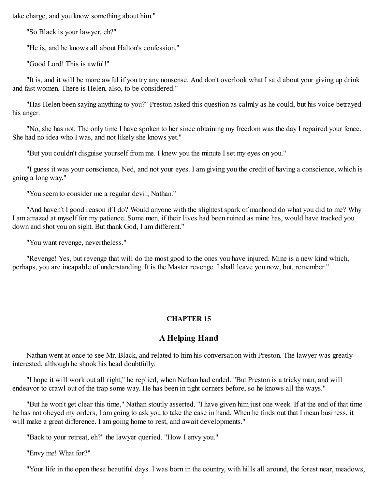take charge, and you know something about him."

"So Black is your lawyer, eh?"

"He is, and he knows all about Halton's confession."

"Good Lord! This is awful!"

"It is, and it will be more awful if you try any nonsense. And don't overlook what I said about your giving up drink and fast women. There is Helen, also, to be considered."

"Has Helen been saying anything to you?" Preston asked this question as calmly as he could, but his voice betrayed his anger.

"No, she has not. The only time I have spoken to her since obtaining my freedom was the day I repaired your fence. She had no idea who I was, and not likely she knows yet."

"But you couldn't disguise yourself from me. I knew you the minute I set my eyes on you."

"I guess it was your conscience, Ned, and not your eyes. I am giving you the credit of having a conscience, which is going a long way."

"You seem to consider me a regular devil, Nathan."

"And haven't I good reason if I do? Would anyone with the slightest spark of manhood do what you did to me? Why I am amazed at myself for my patience. Some men, if their lives had been ruined as mine has, would have tracked you down and shot you on sight. But thank God, I am different."

"You want revenge, nevertheless."

"Revenge! Yes, but revenge that will do the most good to the ones you have injured. Mine is a new kind which, perhaps, you are incapable of understanding. It is the Master revenge. I shall leave you now, but, remember."

## **CHAPTER 15**

# **A Helping Hand**

Nathan went at once to see Mr. Black, and related to him his conversation with Preston. The lawyer was greatly interested, although he shook his head doubtfully.

"I hope it will work out all right," he replied, when Nathan had ended. "But Preston is a tricky man, and will endeavor to crawl out of the trap some way. He has been in tight corners before, so he knows all the ways."

"But he won't get clear this time," Nathan stoutly asserted. "I have given him just one week. If at the end of that time he has not obeyed my orders, I am going to ask you to take the case in hand. When he finds out that I mean business, it will make a great difference. I am going home to rest, and await developments."

"Back to your retreat, eh?" the lawyer queried. "How I envy you."

"Envy me! What for?"

"Your life in the open these beautiful days. I was born in the country, with hills all around, the forest near, meadows,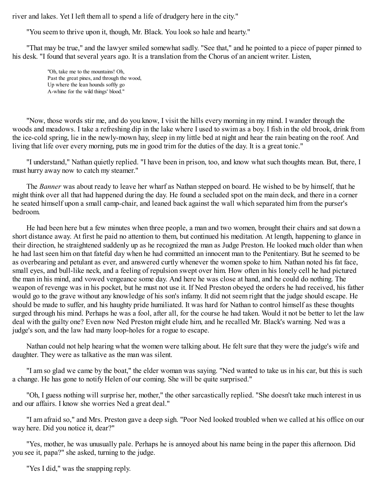river and lakes. Yet I left them all to spend a life of drudgery here in the city."

"You seem to thrive upon it, though, Mr. Black. You look so hale and hearty."

"That may be true," and the lawyer smiled somewhat sadly. "See that," and he pointed to a piece of paper pinned to his desk. "I found that several years ago. It is a translation from the Chorus of an ancient writer. Listen,

> "Oh, take me to the mountains! Oh, Past the great pines, and through the wood, Up where the lean hounds softly go A-whine for the wild things' blood."

"Now, those words stir me, and do you know, I visit the hills every morning in my mind. I wander through the woods and meadows. I take a refreshing dip in the lake where I used to swim as a boy. I fish in the old brook, drink from the ice-cold spring, lie in the newly-mown hay, sleep in my little bed at night and hear the rain beating on the roof. And living that life over every morning, puts me in good trim for the duties of the day. It is a great tonic."

"I understand," Nathan quietly replied. "I have been in prison, too, and know what such thoughts mean. But, there, I must hurry away now to catch my steamer."

The *Banner* was about ready to leave her wharf as Nathan stepped on board. He wished to be by himself, that he might think over all that had happened during the day. He found a secluded spot on the main deck, and there in a corner he seated himself upon a small camp-chair, and leaned back against the wall which separated him from the purser's bedroom.

He had been here but a few minutes when three people, a man and two women, brought their chairs and sat down a short distance away. At first he paid no attention to them, but continued his meditation. At length, happening to glance in their direction, he straightened suddenly up as he recognized the man as Judge Preston. He looked much older than when he had last seen him on that fateful day when he had committed an innocent man to the Penitentiary. But he seemed to be as overbearing and petulant as ever, and answered curtly whenever the women spoke to him. Nathan noted his fat face, small eyes, and bull-like neck, and a feeling of repulsion swept over him. How often in his lonely cell he had pictured the man in his mind, and vowed vengeance some day. And here he was close at hand, and he could do nothing. The weapon of revenge was in his pocket, but he must not use it. If Ned Preston obeyed the orders he had received, his father would go to the grave without any knowledge of his son's infamy. It did not seem right that the judge should escape. He should be made to suffer, and his haughty pride humiliated. It was hard for Nathan to control himself as these thoughts surged through his mind. Perhaps he was a fool, after all, for the course he had taken. Would it not be better to let the law deal with the guilty one? Even now Ned Preston might elude him, and he recalled Mr. Black's warning. Ned was a judge's son, and the law had many loop-holes for a rogue to escape.

Nathan could not help hearing what the women were talking about. He felt sure that they were the judge's wife and daughter. They were as talkative as the man was silent.

"I am so glad we came by the boat," the elder woman was saying. "Ned wanted to take us in his car, but this is such a change. He has gone to notify Helen of our coming. She will be quite surprised."

"Oh, I guess nothing will surprise her, mother," the other sarcastically replied. "She doesn't take much interest in us and our affairs. I know she worries Ned a great deal."

"I am afraid so," and Mrs. Preston gave a deep sigh. "Poor Ned looked troubled when we called at his office on our way here. Did you notice it, dear?"

"Yes, mother, he was unusually pale. Perhaps he is annoyed about his name being in the paper this afternoon. Did you see it, papa?" she asked, turning to the judge.

"Yes I did," was the snapping reply.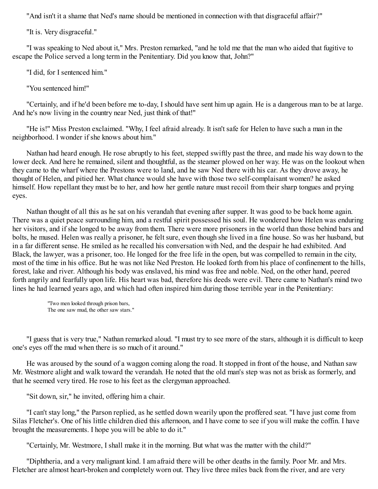"And isn't it a shame that Ned's name should be mentioned in connection with that disgraceful affair?"

"It is. Very disgraceful."

"I was speaking to Ned about it," Mrs. Preston remarked, "and he told me that the man who aided that fugitive to escape the Police served a long term in the Penitentiary. Did you know that, John?"

"I did, for I sentenced him."

"You sentenced him!"

"Certainly, and if he'd been before me to-day, I should have sent him up again. He is a dangerous man to be at large. And he's now living in the country near Ned, just think of that!"

"He is!" Miss Preston exclaimed. "Why, I feel afraid already. It isn't safe for Helen to have such a man in the neighborhood. I wonder if she knows about him."

Nathan had heard enough. He rose abruptly to his feet, stepped swiftly past the three, and made his way down to the lower deck. And here he remained, silent and thoughtful, as the steamer plowed on her way. He was on the lookout when they came to the wharf where the Prestons were to land, and he saw Ned there with his car. As they drove away, he thought of Helen, and pitied her. What chance would she have with those two self-complaisant women? he asked himself. How repellant they must be to her, and how her gentle nature must recoil from their sharp tongues and prying eyes.

Nathan thought of all this as he sat on his verandah that evening after supper. It was good to be back home again. There was a quiet peace surrounding him, and a restful spirit possessed his soul. He wondered how Helen was enduring her visitors, and if she longed to be away from them. There were more prisoners in the world than those behind bars and bolts, he mused. Helen was really a prisoner, he felt sure, even though she lived in a fine house. So was her husband, but in a far different sense. He smiled as he recalled his conversation with Ned, and the despair he had exhibited. And Black, the lawyer, was a prisoner, too. He longed for the free life in the open, but was compelled to remain in the city, most of the time in his office. But he was not like Ned Preston. He looked forth from his place of confinement to the hills, forest, lake and river. Although his body was enslaved, his mind was free and noble. Ned, on the other hand, peered forth angrily and fearfully upon life. His heart was bad, therefore his deeds were evil. There came to Nathan's mind two lines he had learned years ago, and which had often inspired him during those terrible year in the Penitentiary:

"Two men looked through prison bars, The one saw mud, the other saw stars."

"I guess that is very true," Nathan remarked aloud. "I must try to see more of the stars, although it is difficult to keep one's eyes off the mud when there is so much of it around."

He was aroused by the sound of a waggon coming along the road. It stopped in front of the house, and Nathan saw Mr. Westmore alight and walk toward the verandah. He noted that the old man's step was not as brisk as formerly, and that he seemed very tired. He rose to his feet as the clergyman approached.

"Sit down, sir," he invited, offering him a chair.

"I can't stay long," the Parson replied, as he settled down wearily upon the proffered seat. "I have just come from Silas Fletcher's. One of his little children died this afternoon, and I have come to see if you will make the coffin. I have brought the measurements. I hope you will be able to do it."

"Certainly, Mr. Westmore, I shall make it in the morning. But what was the matter with the child?"

"Diphtheria, and a very malignant kind. I am afraid there will be other deaths in the family. Poor Mr. and Mrs. Fletcher are almost heart-broken and completely worn out. They live three miles back from the river, and are very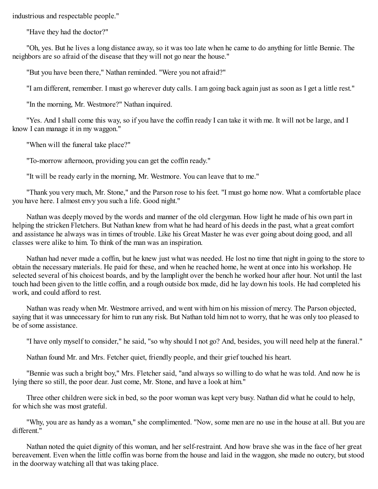industrious and respectable people."

"Have they had the doctor?"

"Oh, yes. But he lives a long distance away, so it was too late when he came to do anything for little Bennie. The neighbors are so afraid of the disease that they will not go near the house."

"But you have been there," Nathan reminded. "Were you not afraid?"

"I am different, remember. I must go wherever duty calls. I am going back again just as soon as I get a little rest."

"In the morning, Mr. Westmore?" Nathan inquired.

"Yes. And I shall come this way, so if you have the coffin ready I can take it with me. It will not be large, and I know I can manage it in my waggon."

"When will the funeral take place?"

"To-morrow afternoon, providing you can get the coffin ready."

"It will be ready early in the morning, Mr. Westmore. You can leave that to me."

"Thank you very much, Mr. Stone," and the Parson rose to his feet. "I must go home now. What a comfortable place you have here. I almost envy you such a life. Good night."

Nathan was deeply moved by the words and manner of the old clergyman. How light he made of his own part in helping the stricken Fletchers. But Nathan knew from what he had heard of his deeds in the past, what a great comfort and assistance he always was in times of trouble. Like his Great Master he was ever going about doing good, and all classes were alike to him. To think of the man was an inspiration.

Nathan had never made a coffin, but he knew just what was needed. He lost no time that night in going to the store to obtain the necessary materials. He paid for these, and when he reached home, he went at once into his workshop. He selected several of his choicest boards, and by the lamplight over the bench he worked hour after hour. Not until the last touch had been given to the little coffin, and a rough outside box made, did he lay down his tools. He had completed his work, and could afford to rest.

Nathan was ready when Mr. Westmore arrived, and went with him on his mission of mercy. The Parson objected, saying that it was unnecessary for him to run any risk. But Nathan told him not to worry, that he was only too pleased to be of some assistance.

"I have only myself to consider," he said, "so why should I not go? And, besides, you will need help at the funeral."

Nathan found Mr. and Mrs. Fetcher quiet, friendly people, and their grief touched his heart.

"Bennie was such a bright boy," Mrs. Fletcher said, "and always so willing to do what he was told. And now he is lying there so still, the poor dear. Just come, Mr. Stone, and have a look at him."

Three other children were sick in bed, so the poor woman was kept very busy. Nathan did what he could to help, for which she was most grateful.

"Why, you are as handy as a woman," she complimented. "Now, some men are no use in the house at all. But you are different."

Nathan noted the quiet dignity of this woman, and her self-restraint. And how brave she was in the face of her great bereavement. Even when the little coffin was borne from the house and laid in the waggon, she made no outcry, but stood in the doorway watching all that was taking place.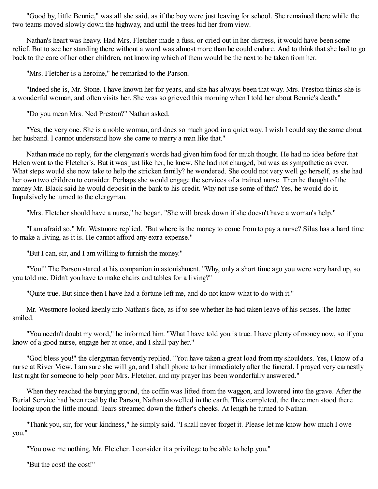"Good by, little Bennie," was all she said, as if the boy were just leaving for school. She remained there while the two teams moved slowly down the highway, and until the trees hid her from view.

Nathan's heart was heavy. Had Mrs. Fletcher made a fuss, or cried out in her distress, it would have been some relief. But to see her standing there without a word was almost more than he could endure. And to think that she had to go back to the care of her other children, not knowing which of them would be the next to be taken from her.

"Mrs. Fletcher is a heroine," he remarked to the Parson.

"Indeed she is, Mr. Stone. I have known her for years, and she has always been that way. Mrs. Preston thinks she is a wonderful woman, and often visits her. She was so grieved this morning when I told her about Bennie's death."

"Do you mean Mrs. Ned Preston?" Nathan asked.

"Yes, the very one. She is a noble woman, and does so much good in a quiet way. I wish I could say the same about her husband. I cannot understand how she came to marry a man like that."

Nathan made no reply, for the clergyman's words had given him food for much thought. He had no idea before that Helen went to the Fletcher's. But it was just like her, he knew. She had not changed, but was as sympathetic as ever. What steps would she now take to help the stricken family? he wondered. She could not very well go herself, as she had her own two children to consider. Perhaps she would engage the services of a trained nurse. Then he thought of the money Mr. Black said he would deposit in the bank to his credit. Why not use some of that? Yes, he would do it. Impulsively he turned to the clergyman.

"Mrs. Fletcher should have a nurse," he began. "She will break down if she doesn't have a woman's help."

"I am afraid so," Mr. Westmore replied. "But where is the money to come from to pay a nurse? Silas has a hard time to make a living, as it is. He cannot afford any extra expense."

"But I can, sir, and I am willing to furnish the money."

"You!" The Parson stared at his companion in astonishment. "Why, only a short time ago you were very hard up, so you told me. Didn't you have to make chairs and tables for a living?"

"Quite true. But since then I have had a fortune left me, and do not know what to do with it."

Mr. Westmore looked keenly into Nathan's face, as if to see whether he had taken leave of his senses. The latter smiled.

"You needn't doubt my word," he informed him. "What I have told you is true. I have plenty of money now, so if you know of a good nurse, engage her at once, and I shall pay her."

"God bless you!" the clergyman fervently replied. "You have taken a great load from my shoulders. Yes, I know of a nurse at River View. I am sure she will go, and I shall phone to her immediately after the funeral. I prayed very earnestly last night for someone to help poor Mrs. Fletcher, and my prayer has been wonderfully answered."

When they reached the burying ground, the coffin was lifted from the waggon, and lowered into the grave. After the Burial Service had been read by the Parson, Nathan shovelled in the earth. This completed, the three men stood there looking upon the little mound. Tears streamed down the father's cheeks. At length he turned to Nathan.

"Thank you, sir, for your kindness," he simply said. "I shall never forget it. Please let me know how much I owe you."

"You owe me nothing, Mr. Fletcher. I consider it a privilege to be able to help you."

"But the cost! the cost!"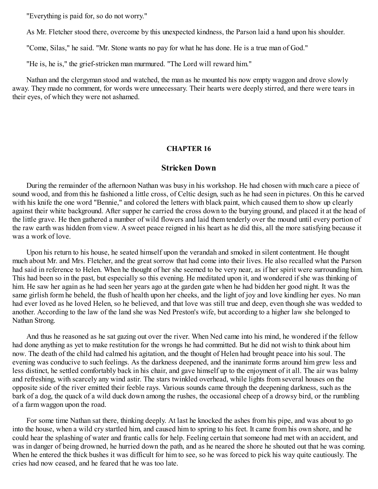"Everything is paid for, so do not worry."

As Mr. Fletcher stood there, overcome by this unexpected kindness, the Parson laid a hand upon his shoulder.

"Come, Silas," he said. "Mr. Stone wants no pay for what he has done. He is a true man of God."

"He is, he is," the grief-stricken man murmured. "The Lord will reward him."

Nathan and the clergyman stood and watched, the man as he mounted his now empty waggon and drove slowly away. They made no comment, for words were unnecessary. Their hearts were deeply stirred, and there were tears in their eyes, of which they were not ashamed.

### **CHAPTER 16**

## **Stricken Down**

During the remainder of the afternoon Nathan was busy in his workshop. He had chosen with much care a piece of sound wood, and from this he fashioned a little cross, of Celtic design, such as he had seen in pictures. On this he carved with his knife the one word "Bennie," and colored the letters with black paint, which caused them to show up clearly against their white background. After supper he carried the cross down to the burying ground, and placed it at the head of the little grave. He then gathered a number of wild flowers and laid them tenderly over the mound until every portion of the raw earth was hidden from view. A sweet peace reigned in his heart as he did this, all the more satisfying because it was a work of love.

Upon his return to his house, he seated himself upon the verandah and smoked in silent contentment. He thought much about Mr. and Mrs. Fletcher, and the great sorrow that had come into their lives. He also recalled what the Parson had said in reference to Helen. When he thought of her she seemed to be very near, as if her spirit were surrounding him. This had been so in the past, but especially so this evening. He meditated upon it, and wondered if she was thinking of him. He saw her again as he had seen her years ago at the garden gate when he had bidden her good night. It was the same girlish form he beheld, the flush of health upon her cheeks, and the light of joy and love kindling her eyes. No man had ever loved as he loved Helen, so he believed, and that love was still true and deep, even though she was wedded to another. According to the law of the land she was Ned Preston's wife, but according to a higher law she belonged to Nathan Strong.

And thus he reasoned as he sat gazing out over the river. When Ned came into his mind, he wondered if the fellow had done anything as yet to make restitution for the wrongs he had committed. But he did not wish to think about him now. The death of the child had calmed his agitation, and the thought of Helen had brought peace into his soul. The evening was conducive to such feelings. As the darkness deepened, and the inanimate forms around him grew less and less distinct, he settled comfortably back in his chair, and gave himself up to the enjoyment of it all. The air was balmy and refreshing, with scarcely any wind astir. The stars twinkled overhead, while lights from several houses on the opposite side of the river emitted their feeble rays. Various sounds came through the deepening darkness, such as the bark of a dog, the quack of a wild duck down among the rushes, the occasional cheep of a drowsy bird, or the rumbling of a farm waggon upon the road.

For some time Nathan sat there, thinking deeply. At last he knocked the ashes from his pipe, and was about to go into the house, when a wild cry startled him, and caused him to spring to his feet. It came from his own shore, and he could hear the splashing of water and frantic calls for help. Feeling certain that someone had met with an accident, and was in danger of being drowned, he hurried down the path, and as he neared the shore he shouted out that he was coming. When he entered the thick bushes it was difficult for him to see, so he was forced to pick his way quite cautiously. The cries had now ceased, and he feared that he was too late.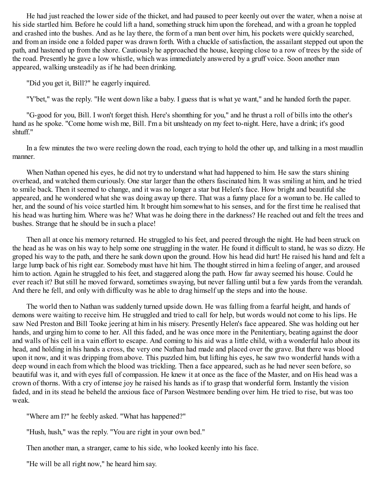He had just reached the lower side of the thicket, and had paused to peer keenly out over the water, when a noise at his side startled him. Before he could lift a hand, something struck him upon the forehead, and with a groan he toppled and crashed into the bushes. And as he lay there, the form of a man bent over him, his pockets were quickly searched, and from an inside one a folded paper was drawn forth. With a chuckle of satisfaction, the assailant stepped out upon the path, and hastened up from the shore. Cautiously he approached the house, keeping close to a row of trees by the side of the road. Presently he gave a low whistle, which was immediately answered by a gruff voice. Soon another man appeared, walking unsteadily as if he had been drinking.

"Did you get it, Bill?" he eagerly inquired.

"Y'bet," was the reply. "He went down like a baby. I guess that is what ye want," and he handed forth the paper.

"G-good for you, Bill. I won't forget thish. Here's shomthing for you," and he thrust a roll of bills into the other's hand as he spoke. "Come home wish me, Bill. I'm a bit unshteady on my feet to-night. Here, have a drink; it's good shtuff."

In a few minutes the two were reeling down the road, each trying to hold the other up, and talking in a most maudlin manner.

When Nathan opened his eyes, he did not try to understand what had happened to him. He saw the stars shining overhead, and watched them curiously. One star larger than the others fascinated him. It was smiling at him, and he tried to smile back. Then it seemed to change, and it was no longer a star but Helen's face. How bright and beautiful she appeared, and he wondered what she was doing away up there. That was a funny place for a woman to be. He called to her, and the sound of his voice startled him. It brought him somewhat to his senses, and for the first time he realised that his head was hurting him. Where was he? What was he doing there in the darkness? He reached out and felt the trees and bushes. Strange that he should be in such a place!

Then all at once his memory returned. He struggled to his feet, and peered through the night. He had been struck on the head as he was on his way to help some one struggling in the water. He found it difficult to stand, he was so dizzy. He groped his way to the path, and there he sank down upon the ground. How his head did hurt! He raised his hand and felt a large lump back of his right ear. Somebody must have hit him. The thought stirred in him a feeling of anger, and aroused him to action. Again he struggled to his feet, and staggered along the path. How far away seemed his house. Could he ever reach it? But still he moved forward, sometimes swaying, but never falling until but a few yards from the verandah. And there he fell, and only with difficulty was he able to drag himself up the steps and into the house.

The world then to Nathan was suddenly turned upside down. He was falling from a fearful height, and hands of demons were waiting to receive him. He struggled and tried to call for help, but words would not come to his lips. He saw Ned Preston and Bill Tooke jeering at him in his misery. Presently Helen's face appeared. She was holding out her hands, and urging him to come to her. All this faded, and he was once more in the Penitentiary, beating against the door and walls of his cell in a vain effort to escape. And coming to his aid was a little child, with a wonderful halo about its head, and holding in his hands a cross, the very one Nathan had made and placed over the grave. But there was blood upon it now, and it was dripping from above. This puzzled him, but lifting his eyes, he saw two wonderful hands with a deep wound in each from which the blood was trickling. Then a face appeared, such as he had never seen before, so beautiful was it, and with eyes full of compassion. He knew it at once as the face of the Master, and on His head was a crown of thorns. With a cry of intense joy he raised his hands as if to grasp that wonderful form. Instantly the vision faded, and in its stead he beheld the anxious face of Parson Westmore bending over him. He tried to rise, but was too weak.

"Where am I?" he feebly asked. "What has happened?"

"Hush, hush," was the reply. "You are right in your own bed."

Then another man, a stranger, came to his side, who looked keenly into his face.

"He will be all right now," he heard him say.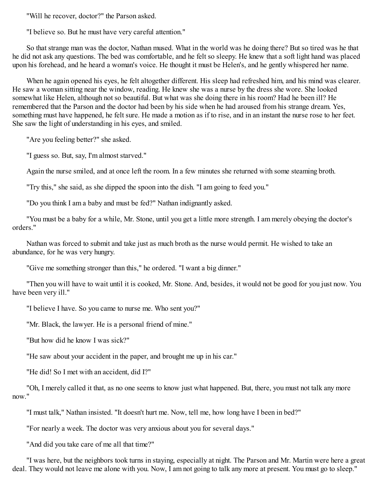"Will he recover, doctor?" the Parson asked.

"I believe so. But he must have very careful attention."

So that strange man was the doctor, Nathan mused. What in the world was he doing there? But so tired was he that he did not ask any questions. The bed was comfortable, and he felt so sleepy. He knew that a soft light hand was placed upon his forehead, and he heard a woman's voice. He thought it must be Helen's, and he gently whispered her name.

When he again opened his eyes, he felt altogether different. His sleep had refreshed him, and his mind was clearer. He saw a woman sitting near the window, reading. He knew she was a nurse by the dress she wore. She looked somewhat like Helen, although not so beautiful. But what was she doing there in his room? Had he been ill? He remembered that the Parson and the doctor had been by his side when he had aroused from his strange dream. Yes, something must have happened, he felt sure. He made a motion as if to rise, and in an instant the nurse rose to her feet. She saw the light of understanding in his eyes, and smiled.

"Are you feeling better?" she asked.

"I guess so. But, say, I'm almost starved."

Again the nurse smiled, and at once left the room. In a few minutes she returned with some steaming broth.

"Try this," she said, as she dipped the spoon into the dish. "I am going to feed you."

"Do you think I am a baby and must be fed?" Nathan indignantly asked.

"You must be a baby for a while, Mr. Stone, until you get a little more strength. I am merely obeying the doctor's orders."

Nathan was forced to submit and take just as much broth as the nurse would permit. He wished to take an abundance, for he was very hungry.

"Give me something stronger than this," he ordered. "I want a big dinner."

"Then you will have to wait until it is cooked, Mr. Stone. And, besides, it would not be good for you just now. You have been very ill."

"I believe I have. So you came to nurse me. Who sent you?"

"Mr. Black, the lawyer. He is a personal friend of mine."

"But how did he know I was sick?"

"He saw about your accident in the paper, and brought me up in his car."

"He did! So I met with an accident, did I?"

"Oh, I merely called it that, as no one seems to know just what happened. But, there, you must not talk any more now."

"I must talk," Nathan insisted. "It doesn't hurt me. Now, tell me, how long have I been in bed?"

"For nearly a week. The doctor was very anxious about you for several days."

"And did you take care of me all that time?"

"I was here, but the neighbors took turns in staying, especially at night. The Parson and Mr. Martin were here a great deal. They would not leave me alone with you. Now, I am not going to talk any more at present. You must go to sleep."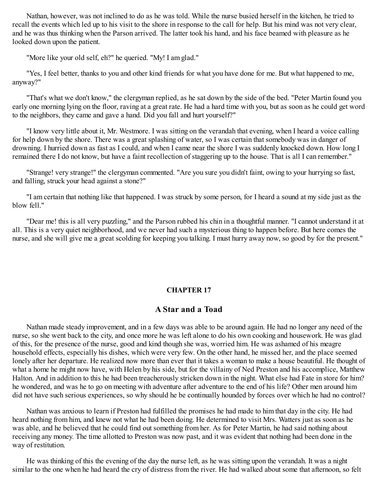Nathan, however, was not inclined to do as he was told. While the nurse busied herself in the kitchen, he tried to recall the events which led up to his visit to the shore in response to the call for help. But his mind was not very clear, and he was thus thinking when the Parson arrived. The latter took his hand, and his face beamed with pleasure as he looked down upon the patient.

"More like your old self, eh?" he queried. "My! I am glad."

"Yes, I feel better, thanks to you and other kind friends for what you have done for me. But what happened to me, anyway?"

"That's what we don't know," the clergyman replied, as he sat down by the side of the bed. "Peter Martin found you early one morning lying on the floor, raving at a great rate. He had a hard time with you, but as soon as he could get word to the neighbors, they came and gave a hand. Did you fall and hurt yourself?"

"I know very little about it, Mr. Westmore. I was sitting on the verandah that evening, when I heard a voice calling for help down by the shore. There was a great splashing of water, so I was certain that somebody was in danger of drowning. I hurried down as fast as I could, and when I came near the shore I was suddenly knocked down. How long I remained there I do not know, but have a faint recollection of staggering up to the house. That is all I can remember."

"Strange! very strange!" the clergyman commented. "Are you sure you didn't faint, owing to your hurrying so fast, and falling, struck your head against a stone?"

"I am certain that nothing like that happened. I was struck by some person, for I heard a sound at my side just as the blow fell."

"Dear me! this is all very puzzling," and the Parson rubbed his chin in a thoughtful manner. "I cannot understand it at all. This is a very quiet neighborhood, and we never had such a mysterious thing to happen before. But here comes the nurse, and she will give me a great scolding for keeping you talking. I must hurry away now, so good by for the present."

## **CHAPTER 17**

## **A Star and a Toad**

Nathan made steady improvement, and in a few days was able to be around again. He had no longer any need of the nurse, so she went back to the city, and once more he was left alone to do his own cooking and housework. He was glad of this, for the presence of the nurse, good and kind though she was, worried him. He was ashamed of his meagre household effects, especially his dishes, which were very few. On the other hand, he missed her, and the place seemed lonely after her departure. He realized now more than ever that it takes a woman to make a house beautiful. He thought of what a home he might now have, with Helen by his side, but for the villainy of Ned Preston and his accomplice, Matthew Halton. And in addition to this he had been treacherously stricken down in the night. What else had Fate in store for him? he wondered, and was he to go on meeting with adventure after adventure to the end of his life? Other men around him did not have such serious experiences, so why should he be continually hounded by forces over which he had no control?

Nathan was anxious to learn if Preston had fulfilled the promises he had made to him that day in the city. He had heard nothing from him, and knew not what he had been doing. He determined to visit Mrs. Watters just as soon as he was able, and he believed that he could find out something from her. As for Peter Martin, he had said nothing about receiving any money. The time allotted to Preston was now past, and it was evident that nothing had been done in the way of restitution.

He was thinking of this the evening of the day the nurse left, as he was sitting upon the verandah. It was a night similar to the one when he had heard the cry of distress from the river. He had walked about some that afternoon, so felt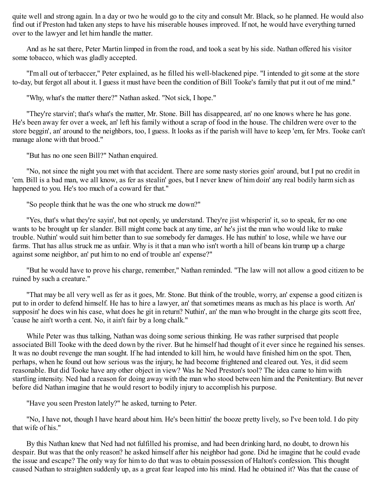quite well and strong again. In a day or two he would go to the city and consult Mr. Black, so he planned. He would also find out if Preston had taken any steps to have his miserable houses improved. If not, he would have everything turned over to the lawyer and let him handle the matter.

And as he sat there, Peter Martin limped in from the road, and took a seat by his side. Nathan offered his visitor some tobacco, which was gladly accepted.

"I'm all out of terbaccer," Peter explained, as he filled his well-blackened pipe. "I intended to git some at the store to-day, but fergot all about it. I guess it must have been the condition of Bill Tooke's family that put it out of me mind."

"Why, what's the matter there?" Nathan asked. "Not sick, I hope."

"They're starvin'; that's what's the matter, Mr. Stone. Bill has disappeared, an' no one knows where he has gone. He's been away fer over a week, an' left his family without a scrap of food in the house. The children were over to the store beggin', an' around to the neighbors, too, I guess. It looks as if the parish will have to keep 'em, fer Mrs. Tooke can't manage alone with that brood."

"But has no one seen Bill?" Nathan enquired.

"No, not since the night you met with that accident. There are some nasty stories goin' around, but I put no credit in 'em. Bill is a bad man, we all know, as fer as stealin' goes, but I never knew of him doin' any real bodily harm sich as happened to you. He's too much of a coward fer that."

"So people think that he was the one who struck me down?"

"Yes, that's what they're sayin', but not openly, ye understand. They're jist whisperin' it, so to speak, fer no one wants to be brought up fer slander. Bill might come back at any time, an' he's jist the man who would like to make trouble. Nuthin' would suit him better than to sue somebody fer damages. He has nuthin' to lose, while we have our farms. That has allus struck me as unfair. Why is it that a man who isn't worth a hill of beans kin trump up a charge against some neighbor, an' put him to no end of trouble an' expense?"

"But he would have to prove his charge, remember," Nathan reminded. "The law will not allow a good citizen to be ruined by such a creature."

"That may be all very well as fer as it goes, Mr. Stone. But think of the trouble, worry, an' expense a good citizen is put to in order to defend himself. He has to hire a lawyer, an' that sometimes means as much as his place is worth. An' supposin' he does win his case, what does he git in return? Nuthin', an' the man who brought in the charge gits scott free, 'cause he ain't worth a cent. No, it ain't fair by a long chalk."

While Peter was thus talking, Nathan was doing some serious thinking. He was rather surprised that people associated Bill Tooke with the deed down by the river. But he himself had thought of it ever since he regained his senses. It was no doubt revenge the man sought. If he had intended to kill him, he would have finished him on the spot. Then, perhaps, when he found out how serious was the injury, he had become frightened and cleared out. Yes, it did seem reasonable. But did Tooke have any other object in view? Was he Ned Preston's tool? The idea came to him with startling intensity. Ned had a reason for doing away with the man who stood between him and the Penitentiary. But never before did Nathan imagine that he would resort to bodily injury to accomplish his purpose.

"Have you seen Preston lately?" he asked, turning to Peter.

"No, I have not, though I have heard about him. He's been hittin' the booze pretty lively, so I've been told. I do pity that wife of his."

By this Nathan knew that Ned had not fulfilled his promise, and had been drinking hard, no doubt, to drown his despair. But was that the only reason? he asked himself after his neighbor had gone. Did he imagine that he could evade the issue and escape? The only way for him to do that was to obtain possession of Halton's confession. This thought caused Nathan to straighten suddenly up, as a great fear leaped into his mind. Had he obtained it? Was that the cause of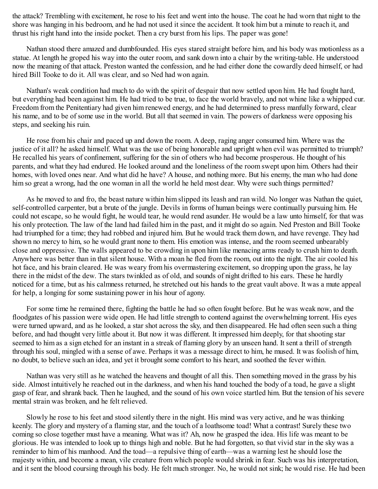the attack? Trembling with excitement, he rose to his feet and went into the house. The coat he had worn that night to the shore was hanging in his bedroom, and he had not used it since the accident. It took him but a minute to reach it, and thrust his right hand into the inside pocket. Then a cry burst from his lips. The paper was gone!

Nathan stood there amazed and dumbfounded. His eyes stared straight before him, and his body was motionless as a statue. At length he groped his way into the outer room, and sank down into a chair by the writing-table. He understood now the meaning of that attack. Preston wanted the confession, and he had either done the cowardly deed himself, or had hired Bill Tooke to do it. All was clear, and so Ned had won again.

Nathan's weak condition had much to do with the spirit of despair that now settled upon him. He had fought hard, but everything had been against him. He had tried to be true, to face the world bravely, and not whine like a whipped cur. Freedom from the Penitentiary had given him renewed energy, and he had determined to press manfully forward, clear his name, and to be of some use in the world. But all that seemed in vain. The powers of darkness were opposing his steps, and seeking his ruin.

He rose from his chair and paced up and down the room. A deep, raging anger consumed him. Where was the justice of it all? he asked himself. What was the use of being honorable and upright when evil was permitted to triumph? He recalled his years of confinement, suffering for the sin of others who had become prosperous. He thought of his parents, and what they had endured. He looked around and the loneliness of the room swept upon him. Others had their homes, with loved ones near. And what did he have? A house, and nothing more. But his enemy, the man who had done him so great a wrong, had the one woman in all the world he held most dear. Why were such things permitted?

As he moved to and fro, the beast nature within him slipped its leash and ran wild. No longer was Nathan the quiet, self-controlled carpenter, but a brute of the jungle. Devils in forms of human beings were continually pursuing him. He could not escape, so he would fight, he would tear, he would rend asunder. He would be a law unto himself, for that was his only protection. The law of the land had failed him in the past, and it might do so again. Ned Preston and Bill Tooke had triumphed for a time; they had robbed and injured him. But he would track them down, and have revenge. They had shown no mercy to him, so he would grant none to them. His emotion was intense, and the room seemed unbearably close and oppressive. The walls appeared to be crowding in upon him like menacing arms ready to crush him to death. Anywhere was better than in that silent house. With a moan he fled from the room, out into the night. The air cooled his hot face, and his brain cleared. He was weary from his overmastering excitement, so dropping upon the grass, he lay there in the midst of the dew. The stars twinkled as of old, and sounds of night drifted to his ears. These he hardly noticed for a time, but as his calmness returned, he stretched out his hands to the great vault above. It was a mute appeal for help, a longing for some sustaining power in his hour of agony.

For some time he remained there, fighting the battle he had so often fought before. But he was weak now, and the floodgates of his passion were wide open. He had little strength to contend against the overwhelming torrent. His eyes were turned upward, and as he looked, a star shot across the sky, and then disappeared. He had often seen such a thing before, and had thought very little about it. But now it was different. It impressed him deeply, for that shooting star seemed to him as a sign etched for an instant in a streak of flaming glory by an unseen hand. It sent a thrill of strength through his soul, mingled with a sense of awe. Perhaps it was a message direct to him, he mused. It was foolish of him, no doubt, to believe such an idea, and yet it brought some comfort to his heart, and soothed the fever within.

Nathan was very still as he watched the heavens and thought of all this. Then something moved in the grass by his side. Almost intuitively he reached out in the darkness, and when his hand touched the body of a toad, he gave a slight gasp of fear, and shrank back. Then he laughed, and the sound of his own voice startled him. But the tension of his severe mental strain was broken, and he felt relieved.

Slowly he rose to his feet and stood silently there in the night. His mind was very active, and he was thinking keenly. The glory and mystery of a flaming star, and the touch of a loathsome toad! What a contrast! Surely these two coming so close together must have a meaning. What was it? Ah, now he grasped the idea. His life was meant to be glorious. He was intended to look up to things high and noble. But he had forgotten, so that vivid star in the sky was a reminder to him of his manhood. And the toad—a repulsive thing of earth—was a warning lest he should lose the majesty within, and become a mean, vile creature from which people would shrink in fear. Such was his interpretation, and it sent the blood coursing through his body. He felt much stronger. No, he would not sink; he would rise. He had been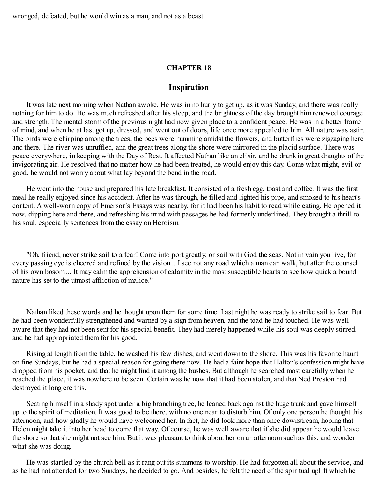wronged, defeated, but he would win as a man, and not as a beast.

### **CHAPTER 18**

### **Inspiration**

It was late next morning when Nathan awoke. He was in no hurry to get up, as it was Sunday, and there was really nothing for him to do. He was much refreshed after his sleep, and the brightness of the day brought him renewed courage and strength. The mental storm of the previous night had now given place to a confident peace. He was in a better frame of mind, and when he at last got up, dressed, and went out of doors, life once more appealed to him. All nature was astir. The birds were chirping among the trees, the bees were humming amidst the flowers, and butterflies were zigzaging here and there. The river was unruffled, and the great trees along the shore were mirrored in the placid surface. There was peace everywhere, in keeping with the Day of Rest. It affected Nathan like an elixir, and he drank in great draughts of the invigorating air. He resolved that no matter how he had been treated, he would enjoy this day. Come what might, evil or good, he would not worry about what lay beyond the bend in the road.

He went into the house and prepared his late breakfast. It consisted of a fresh egg, toast and coffee. It was the first meal he really enjoyed since his accident. After he was through, he filled and lighted his pipe, and smoked to his heart's content. A well-worn copy of Emerson's Essays was nearby, for it had been his habit to read while eating. He opened it now, dipping here and there, and refreshing his mind with passages he had formerly underlined. They brought a thrill to his soul, especially sentences from the essay on Heroism.

"Oh, friend, never strike sail to a fear! Come into port greatly, or sail with God the seas. Not in vain you live, for every passing eye is cheered and refined by the vision... I see not any road which a man can walk, but after the counsel of his own bosom.... It may calm the apprehension of calamity in the most susceptible hearts to see how quick a bound nature has set to the utmost affliction of malice."

Nathan liked these words and he thought upon them for some time. Last night he was ready to strike sail to fear. But he had been wonderfully strengthened and warned by a sign from heaven, and the toad he had touched. He was well aware that they had not been sent for his special benefit. They had merely happened while his soul was deeply stirred, and he had appropriated them for his good.

Rising at length from the table, he washed his few dishes, and went down to the shore. This was his favorite haunt on fine Sundays, but he had a special reason for going there now. He had a faint hope that Halton's confession might have dropped from his pocket, and that he might find it among the bushes. But although he searched most carefully when he reached the place, it was nowhere to be seen. Certain was he now that it had been stolen, and that Ned Preston had destroyed it long ere this.

Seating himself in a shady spot under a big branching tree, he leaned back against the huge trunk and gave himself up to the spirit of meditation. It was good to be there, with no one near to disturb him. Of only one person he thought this afternoon, and how gladly he would have welcomed her. In fact, he did look more than once downstream, hoping that Helen might take it into her head to come that way. Of course, he was well aware that if she did appear he would leave the shore so that she might not see him. But it was pleasant to think about her on an afternoon such as this, and wonder what she was doing.

He was startled by the church bell as it rang out its summons to worship. He had forgotten all about the service, and as he had not attended for two Sundays, he decided to go. And besides, he felt the need of the spiritual uplift which he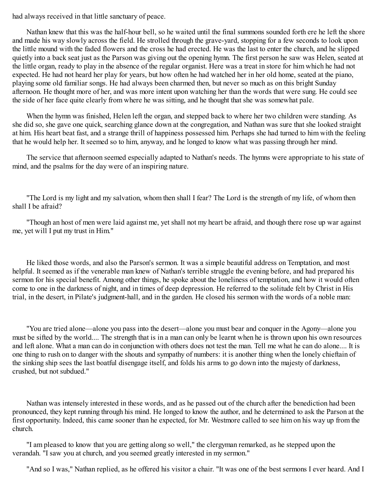had always received in that little sanctuary of peace.

Nathan knew that this was the half-hour bell, so he waited until the final summons sounded forth ere he left the shore and made his way slowly across the field. He strolled through the grave-yard, stopping for a few seconds to look upon the little mound with the faded flowers and the cross he had erected. He was the last to enter the church, and he slipped quietly into a back seat just as the Parson was giving out the opening hymn. The first person he saw was Helen, seated at the little organ, ready to play in the absence of the regular organist. Here was a treat in store for him which he had not expected. He had not heard her play for years, but how often he had watched her in her old home, seated at the piano, playing some old familiar songs. He had always been charmed then, but never so much as on this bright Sunday afternoon. He thought more of her, and was more intent upon watching her than the words that were sung. He could see the side of her face quite clearly from where he was sitting, and he thought that she was somewhat pale.

When the hymn was finished, Helen left the organ, and stepped back to where her two children were standing. As she did so, she gave one quick, searching glance down at the congregation, and Nathan was sure that she looked straight at him. His heart beat fast, and a strange thrill of happiness possessed him. Perhaps she had turned to him with the feeling that he would help her. It seemed so to him, anyway, and he longed to know what was passing through her mind.

The service that afternoon seemed especially adapted to Nathan's needs. The hymns were appropriate to his state of mind, and the psalms for the day were of an inspiring nature.

"The Lord is my light and my salvation, whom then shall I fear? The Lord is the strength of my life, of whom then shall I be afraid?

"Though an host of men were laid against me, yet shall not my heart be afraid, and though there rose up war against me, yet will I put my trust in Him."

He liked those words, and also the Parson's sermon. It was a simple beautiful address on Temptation, and most helpful. It seemed as if the venerable man knew of Nathan's terrible struggle the evening before, and had prepared his sermon for his special benefit. Among other things, he spoke about the loneliness of temptation, and how it would often come to one in the darkness of night, and in times of deep depression. He referred to the solitude felt by Christ in His trial, in the desert, in Pilate's judgment-hall, and in the garden. He closed his sermon with the words of a noble man:

"You are tried alone—alone you pass into the desert—alone you must bear and conquer in the Agony—alone you must be sifted by the world.... The strength that is in a man can only be learnt when he is thrown upon his own resources and left alone. What a man can do in conjunction with others does not test the man. Tell me what he can do alone.... It is one thing to rush on to danger with the shouts and sympathy of numbers: it is another thing when the lonely chieftain of the sinking ship sees the last boatful disengage itself, and folds his arms to go down into the majesty of darkness, crushed, but not subdued."

Nathan was intensely interested in these words, and as he passed out of the church after the benediction had been pronounced, they kept running through his mind. He longed to know the author, and he determined to ask the Parson at the first opportunity. Indeed, this came sooner than he expected, for Mr. Westmore called to see him on his way up from the church.

"I am pleased to know that you are getting along so well," the clergyman remarked, as he stepped upon the verandah. "I saw you at church, and you seemed greatly interested in my sermon."

"And so I was," Nathan replied, as he offered his visitor a chair. "It was one of the best sermons I ever heard. And I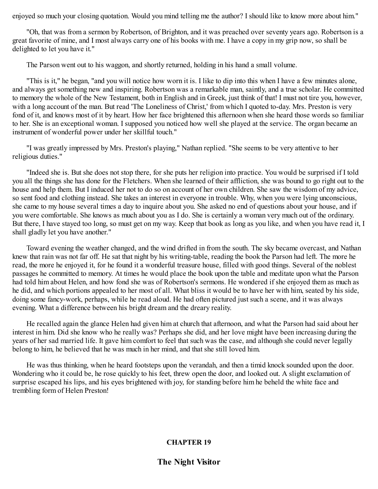enjoyed so much your closing quotation. Would you mind telling me the author? I should like to know more about him."

"Oh, that was from a sermon by Robertson, of Brighton, and it was preached over seventy years ago. Robertson is a great favorite of mine, and I most always carry one of his books with me. I have a copy in my grip now, so shall be delighted to let you have it."

The Parson went out to his waggon, and shortly returned, holding in his hand a small volume.

"This is it," he began, "and you will notice how worn it is. I like to dip into this when I have a few minutes alone, and always get something new and inspiring. Robertson was a remarkable man, saintly, and a true scholar. He committed to memory the whole of the New Testament, both in English and in Greek, just think of that! I must not tire you, however, with a long account of the man. But read 'The Loneliness of Christ,' from which I quoted to-day. Mrs. Preston is very fond of it, and knows most of it by heart. How her face brightened this afternoon when she heard those words so familiar to her. She is an exceptional woman. I supposed you noticed how well she played at the service. The organ became an instrument of wonderful power under her skillful touch."

"I was greatly impressed by Mrs. Preston's playing," Nathan replied. "She seems to be very attentive to her religious duties."

"Indeed she is. But she does not stop there, for she puts her religion into practice. You would be surprised if I told you all the things she has done for the Fletchers. When she learned of their affliction, she was bound to go right out to the house and help them. But I induced her not to do so on account of her own children. She saw the wisdom of my advice, so sent food and clothing instead. She takes an interest in everyone in trouble. Why, when you were lying unconscious, she came to my house several times a day to inquire about you. She asked no end of questions about your house, and if you were comfortable. She knows as much about you as I do. She is certainly a woman very much out of the ordinary. But there, I have stayed too long, so must get on my way. Keep that book as long as you like, and when you have read it, I shall gladly let you have another."

Toward evening the weather changed, and the wind drifted in from the south. The sky became overcast, and Nathan knew that rain was not far off. He sat that night by his writing-table, reading the book the Parson had left. The more he read, the more he enjoyed it, for he found it a wonderful treasure house, filled with good things. Several of the noblest passages he committed to memory. At times he would place the book upon the table and meditate upon what the Parson had told him about Helen, and how fond she was of Robertson's sermons. He wondered if she enjoyed them as much as he did, and which portions appealed to her most of all. What bliss it would be to have her with him, seated by his side, doing some fancy-work, perhaps, while he read aloud. He had often pictured just such a scene, and it was always evening. What a difference between his bright dream and the dreary reality.

He recalled again the glance Helen had given him at church that afternoon, and what the Parson had said about her interest in him. Did she know who he really was? Perhaps she did, and her love might have been increasing during the years of her sad married life. It gave him comfort to feel that such was the case, and although she could never legally belong to him, he believed that he was much in her mind, and that she still loved him.

He was thus thinking, when he heard footsteps upon the verandah, and then a timid knock sounded upon the door. Wondering who it could be, he rose quickly to his feet, threw open the door, and looked out. A slight exclamation of surprise escaped his lips, and his eyes brightened with joy, for standing before him he beheld the white face and trembling form of Helen Preston!

## **CHAPTER 19**

**The Night Visitor**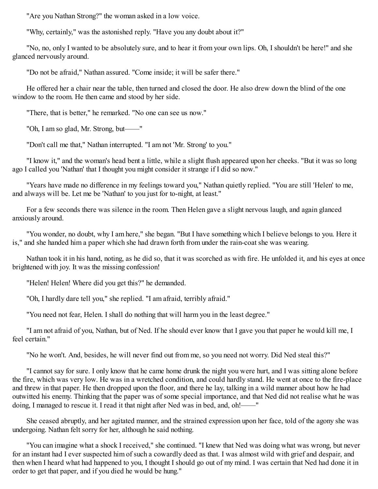"Are you Nathan Strong?" the woman asked in a low voice.

"Why, certainly," was the astonished reply. "Have you any doubt about it?"

"No, no, only I wanted to be absolutely sure, and to hear it from your own lips. Oh, I shouldn't be here!" and she glanced nervously around.

"Do not be afraid," Nathan assured. "Come inside; it will be safer there."

He offered her a chair near the table, then turned and closed the door. He also drew down the blind of the one window to the room. He then came and stood by her side.

"There, that is better," he remarked. "No one can see us now."

"Oh, I am so glad, Mr. Strong, but——"

"Don't call me that," Nathan interrupted. "I am not 'Mr. Strong' to you."

"I know it," and the woman's head bent a little, while a slight flush appeared upon her cheeks. "But it was so long ago I called you 'Nathan' that I thought you might consider it strange if I did so now."

"Years have made no difference in my feelings toward you," Nathan quietly replied. "You are still 'Helen' to me, and always will be. Let me be 'Nathan' to you just for to-night, at least."

For a few seconds there was silence in the room. Then Helen gave a slight nervous laugh, and again glanced anxiously around.

"You wonder, no doubt, why I am here," she began. "But I have something which I believe belongs to you. Here it is," and she handed him a paper which she had drawn forth from under the rain-coat she was wearing.

Nathan took it in his hand, noting, as he did so, that it was scorched as with fire. He unfolded it, and his eyes at once brightened with joy. It was the missing confession!

"Helen! Helen! Where did you get this?" he demanded.

"Oh, I hardly dare tell you," she replied. "I am afraid, terribly afraid."

"You need not fear, Helen. I shall do nothing that will harm you in the least degree."

"I am not afraid of you, Nathan, but of Ned. If he should ever know that I gave you that paper he would kill me, I feel certain."

"No he won't. And, besides, he will never find out from me, so you need not worry. Did Ned steal this?"

"I cannot say for sure. I only know that he came home drunk the night you were hurt, and I was sitting alone before the fire, which was very low. He was in a wretched condition, and could hardly stand. He went at once to the fire-place and threw in that paper. He then dropped upon the floor, and there he lay, talking in a wild manner about how he had outwitted his enemy. Thinking that the paper was of some special importance, and that Ned did not realise what he was doing, I managed to rescue it. I read it that night after Ned was in bed, and, oh!——"

She ceased abruptly, and her agitated manner, and the strained expression upon her face, told of the agony she was undergoing. Nathan felt sorry for her, although he said nothing.

"You can imagine what a shock I received," she continued. "I knew that Ned was doing what was wrong, but never for an instant had I ever suspected him of such a cowardly deed as that. I was almost wild with grief and despair, and then when I heard what had happened to you, I thought I should go out of my mind. I was certain that Ned had done it in order to get that paper, and if you died he would be hung."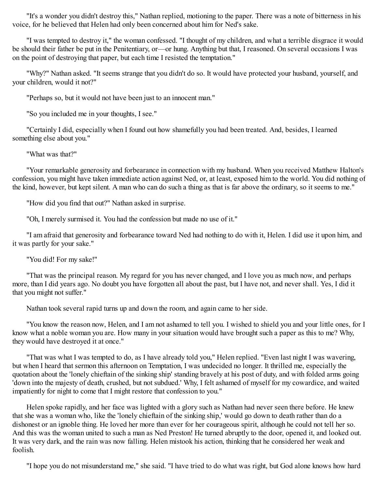"It's a wonder you didn't destroy this," Nathan replied, motioning to the paper. There was a note of bitterness in his voice, for he believed that Helen had only been concerned about him for Ned's sake.

"I was tempted to destroy it," the woman confessed. "I thought of my children, and what a terrible disgrace it would be should their father be put in the Penitentiary, or—or hung. Anything but that, I reasoned. On several occasions I was on the point of destroying that paper, but each time I resisted the temptation."

"Why?" Nathan asked. "It seems strange that you didn't do so. It would have protected your husband, yourself, and your children, would it not?"

"Perhaps so, but it would not have been just to an innocent man."

"So you included me in your thoughts, I see."

"Certainly I did, especially when I found out how shamefully you had been treated. And, besides, I learned something else about you."

"What was that?"

"Your remarkable generosity and forbearance in connection with my husband. When you received Matthew Halton's confession, you might have taken immediate action against Ned, or, at least, exposed him to the world. You did nothing of the kind, however, but kept silent. A man who can do such a thing as that is far above the ordinary, so it seems to me."

"How did you find that out?" Nathan asked in surprise.

"Oh, I merely surmised it. You had the confession but made no use of it."

"I am afraid that generosity and forbearance toward Ned had nothing to do with it, Helen. I did use it upon him, and it was partly for your sake."

"You did! For my sake!"

"That was the principal reason. My regard for you has never changed, and I love you as much now, and perhaps more, than I did years ago. No doubt you have forgotten all about the past, but I have not, and never shall. Yes, I did it that you might not suffer."

Nathan took several rapid turns up and down the room, and again came to her side.

"You know the reason now, Helen, and I am not ashamed to tell you. I wished to shield you and your little ones, for I know what a noble woman you are. How many in your situation would have brought such a paper as this to me? Why, they would have destroyed it at once."

"That was what I was tempted to do, as I have already told you," Helen replied. "Even last night I was wavering, but when I heard that sermon this afternoon on Temptation, I was undecided no longer. It thrilled me, especially the quotation about the 'lonely chieftain of the sinking ship' standing bravely at his post of duty, and with folded arms going 'down into the majesty of death, crushed, but not subdued.' Why, I felt ashamed of myself for my cowardice, and waited impatiently for night to come that I might restore that confession to you."

Helen spoke rapidly, and her face was lighted with a glory such as Nathan had never seen there before. He knew that she was a woman who, like the 'lonely chieftain of the sinking ship,' would go down to death rather than do a dishonest or an ignoble thing. He loved her more than ever for her courageous spirit, although he could not tell her so. And this was the woman united to such a man as Ned Preston! He turned abruptly to the door, opened it, and looked out. It was very dark, and the rain was now falling. Helen mistook his action, thinking that he considered her weak and foolish.

"I hope you do not misunderstand me," she said. "I have tried to do what was right, but God alone knows how hard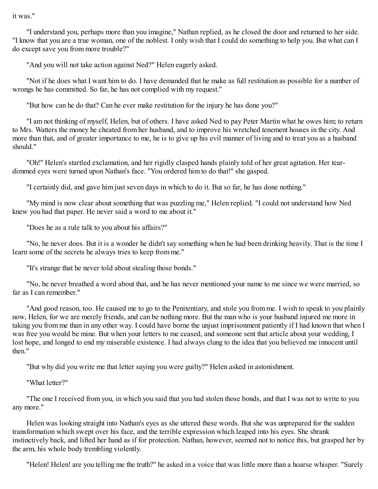it was."

"I understand you, perhaps more than you imagine," Nathan replied, as he closed the door and returned to her side. "I know that you are a true woman, one of the noblest. I only wish that I could do something to help you. But what can I do except save you from more trouble?"

"And you will not take action against Ned?" Helen eagerly asked.

"Not if he does what I want him to do. I have demanded that he make as full restitution as possible for a number of wrongs he has committed. So far, he has not complied with my request."

"But how can he do that? Can he ever make restitution for the injury he has done you?"

"I am not thinking of myself, Helen, but of others. I have asked Ned to pay Peter Martin what he owes him; to return to Mrs. Watters the money he cheated from her husband, and to improve his wretched tenement houses in the city. And more than that, and of greater importance to me, he is to give up his evil manner of living and to treat you as a husband should."

"Oh!" Helen's startled exclamation, and her rigidly clasped hands plainly told of her great agitation. Her teardimmed eyes were turned upon Nathan's face. "You ordered him to do that!" she gasped.

"I certainly did, and gave him just seven days in which to do it. But so far, he has done nothing."

"My mind is now clear about something that was puzzling me," Helen replied. "I could not understand how Ned knew you had that paper. He never said a word to me about it."

"Does he as a rule talk to you about his affairs?"

"No, he never does. But it is a wonder he didn't say something when he had been drinking heavily. That is the time I learn some of the secrets he always tries to keep from me."

"It's strange that he never told about stealing those bonds."

"No, he never breathed a word about that, and he has never mentioned your name to me since we were married, so far as I can remember."

"And good reason, too. He caused me to go to the Penitentiary, and stole you from me. I wish to speak to you plainly now, Helen, for we are merely friends, and can be nothing more. But the man who is your husband injured me more in taking you from me than in any other way. I could have borne the unjust imprisonment patiently if I had known that when I was free you would be mine. But when your letters to me ceased, and someone sent that article about your wedding, I lost hope, and longed to end my miserable existence. I had always clung to the idea that you believed me innocent until then"

"But why did you write me that letter saying you were guilty?" Helen asked in astonishment.

"What letter?"

"The one I received from you, in which you said that you had stolen those bonds, and that I was not to write to you any more."

Helen was looking straight into Nathan's eyes as she uttered these words. But she was unprepared for the sudden transformation which swept over his face, and the terrible expression which leaped into his eyes. She shrank instinctively back, and lifted her hand as if for protection. Nathan, however, seemed not to notice this, but grasped her by the arm, his whole body trembling violently.

"Helen! Helen! are you telling me the truth?" he asked in a voice that was little more than a hoarse whisper. "Surely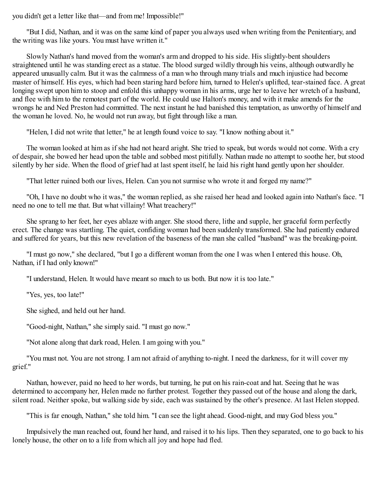you didn't get a letter like that—and from me! Impossible!"

"But I did, Nathan, and it was on the same kind of paper you always used when writing from the Penitentiary, and the writing was like yours. You must have written it."

Slowly Nathan's hand moved from the woman's arm and dropped to his side. His slightly-bent shoulders straightened until he was standing erect as a statue. The blood surged wildly through his veins, although outwardly he appeared unusually calm. But it was the calmness of a man who through many trials and much injustice had become master of himself. His eyes, which had been staring hard before him, turned to Helen's uplifted, tear-stained face. A great longing swept upon him to stoop and enfold this unhappy woman in his arms, urge her to leave her wretch of a husband, and flee with him to the remotest part of the world. He could use Halton's money, and with it make amends for the wrongs he and Ned Preston had committed. The next instant he had banished this temptation, as unworthy of himself and the woman he loved. No, he would not run away, but fight through like a man.

"Helen, I did not write that letter," he at length found voice to say. "I know nothing about it."

The woman looked at him as if she had not heard aright. She tried to speak, but words would not come. With a cry of despair, she bowed her head upon the table and sobbed most pitifully. Nathan made no attempt to soothe her, but stood silently by her side. When the flood of grief had at last spent itself, he laid his right hand gently upon her shoulder.

"That letter ruined both our lives, Helen. Can you not surmise who wrote it and forged my name?"

"Oh, I have no doubt who it was," the woman replied, as she raised her head and looked again into Nathan's face. "I need no one to tell me that. But what villainy! What treachery!"

She sprang to her feet, her eyes ablaze with anger. She stood there, lithe and supple, her graceful form perfectly erect. The change was startling. The quiet, confiding woman had been suddenly transformed. She had patiently endured and suffered for years, but this new revelation of the baseness of the man she called "husband" was the breaking-point.

"I must go now," she declared, "but I go a different woman from the one I was when I entered this house. Oh, Nathan, if I had only known!"

"I understand, Helen. It would have meant so much to us both. But now it is too late."

"Yes, yes, too late!"

She sighed, and held out her hand.

"Good-night, Nathan," she simply said. "I must go now."

"Not alone along that dark road, Helen. I am going with you."

"You must not. You are not strong. I am not afraid of anything to-night. I need the darkness, for it will cover my grief."

Nathan, however, paid no heed to her words, but turning, he put on his rain-coat and hat. Seeing that he was determined to accompany her, Helen made no further protest. Together they passed out of the house and along the dark, silent road. Neither spoke, but walking side by side, each was sustained by the other's presence. At last Helen stopped.

"This is far enough, Nathan," she told him. "I can see the light ahead. Good-night, and may God bless you."

Impulsively the man reached out, found her hand, and raised it to his lips. Then they separated, one to go back to his lonely house, the other on to a life from which all joy and hope had fled.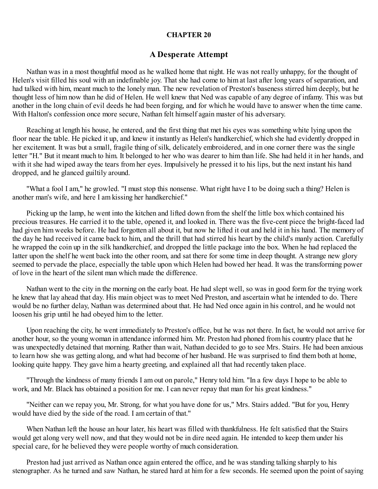#### **CHAPTER 20**

#### **A Desperate Attempt**

Nathan was in a most thoughtful mood as he walked home that night. He was not really unhappy, for the thought of Helen's visit filled his soul with an indefinable joy. That she had come to him at last after long years of separation, and had talked with him, meant much to the lonely man. The new revelation of Preston's baseness stirred him deeply, but he thought less of him now than he did of Helen. He well knew that Ned was capable of any degree of infamy. This was but another in the long chain of evil deeds he had been forging, and for which he would have to answer when the time came. With Halton's confession once more secure, Nathan felt himself again master of his adversary.

Reaching at length his house, he entered, and the first thing that met his eyes was something white lying upon the floor near the table. He picked it up, and knew it instantly as Helen's handkerchief, which she had evidently dropped in her excitement. It was but a small, fragile thing of silk, delicately embroidered, and in one corner there was the single letter "H." But it meant much to him. It belonged to her who was dearer to him than life. She had held it in her hands, and with it she had wiped away the tears from her eyes. Impulsively he pressed it to his lips, but the next instant his hand dropped, and he glanced guiltily around.

"What a fool I am," he growled. "I must stop this nonsense. What right have I to be doing such a thing? Helen is another man's wife, and here I am kissing her handkerchief."

Picking up the lamp, he went into the kitchen and lifted down from the shelf the little box which contained his precious treasures. He carried it to the table, opened it, and looked in. There was the five-cent piece the bright-faced lad had given him weeks before. He had forgotten all about it, but now he lifted it out and held it in his hand. The memory of the day he had received it came back to him, and the thrill that had stirred his heart by the child's manly action. Carefully he wrapped the coin up in the silk handkerchief, and dropped the little package into the box. When he had replaced the latter upon the shelf he went back into the other room, and sat there for some time in deep thought. A strange new glory seemed to pervade the place, especially the table upon which Helen had bowed her head. It was the transforming power of love in the heart of the silent man which made the difference.

Nathan went to the city in the morning on the early boat. He had slept well, so was in good form for the trying work he knew that lay ahead that day. His main object was to meet Ned Preston, and ascertain what he intended to do. There would be no further delay, Nathan was determined about that. He had Ned once again in his control, and he would not loosen his grip until he had obeyed him to the letter.

Upon reaching the city, he went immediately to Preston's office, but he was not there. In fact, he would not arrive for another hour, so the young woman in attendance informed him. Mr. Preston had phoned from his country place that he was unexpectedly detained that morning. Rather than wait, Nathan decided to go to see Mrs. Stairs. He had been anxious to learn how she was getting along, and what had become of her husband. He was surprised to find them both at home, looking quite happy. They gave him a hearty greeting, and explained all that had recently taken place.

"Through the kindness of many friends I am out on parole," Henry told him. "In a few days I hope to be able to work, and Mr. Black has obtained a position for me. I can never repay that man for his great kindness."

"Neither can we repay you, Mr. Strong, for what you have done for us," Mrs. Stairs added. "But for you, Henry would have died by the side of the road. I am certain of that."

When Nathan left the house an hour later, his heart was filled with thankfulness. He felt satisfied that the Stairs would get along very well now, and that they would not be in dire need again. He intended to keep them under his special care, for he believed they were people worthy of much consideration.

Preston had just arrived as Nathan once again entered the office, and he was standing talking sharply to his stenographer. As he turned and saw Nathan, he stared hard at him for a few seconds. He seemed upon the point of saying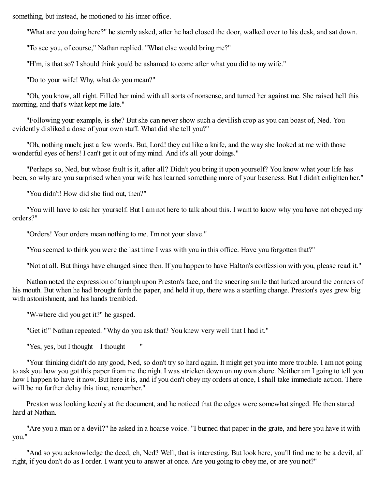something, but instead, he motioned to his inner office.

"What are you doing here?" he sternly asked, after he had closed the door, walked over to his desk, and sat down.

"To see you, of course," Nathan replied. "What else would bring me?"

"H'm, is that so? I should think you'd be ashamed to come after what you did to my wife."

"Do to your wife! Why, what do you mean?"

"Oh, you know, all right. Filled her mind with all sorts of nonsense, and turned her against me. She raised hell this morning, and that's what kept me late."

"Following your example, is she? But she can never show such a devilish crop as you can boast of, Ned. You evidently disliked a dose of your own stuff. What did she tell you?"

"Oh, nothing much; just a few words. But, Lord! they cut like a knife, and the way she looked at me with those wonderful eyes of hers! I can't get it out of my mind. And it's all your doings."

"Perhaps so, Ned, but whose fault is it, after all? Didn't you bring it upon yourself? You know what your life has been, so why are you surprised when your wife has learned something more of your baseness. But I didn't enlighten her."

"You didn't! How did she find out, then?"

"You will have to ask her yourself. But I am not here to talk about this. I want to know why you have not obeyed my orders?"

"Orders! Your orders mean nothing to me. I'm not your slave."

"You seemed to think you were the last time I was with you in this office. Have you forgotten that?"

"Not at all. But things have changed since then. If you happen to have Halton's confession with you, please read it."

Nathan noted the expression of triumph upon Preston's face, and the sneering smile that lurked around the corners of his mouth. But when he had brought forth the paper, and held it up, there was a startling change. Preston's eyes grew big with astonishment, and his hands trembled.

"W-where did you get it?" he gasped.

"Get it!" Nathan repeated. "Why do you ask that? You knew very well that I had it."

"Yes, yes, but I thought—I thought——"

"Your thinking didn't do any good, Ned, so don't try so hard again. It might get you into more trouble. I am not going to ask you how you got this paper from me the night I was stricken down on my own shore. Neither am I going to tell you how I happen to have it now. But here it is, and if you don't obey my orders at once, I shall take immediate action. There will be no further delay this time, remember."

Preston was looking keenly at the document, and he noticed that the edges were somewhat singed. He then stared hard at Nathan.

"Are you a man or a devil?" he asked in a hoarse voice. "I burned that paper in the grate, and here you have it with you."

"And so you acknowledge the deed, eh, Ned? Well, that is interesting. But look here, you'll find me to be a devil, all right, if you don't do as I order. I want you to answer at once. Are you going to obey me, or are you not?"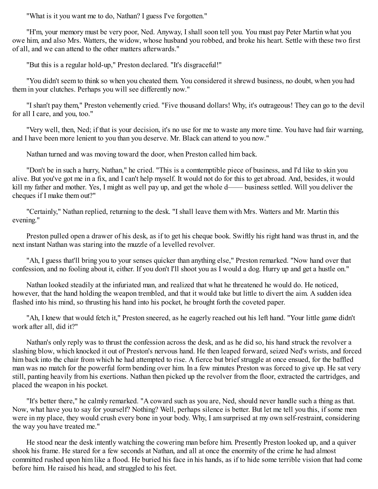"What is it you want me to do, Nathan? I guess I've forgotten."

"H'm, your memory must be very poor, Ned. Anyway, I shall soon tell you. You must pay Peter Martin what you owe him, and also Mrs. Watters, the widow, whose husband you robbed, and broke his heart. Settle with these two first of all, and we can attend to the other matters afterwards."

"But this is a regular hold-up," Preston declared. "It's disgraceful!"

"You didn't seem to think so when you cheated them. You considered it shrewd business, no doubt, when you had them in your clutches. Perhaps you will see differently now."

"I shan't pay them," Preston vehemently cried. "Five thousand dollars! Why, it's outrageous! They can go to the devil for all I care, and you, too."

"Very well, then, Ned; if that is your decision, it's no use for me to waste any more time. You have had fair warning, and I have been more lenient to you than you deserve. Mr. Black can attend to you now."

Nathan turned and was moving toward the door, when Preston called him back.

"Don't be in such a hurry, Nathan," he cried. "This is a comtemptible piece of business, and I'd like to skin you alive. But you've got me in a fix, and I can't help myself. It would not do for this to get abroad. And, besides, it would kill my father and mother. Yes, I might as well pay up, and get the whole d—— business settled. Will you deliver the cheques if I make them out?"

"Certainly," Nathan replied, returning to the desk. "I shall leave them with Mrs. Watters and Mr. Martin this evening."

Preston pulled open a drawer of his desk, as if to get his cheque book. Swiftly his right hand was thrust in, and the next instant Nathan was staring into the muzzle of a levelled revolver.

"Ah, I guess that'll bring you to your senses quicker than anything else," Preston remarked. "Now hand over that confession, and no fooling about it, either. If you don't I'll shoot you as I would a dog. Hurry up and get a hustle on."

Nathan looked steadily at the infuriated man, and realized that what he threatened he would do. He noticed, however, that the hand holding the weapon trembled, and that it would take but little to divert the aim. A sudden idea flashed into his mind, so thrusting his hand into his pocket, he brought forth the coveted paper.

"Ah, I knew that would fetch it," Preston sneered, as he eagerly reached out his left hand. "Your little game didn't work after all, did it?"

Nathan's only reply was to thrust the confession across the desk, and as he did so, his hand struck the revolver a slashing blow, which knocked it out of Preston's nervous hand. He then leaped forward, seized Ned's wrists, and forced him back into the chair from which he had attempted to rise. A fierce but brief struggle at once ensued, for the baffled man was no match for the powerful form bending over him. In a few minutes Preston was forced to give up. He sat very still, panting heavily from his exertions. Nathan then picked up the revolver from the floor, extracted the cartridges, and placed the weapon in his pocket.

"It's better there," he calmly remarked. "A coward such as you are, Ned, should never handle such a thing as that. Now, what have you to say for yourself? Nothing? Well, perhaps silence is better. But let me tell you this, if some men were in my place, they would crush every bone in your body. Why, I am surprised at my own self-restraint, considering the way you have treated me."

He stood near the desk intently watching the cowering man before him. Presently Preston looked up, and a quiver shook his frame. He stared for a few seconds at Nathan, and all at once the enormity of the crime he had almost committed rushed upon him like a flood. He buried his face in his hands, as if to hide some terrible vision that had come before him. He raised his head, and struggled to his feet.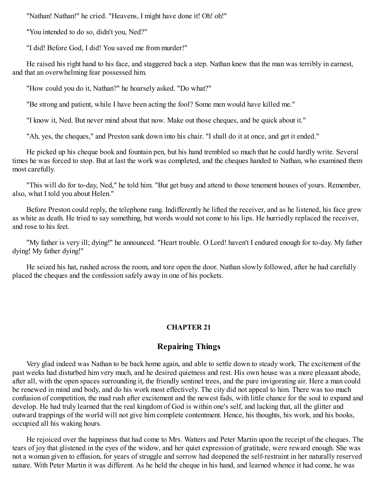"Nathan! Nathan!" he cried. "Heavens, I might have done it! Oh! oh!"

"You intended to do so, didn't you, Ned?"

"I did! Before God, I did! You saved me from murder!"

He raised his right hand to his face, and staggered back a step. Nathan knew that the man was terribly in earnest, and that an overwhelming fear possessed him.

"How could you do it, Nathan?" he hoarsely asked. "Do what?"

"Be strong and patient, while I have been acting the fool? Some men would have killed me."

"I know it, Ned. But never mind about that now. Make out those cheques, and be quick about it."

"Ah, yes, the cheques," and Preston sank down into his chair. "I shall do it at once, and get it ended."

He picked up his cheque book and fountain pen, but his hand trembled so much that he could hardly write. Several times he was forced to stop. But at last the work was completed, and the cheques handed to Nathan, who examined them most carefully.

"This will do for to-day, Ned," he told him. "But get busy and attend to those tenement houses of yours. Remember, also, what I told you about Helen."

Before Preston could reply, the telephone rang. Indifferently he lifted the receiver, and as he listened, his face grew as white as death. He tried to say something, but words would not come to his lips. He hurriedly replaced the receiver, and rose to his feet.

"My father is very ill; dying!" he announced. "Heart trouble. O Lord! haven't I endured enough for to-day. My father dying! My father dying!"

He seized his hat, rushed across the room, and tore open the door. Nathan slowly followed, after he had carefully placed the cheques and the confession safely away in one of his pockets.

## **CHAPTER 21**

## **Repairing Things**

Very glad indeed was Nathan to be back home again, and able to settle down to steady work. The excitement of the past weeks had disturbed him very much, and he desired quietness and rest. His own house was a more pleasant abode, after all, with the open spaces surrounding it, the friendly sentinel trees, and the pure invigorating air. Here a man could be renewed in mind and body, and do his work most effectively. The city did not appeal to him. There was too much confusion of competition, the mad rush after excitement and the newest fads, with little chance for the soul to expand and develop. He had truly learned that the real kingdom of God is within one's self, and lacking that, all the glitter and outward trappings of the world will not give him complete contentment. Hence, his thoughts, his work, and his books, occupied all his waking hours.

He rejoiced over the happiness that had come to Mrs. Watters and Peter Martin upon the receipt of the cheques. The tears of joy that glistened in the eyes of the widow, and her quiet expression of gratitude, were reward enough. She was not a woman given to effusion, for years of struggle and sorrow had deepened the self-restraint in her naturally reserved nature. With Peter Martin it was different. As he held the cheque in his hand, and learned whence it had come, he was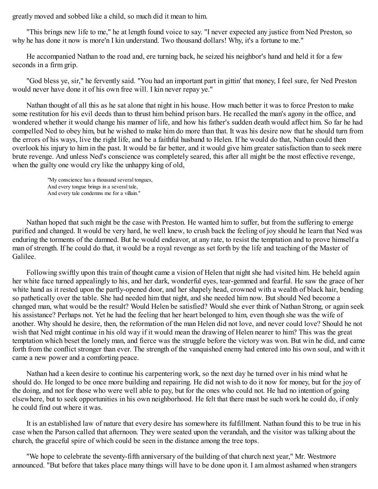greatly moved and sobbed like a child, so much did it mean to him.

"This brings new life to me," he at length found voice to say. "I never expected any justice from Ned Preston, so why he has done it now is more'n I kin understand. Two thousand dollars! Why, it's a fortune to me."

He accompanied Nathan to the road and, ere turning back, he seized his neighbor's hand and held it for a few seconds in a firm grip.

"God bless ye, sir," he fervently said. "You had an important part in gittin' that money, I feel sure, fer Ned Preston would never have done it of his own free will. I kin never repay ye."

Nathan thought of all this as he sat alone that night in his house. How much better it was to force Preston to make some restitution for his evil deeds than to thrust him behind prison bars. He recalled the man's agony in the office, and wondered whether it would change his manner of life, and how his father's sudden death would affect him. So far he had compelled Ned to obey him, but he wished to make him do more than that. It was his desire now that he should turn from the errors of his ways, live the right life, and be a faithful husband to Helen. If he would do that, Nathan could then overlook his injury to him in the past. It would be far better, and it would give him greater satisfaction than to seek mere brute revenge. And unless Ned's conscience was completely seared, this after all might be the most effective revenge, when the guilty one would cry like the unhappy king of old,

"My conscience has a thousand several tongues, And every tongue brings in a several tale, And every tale condemns me for a villain."

Nathan hoped that such might be the case with Preston. He wanted him to suffer, but from the suffering to emerge purified and changed. It would be very hard, he well knew, to crush back the feeling of joy should he learn that Ned was enduring the torments of the damned. But he would endeavor, at any rate, to resist the temptation and to prove himself a man of strength. If he could do that, it would be a royal revenge as set forth by the life and teaching of the Master of Galilee.

Following swiftly upon this train of thought came a vision of Helen that night she had visited him. He beheld again her white face turned appealingly to his, and her dark, wonderful eyes, tear-gemmed and fearful. He saw the grace of her white hand as it rested upon the partly-opened door, and her shapely head, crowned with a wealth of black hair, bending so pathetically over the table. She had needed him that night, and she needed him now. But should Ned become a changed man, what would be the result? Would Helen be satisfied? Would she ever think of Nathan Strong, or again seek his assistance? Perhaps not. Yet he had the feeling that her heart belonged to him, even though she was the wife of another. Why should he desire, then, the reformation of the man Helen did not love, and never could love? Should he not wish that Ned might continue in his old way if it would mean the drawing of Helen nearer to him? This was the great temptation which beset the lonely man, and fierce was the struggle before the victory was won. But win he did, and came forth from the conflict stronger than ever. The strength of the vanquished enemy had entered into his own soul, and with it came a new power and a comforting peace.

Nathan had a keen desire to continue his carpentering work, so the next day he turned over in his mind what he should do. He longed to be once more building and repairing. He did not wish to do it now for money, but for the joy of the doing, and not for those who were well able to pay, but for the ones who could not. He had no intention of going elsewhere, but to seek opportunities in his own neighborhood. He felt that there must be such work he could do, if only he could find out where it was.

It is an established law of nature that every desire has somewhere its fulfillment. Nathan found this to be true in his case when the Parson called that afternoon. They were seated upon the verandah, and the visitor was talking about the church, the graceful spire of which could be seen in the distance among the tree tops.

"We hope to celebrate the seventy-fifth anniversary of the building of that church next year," Mr. Westmore announced. "But before that takes place many things will have to be done upon it. I am almost ashamed when strangers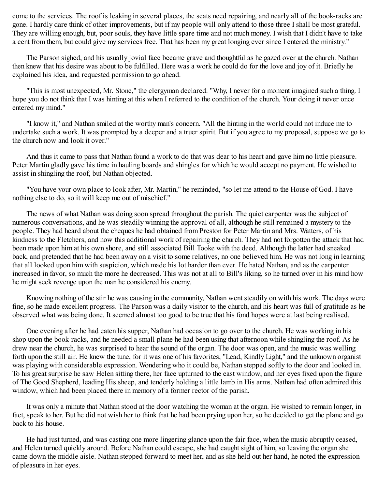come to the services. The roof is leaking in several places, the seats need repairing, and nearly all of the book-racks are gone. I hardly dare think of other improvements, but if my people will only attend to those three I shall be most grateful. They are willing enough, but, poor souls, they have little spare time and not much money. I wish that I didn't have to take a cent from them, but could give my services free. That has been my great longing ever since I entered the ministry."

The Parson sighed, and his usually jovial face became grave and thoughtful as he gazed over at the church. Nathan then knew that his desire was about to be fulfilled. Here was a work he could do for the love and joy of it. Briefly he explained his idea, and requested permission to go ahead.

"This is most unexpected, Mr. Stone," the clergyman declared. "Why, I never for a moment imagined such a thing. I hope you do not think that I was hinting at this when I referred to the condition of the church. Your doing it never once entered my mind."

"I know it," and Nathan smiled at the worthy man's concern. "All the hinting in the world could not induce me to undertake such a work. It was prompted by a deeper and a truer spirit. But if you agree to my proposal, suppose we go to the church now and look it over."

And thus it came to pass that Nathan found a work to do that was dear to his heart and gave him no little pleasure. Peter Martin gladly gave his time in hauling boards and shingles for which he would accept no payment. He wished to assist in shingling the roof, but Nathan objected.

"You have your own place to look after, Mr. Martin," he reminded, "so let me attend to the House of God. I have nothing else to do, so it will keep me out of mischief."

The news of what Nathan was doing soon spread throughout the parish. The quiet carpenter was the subject of numerous conversations, and he was steadily winning the approval of all, although he still remained a mystery to the people. They had heard about the cheques he had obtained from Preston for Peter Martin and Mrs. Watters, of his kindness to the Fletchers, and now this additional work of repairing the church. They had not forgotten the attack that had been made upon him at his own shore, and still associated Bill Tooke with the deed. Although the latter had sneaked back, and pretended that he had been away on a visit to some relatives, no one believed him. He was not long in learning that all looked upon him with suspicion, which made his lot harder than ever. He hated Nathan, and as the carpenter increased in favor, so much the more he decreased. This was not at all to Bill's liking, so he turned over in his mind how he might seek revenge upon the man he considered his enemy.

Knowing nothing of the stir he was causing in the community, Nathan went steadily on with his work. The days were fine, so he made excellent progress. The Parson was a daily visitor to the church, and his heart was full of gratitude as he observed what was being done. It seemed almost too good to be true that his fond hopes were at last being realised.

One evening after he had eaten his supper, Nathan had occasion to go over to the church. He was working in his shop upon the book-racks, and he needed a small plane he had been using that afternoon while shingling the roof. As he drew near the church, he was surprised to hear the sound of the organ. The door was open, and the music was welling forth upon the still air. He knew the tune, for it was one of his favorites, "Lead, Kindly Light," and the unknown organist was playing with considerable expression. Wondering who it could be, Nathan stepped softly to the door and looked in. To his great surprise he saw Helen sitting there, her face upturned to the east window, and her eyes fixed upon the figure of The Good Shepherd, leading His sheep, and tenderly holding a little lamb in His arms. Nathan had often admired this window, which had been placed there in memory of a former rector of the parish.

It was only a minute that Nathan stood at the door watching the woman at the organ. He wished to remain longer, in fact, speak to her. But he did not wish her to think that he had been prying upon her, so he decided to get the plane and go back to his house.

He had just turned, and was casting one more lingering glance upon the fair face, when the music abruptly ceased, and Helen turned quickly around. Before Nathan could escape, she had caught sight of him, so leaving the organ she came down the middle aisle. Nathan stepped forward to meet her, and as she held out her hand, he noted the expression of pleasure in her eyes.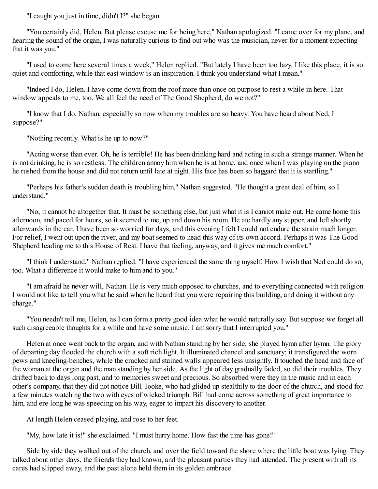"I caught you just in time, didn't I?" she began.

"You certainly did, Helen. But please excuse me for being here," Nathan apologized. "I came over for my plane, and hearing the sound of the organ, I was naturally curious to find out who was the musician, never for a moment expecting that it was you."

"I used to come here several times a week," Helen replied. "But lately I have been too lazy. I like this place, it is so quiet and comforting, while that east window is an inspiration. I think you understand what I mean."

"Indeed I do, Helen. I have come down from the roof more than once on purpose to rest a while in here. That window appeals to me, too. We all feel the need of The Good Shepherd, do we not?"

"I know that I do, Nathan, especially so now when my troubles are so heavy. You have heard about Ned, I suppose?"

"Nothing recently. What is he up to now?"

"Acting worse than ever. Oh, he is terrible! He has been drinking hard and acting in such a strange manner. When he is not drinking, he is so restless. The children annoy him when he is at home, and once when I was playing on the piano he rushed from the house and did not return until late at night. His face has been so haggard that it is startling."

"Perhaps his father's sudden death is troubling him," Nathan suggested. "He thought a great deal of him, so I understand."

"No, it cannot be altogether that. It must be something else, but just what it is I cannot make out. He came home this afternoon, and paced for hours, so it seemed to me, up and down his room. He ate hardly any supper, and left shortly afterwards in the car. I have been so worried for days, and this evening I felt I could not endure the strain much longer. For relief, I went out upon the river, and my boat seemed to head this way of its own accord. Perhaps it was The Good Shepherd leading me to this House of Rest. I have that feeling, anyway, and it gives me much comfort."

"I think I understand," Nathan replied. "I have experienced the same thing myself. How I wish that Ned could do so, too. What a difference it would make to him and to you."

"I am afraid he never will, Nathan. He is very much opposed to churches, and to everything connected with religion. I would not like to tell you what he said when he heard that you were repairing this building, and doing it without any charge."

"You needn't tell me, Helen, as I can form a pretty good idea what he would naturally say. But suppose we forget all such disagreeable thoughts for a while and have some music. I am sorry that I interrupted you."

Helen at once went back to the organ, and with Nathan standing by her side, she played hymn after hymn. The glory of departing day flooded the church with a soft rich light. It illuminated chancel and sanctuary; it transfigured the worn pews and kneeling-benches, while the cracked and stained walls appeared less unsightly. It touched the head and face of the woman at the organ and the man standing by her side. As the light of day gradually faded, so did their troubles. They drifted back to days long past, and to memories sweet and precious. So absorbed were they in the music and in each other's company, that they did not notice Bill Tooke, who had glided up stealthily to the door of the church, and stood for a few minutes watching the two with eyes of wicked triumph. Bill had come across something of great importance to him, and ere long he was speeding on his way, eager to impart his discovery to another.

At length Helen ceased playing, and rose to her feet.

"My, how late it is!" she exclaimed. "I must hurry home. How fast the time has gone!"

Side by side they walked out of the church, and over the field toward the shore where the little boat was lying. They talked about other days, the friends they had known, and the pleasant parties they had attended. The present with all its cares had slipped away, and the past alone held them in its golden embrace.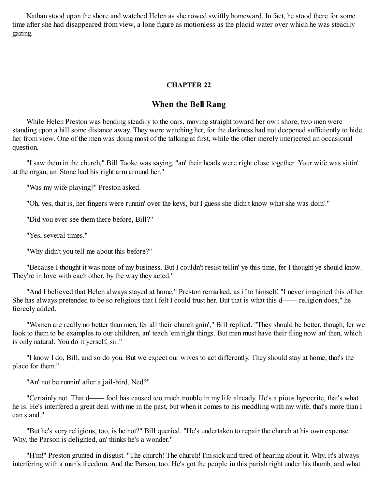Nathan stood upon the shore and watched Helen as she rowed swiftly homeward. In fact, he stood there for some time after she had disappeared from view, a lone figure as motionless as the placid water over which he was steadily gazing.

### **CHAPTER 22**

## **When the Bell Rang**

While Helen Preston was bending steadily to the oars, moving straight toward her own shore, two men were standing upon a hill some distance away. They were watching her, for the darkness had not deepened sufficiently to hide her from view. One of the men was doing most of the talking at first, while the other merely interjected an occasional question.

"I saw them in the church," Bill Tooke was saying, "an' their heads were right close together. Your wife was sittin' at the organ, an' Stone had his right arm around her."

"Was my wife playing?" Preston asked.

"Oh, yes, that is, her fingers were runnin' over the keys, but I guess she didn't know what she was doin'."

"Did you ever see them there before, Bill?"

"Yes, several times."

"Why didn't you tell me about this before?"

"Because I thought it was none of my business. But I couldn't resist tellin' ye this time, fer I thought ye should know. They're in love with each other, by the way they acted."

"And I believed that Helen always stayed at home," Preston remarked, as if to himself. "I never imagined this of her. She has always pretended to be so religious that I felt I could trust her. But that is what this d—— religion does," he fiercely added.

"Women are really no better than men, fer all their church goin'," Bill replied. "They should be better, though, fer we look to them to be examples to our children, an' teach 'em right things. But men must have their fling now an' then, which is only natural. You do it yerself, sir."

"I know I do, Bill, and so do you. But we expect our wives to act differently. They should stay at home; that's the place for them."

"An' not be runnin' after a jail-bird, Ned?"

"Certainly not. That d—— fool has caused too much trouble in my life already. He's a pious hypocrite, that's what he is. He's interfered a great deal with me in the past, but when it comes to his meddling with my wife, that's more than I can stand."

"But he's very religious, too, is he not?" Bill queried. "He's undertaken to repair the church at his own expense. Why, the Parson is delighted, an' thinks he's a wonder."

"H'm!" Preston grunted in disgust. "The church! The church! I'm sick and tired of hearing about it. Why, it's always interfering with a man's freedom. And the Parson, too. He's got the people in this parish right under his thumb, and what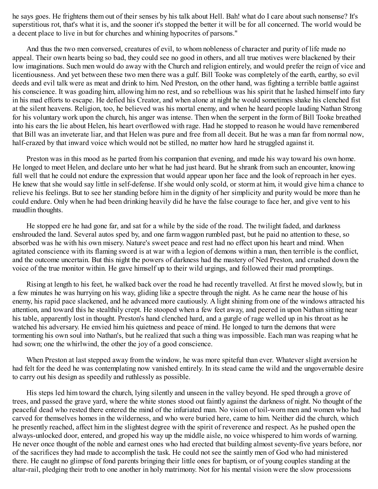he says goes. He frightens them out of their senses by his talk about Hell. Bah! what do I care about such nonsense? It's superstitious rot, that's what it is, and the sooner it's stopped the better it will be for all concerned. The world would be a decent place to live in but for churches and whining hypocrites of parsons."

And thus the two men conversed, creatures of evil, to whom nobleness of character and purity of life made no appeal. Their own hearts being so bad, they could see no good in others, and all true motives were blackened by their low imaginations. Such men would do away with the Church and religion entirely, and would prefer the reign of vice and licentiousness. And yet between these two men there was a gulf. Bill Tooke was completely of the earth, earthy, so evil deeds and evil talk were as meat and drink to him. Ned Preston, on the other hand, was fighting a terrible battle against his conscience. It was goading him, allowing him no rest, and so rebellious was his spirit that he lashed himself into fury in his mad efforts to escape. He defied his Creator, and when alone at night he would sometimes shake his clenched fist at the silent heavens. Religion, too, he believed was his mortal enemy, and when he heard people lauding Nathan Strong for his voluntary work upon the church, his anger was intense. Then when the serpent in the form of Bill Tooke breathed into his ears the lie about Helen, his heart overflowed with rage. Had he stopped to reason he would have remembered that Bill was an inveterate liar, and that Helen was pure and free from all deceit. But he was a man far from normal now, half-crazed by that inward voice which would not be stilled, no matter how hard he struggled against it.

Preston was in this mood as he parted from his companion that evening, and made his way toward his own home. He longed to meet Helen, and declare unto her what he had just heard. But he shrank from such an encounter, knowing full well that he could not endure the expression that would appear upon her face and the look of reproach in her eyes. He knew that she would say little in self-defense. If she would only scold, or storm at him, it would give him a chance to relieve his feelings. But to see her standing before him in the dignity of her simplicity and purity would be more than he could endure. Only when he had been drinking heavily did he have the false courage to face her, and give vent to his maudlin thoughts.

He stopped ere he had gone far, and sat for a while by the side of the road. The twilight faded, and darkness enshrouded the land. Several autos sped by, and one farm waggon rumbled past, but he paid no attention to these, so absorbed was he with his own misery. Nature's sweet peace and rest had no effect upon his heart and mind. When agitated conscience with its flaming sword is at war with a legion of demons within a man, then terrible is the conflict, and the outcome uncertain. But this night the powers of darkness had the mastery of Ned Preston, and crushed down the voice of the true monitor within. He gave himself up to their wild urgings, and followed their mad promptings.

Rising at length to his feet, he walked back over the road he had recently travelled. At first he moved slowly, but in a few minutes he was hurrying on his way, gliding like a spectre through the night. As he came near the house of his enemy, his rapid pace slackened, and he advanced more cautiously. A light shining from one of the windows attracted his attention, and toward this he stealthily crept. He stooped when a few feet away, and peered in upon Nathan sitting near his table, apparently lost in thought. Preston's hand clenched hard, and a gurgle of rage welled up in his throat as he watched his adversary. He envied him his quietness and peace of mind. He longed to turn the demons that were tormenting his own soul into Nathan's, but he realized that such a thing was impossible. Each man was reaping what he had sown; one the whirlwind, the other the joy of a good conscience.

When Preston at last stepped away from the window, he was more spiteful than ever. Whatever slight aversion he had felt for the deed he was contemplating now vanished entirely. In its stead came the wild and the ungovernable desire to carry out his design as speedily and ruthlessly as possible.

His steps led him toward the church, lying silently and unseen in the valley beyond. He sped through a grove of trees, and passed the grave yard, where the white stones stood out faintly against the darkness of night. No thought of the peaceful dead who rested there entered the mind of the infuriated man. No vision of toil-worn men and women who had carved for themselves homes in the wilderness, and who were buried here, came to him. Neither did the church, which he presently reached, affect him in the slightest degree with the spirit of reverence and respect. As he pushed open the always-unlocked door, entered, and groped his way up the middle aisle, no voice whispered to him words of warning. He never once thought of the noble and earnest ones who had erected that building almost seventy-five years before, nor of the sacrifices they had made to accomplish the task. He could not see the saintly men of God who had ministered there. He caught no glimpse of fond parents bringing their little ones for baptism, or of young couples standing at the altar-rail, pledging their troth to one another in holy matrimony. Not for his mental vision were the slow processions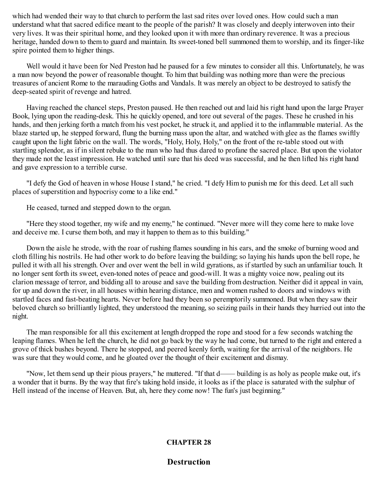which had wended their way to that church to perform the last sad rites over loved ones. How could such a man understand what that sacred edifice meant to the people of the parish? It was closely and deeply interwoven into their very lives. It was their spiritual home, and they looked upon it with more than ordinary reverence. It was a precious heritage, handed down to them to guard and maintain. Its sweet-toned bell summoned them to worship, and its finger-like spire pointed them to higher things.

Well would it have been for Ned Preston had he paused for a few minutes to consider all this. Unfortunately, he was a man now beyond the power of reasonable thought. To him that building was nothing more than were the precious treasures of ancient Rome to the marauding Goths and Vandals. It was merely an object to be destroyed to satisfy the deep-seated spirit of revenge and hatred.

Having reached the chancel steps, Preston paused. He then reached out and laid his right hand upon the large Prayer Book, lying upon the reading-desk. This he quickly opened, and tore out several of the pages. These he crushed in his hands, and then jerking forth a match from his vest pocket, he struck it, and applied it to the inflammable material. As the blaze started up, he stepped forward, flung the burning mass upon the altar, and watched with glee as the flames swiftly caught upon the light fabric on the wall. The words, "Holy, Holy, Holy," on the front of the re-table stood out with startling splendor, as if in silent rebuke to the man who had thus dared to profane the sacred place. But upon the violator they made not the least impression. He watched until sure that his deed was successful, and he then lifted his right hand and gave expression to a terrible curse.

"I defy the God of heaven in whose House I stand," he cried. "I defy Him to punish me for this deed. Let all such places of superstition and hypocrisy come to a like end."

He ceased, turned and stepped down to the organ.

"Here they stood together, my wife and my enemy," he continued. "Never more will they come here to make love and deceive me. I curse them both, and may it happen to them as to this building."

Down the aisle he strode, with the roar of rushing flames sounding in his ears, and the smoke of burning wood and cloth filling his nostrils. He had other work to do before leaving the building; so laying his hands upon the bell rope, he pulled it with all his strength. Over and over went the bell in wild gyrations, as if startled by such an unfamiliar touch. It no longer sent forth its sweet, even-toned notes of peace and good-will. It was a mighty voice now, pealing out its clarion message of terror, and bidding all to arouse and save the building from destruction. Neither did it appeal in vain, for up and down the river, in all houses within hearing distance, men and women rushed to doors and windows with startled faces and fast-beating hearts. Never before had they been so peremptorily summoned. But when they saw their beloved church so brilliantly lighted, they understood the meaning, so seizing pails in their hands they hurried out into the night.

The man responsible for all this excitement at length dropped the rope and stood for a few seconds watching the leaping flames. When he left the church, he did not go back by the way he had come, but turned to the right and entered a grove of thick bushes beyond. There he stopped, and peered keenly forth, waiting for the arrival of the neighbors. He was sure that they would come, and he gloated over the thought of their excitement and dismay.

"Now, let them send up their pious prayers," he muttered. "If that d—— building is as holy as people make out, it's a wonder that it burns. By the way that fire's taking hold inside, it looks as if the place is saturated with the sulphur of Hell instead of the incense of Heaven. But, ah, here they come now! The fun's just beginning."

## **CHAPTER 28**

**Destruction**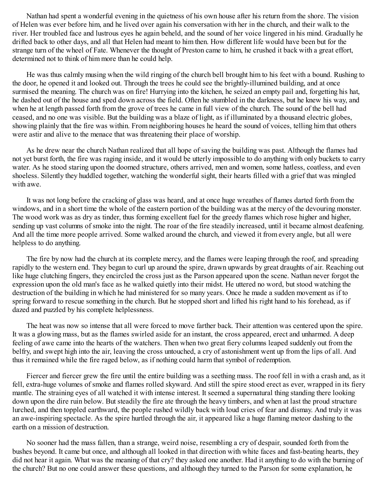Nathan had spent a wonderful evening in the quietness of his own house after his return from the shore. The vision of Helen was ever before him, and he lived over again his conversation with her in the church, and their walk to the river. Her troubled face and lustrous eyes he again beheld, and the sound of her voice lingered in his mind. Gradually he drifted back to other days, and all that Helen had meant to him then. How different life would have been but for the strange turn of the wheel of Fate. Whenever the thought of Preston came to him, he crushed it back with a great effort, determined not to think of him more than he could help.

He was thus calmly musing when the wild ringing of the church bell brought him to his feet with a bound. Rushing to the door, he opened it and looked out. Through the trees he could see the brightly-illumined building, and at once surmised the meaning. The church was on fire! Hurrying into the kitchen, he seized an empty pail and, forgetting his hat, he dashed out of the house and sped down across the field. Often he stumbled in the darkness, but he knew his way, and when he at length passed forth from the grove of trees he came in full view of the church. The sound of the bell had ceased, and no one was visible. But the building was a blaze of light, as if illuminated by a thousand electric globes, showing plainly that the fire was within. From neighboring houses he heard the sound of voices, telling him that others were astir and alive to the menace that was threatening their place of worship.

As he drew near the church Nathan realized that all hope of saving the building was past. Although the flames had not yet burst forth, the fire was raging inside, and it would be utterly impossible to do anything with only buckets to carry water. As he stood staring upon the doomed structure, others arrived, men and women, some hatless, coatless, and even shoeless. Silently they huddled together, watching the wonderful sight, their hearts filled with a grief that was mingled with awe.

It was not long before the cracking of glass was heard, and at once huge wreathes of flames darted forth from the windows, and in a short time the whole of the eastern portion of the building was at the mercy of the devouring monster. The wood work was as dry as tinder, thus forming excellent fuel for the greedy flames which rose higher and higher, sending up vast columns of smoke into the night. The roar of the fire steadily increased, until it became almost deafening. And all the time more people arrived. Some walked around the church, and viewed it from every angle, but all were helpless to do anything.

The fire by now had the church at its complete mercy, and the flames were leaping through the roof, and spreading rapidly to the western end. They began to curl up around the spire, drawn upwards by great draughts of air. Reaching out like huge clutching fingers, they encircled the cross just as the Parson appeared upon the scene. Nathan never forgot the expression upon the old man's face as he walked quietly into their midst. He uttered no word, but stood watching the destruction of the building in which he had ministered for so many years. Once he made a sudden movement as if to spring forward to rescue something in the church. But he stopped short and lifted his right hand to his forehead, as if dazed and puzzled by his complete helplessness.

The heat was now so intense that all were forced to move farther back. Their attention was centered upon the spire. It was a glowing mass, but as the flames swirled aside for an instant, the cross appeared, erect and unharmed. A deep feeling of awe came into the hearts of the watchers. Then when two great fiery columns leaped suddenly out from the belfry, and swept high into the air, leaving the cross untouched, a cry of astonishment went up from the lips of all. And thus it remained while the fire raged below, as if nothing could harm that symbol of redemption.

Fiercer and fiercer grew the fire until the entire building was a seething mass. The roof fell in with a crash and, as it fell, extra-huge volumes of smoke and flames rolled skyward. And still the spire stood erect as ever, wrapped in its fiery mantle. The straining eyes of all watched it with intense interest. It seemed a supernatural thing standing there looking down upon the dire ruin below. But steadily the fire ate through the heavy timbers, and when at last the proud structure lurched, and then toppled earthward, the people rushed wildly back with loud cries of fear and dismay. And truly it was an awe-inspiring spectacle. As the spire hurtled through the air, it appeared like a huge flaming meteor dashing to the earth on a mission of destruction.

No sooner had the mass fallen, than a strange, weird noise, resembling a cry of despair, sounded forth from the bushes beyond. It came but once, and although all looked in that direction with white faces and fast-beating hearts, they did not hear it again. What was the meaning of that cry? they asked one another. Had it anything to do with the burning of the church? But no one could answer these questions, and although they turned to the Parson for some explanation, he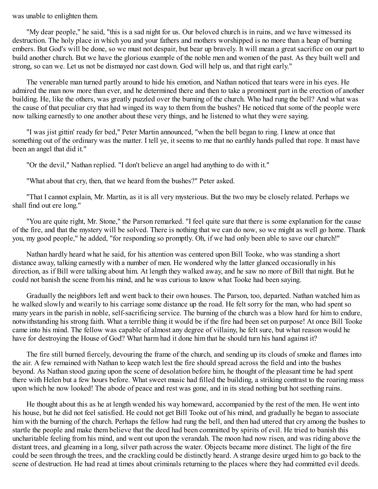#### was unable to enlighten them.

"My dear people," he said, "this is a sad night for us. Our beloved church is in ruins, and we have witnessed its destruction. The holy place in which you and your fathers and mothers worshipped is no more than a heap of burning embers. But God's will be done, so we must not despair, but bear up bravely. It will mean a great sacrifice on our part to build another church. But we have the glorious example of the noble men and women of the past. As they built well and strong, so can we. Let us not be dismayed nor cast down. God will help us, and that right early."

The venerable man turned partly around to hide his emotion, and Nathan noticed that tears were in his eyes. He admired the man now more than ever, and he determined there and then to take a prominent part in the erection of another building. He, like the others, was greatly puzzled over the burning of the church. Who had rung the bell? And what was the cause of that peculiar cry that had winged its way to them from the bushes? He noticed that some of the people were now talking earnestly to one another about these very things, and he listened to what they were saying.

"I was jist gittin' ready fer bed," Peter Martin announced, "when the bell began to ring. I knew at once that something out of the ordinary was the matter. I tell ye, it seems to me that no earthly hands pulled that rope. It must have been an angel that did it."

"Or the devil," Nathan replied. "I don't believe an angel had anything to do with it."

"What about that cry, then, that we heard from the bushes?" Peter asked.

"That I cannot explain, Mr. Martin, as it is all very mysterious. But the two may be closely related. Perhaps we shall find out ere long."

"You are quite right, Mr. Stone," the Parson remarked. "I feel quite sure that there is some explanation for the cause of the fire, and that the mystery will be solved. There is nothing that we can do now, so we might as well go home. Thank you, my good people," he added, "for responding so promptly. Oh, if we had only been able to save our church!"

Nathan hardly heard what he said, for his attention was centered upon Bill Tooke, who was standing a short distance away, talking earnestly with a number of men. He wondered why the latter glanced occasionally in his direction, as if Bill were talking about him. At length they walked away, and he saw no more of Bill that night. But he could not banish the scene from his mind, and he was curious to know what Tooke had been saying.

Gradually the neighbors left and went back to their own houses. The Parson, too, departed. Nathan watched him as he walked slowly and wearily to his carriage some distance up the road. He felt sorry for the man, who had spent so many years in the parish in noble, self-sacrificing service. The burning of the church was a blow hard for him to endure, notwithstanding his strong faith. What a terrible thing it would be if the fire had been set on purpose! At once Bill Tooke came into his mind. The fellow was capable of almost any degree of villainy, he felt sure, but what reason would he have for destroying the House of God? What harm had it done him that he should turn his hand against it?

The fire still burned fiercely, devouring the frame of the church, and sending up its clouds of smoke and flames into the air. A few remained with Nathan to keep watch lest the fire should spread across the field and into the bushes beyond. As Nathan stood gazing upon the scene of desolation before him, he thought of the pleasant time he had spent there with Helen but a few hours before. What sweet music had filled the building, a striking contrast to the roaring mass upon which he now looked! The abode of peace and rest was gone, and in its stead nothing but hot seething ruins.

He thought about this as he at length wended his way homeward, accompanied by the rest of the men. He went into his house, but he did not feel satisfied. He could not get Bill Tooke out of his mind, and gradually he began to associate him with the burning of the church. Perhaps the fellow had rung the bell, and then had uttered that cry among the bushes to startle the people and make them believe that the deed had been committed by spirits of evil. He tried to banish this uncharitable feeling from his mind, and went out upon the verandah. The moon had now risen, and was riding above the distant trees, and gleaming in a long, silver path across the water. Objects became more distinct. The light of the fire could be seen through the trees, and the crackling could be distinctly heard. A strange desire urged him to go back to the scene of destruction. He had read at times about criminals returning to the places where they had committed evil deeds.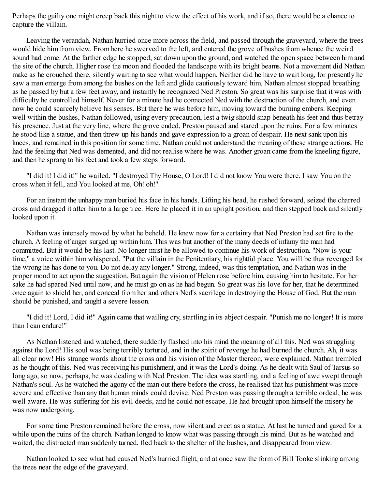Perhaps the guilty one might creep back this night to view the effect of his work, and if so, there would be a chance to capture the villain.

Leaving the verandah, Nathan hurried once more across the field, and passed through the graveyard, where the trees would hide him from view. From here he swerved to the left, and entered the grove of bushes from whence the weird sound had come. At the farther edge he stopped, sat down upon the ground, and watched the open space between him and the site of the church. Higher rose the moon and flooded the landscape with its bright beams. Not a movement did Nathan make as he crouched there, silently waiting to see what would happen. Neither did he have to wait long, for presently he saw a man emerge from among the bushes on the left and glide cautiously toward him. Nathan almost stopped breathing as he passed by but a few feet away, and instantly he recognized Ned Preston. So great was his surprise that it was with difficulty he controlled himself. Never for a minute had he connected Ned with the destruction of the church, and even now he could scarcely believe his senses. But there he was before him, moving toward the burning embers. Keeping well within the bushes, Nathan followed, using every precaution, lest a twig should snap beneath his feet and thus betray his presence. Just at the very line, where the grove ended, Preston paused and stared upon the ruins. For a few minutes he stood like a statue, and then threw up his hands and gave expression to a groan of despair. He next sank upon his knees, and remained in this position for some time. Nathan could not understand the meaning of these strange actions. He had the feeling that Ned was demented, and did not realise where he was. Another groan came from the kneeling figure, and then he sprang to his feet and took a few steps forward.

"I did it! I did it!" he wailed. "I destroyed Thy House, O Lord! I did not know You were there. I saw You on the cross when it fell, and You looked at me. Oh! oh!"

For an instant the unhappy man buried his face in his hands. Lifting his head, he rushed forward, seized the charred cross and dragged it after him to a large tree. Here he placed it in an upright position, and then stepped back and silently looked upon it.

Nathan was intensely moved by what he beheld. He knew now for a certainty that Ned Preston had set fire to the church. A feeling of anger surged up within him. This was but another of the many deeds of infamy the man had committed. But it would be his last. No longer must he be allowed to continue his work of destruction. "Now is your time," a voice within him whispered. "Put the villain in the Penitentiary, his rightful place. You will be thus revenged for the wrong he has done to you. Do not delay any longer." Strong, indeed, was this temptation, and Nathan was in the proper mood to act upon the suggestion. But again the vision of Helen rose before him, causing him to hesitate. For her sake he had spared Ned until now, and he must go on as he had begun. So great was his love for her, that he determined once again to shield her, and conceal from her and others Ned's sacrilege in destroying the House of God. But the man should be punished, and taught a severe lesson.

"I did it! Lord, I did it!" Again came that wailing cry, startling in its abject despair. "Punish me no longer! It is more than I can endure!"

As Nathan listened and watched, there suddenly flashed into his mind the meaning of all this. Ned was struggling against the Lord! His soul was being terribly tortured, and in the spirit of revenge he had burned the church. Ah, it was all clear now! His strange words about the cross and his vision of the Master thereon, were explained. Nathan trembled as he thought of this. Ned was receiving his punishment, and it was the Lord's doing. As he dealt with Saul of Tarsus so long ago, so now, perhaps, he was dealing with Ned Preston. The idea was startling, and a feeling of awe swept through Nathan's soul. As he watched the agony of the man out there before the cross, he realised that his punishment was more severe and effective than any that human minds could devise. Ned Preston was passing through a terrible ordeal, he was well aware. He was suffering for his evil deeds, and he could not escape. He had brought upon himself the misery he was now undergoing.

For some time Preston remained before the cross, now silent and erect as a statue. At last he turned and gazed for a while upon the ruins of the church. Nathan longed to know what was passing through his mind. But as he watched and waited, the distracted man suddenly turned, fled back to the shelter of the bushes, and disappeared from view.

Nathan looked to see what had caused Ned's hurried flight, and at once saw the form of Bill Tooke slinking among the trees near the edge of the graveyard.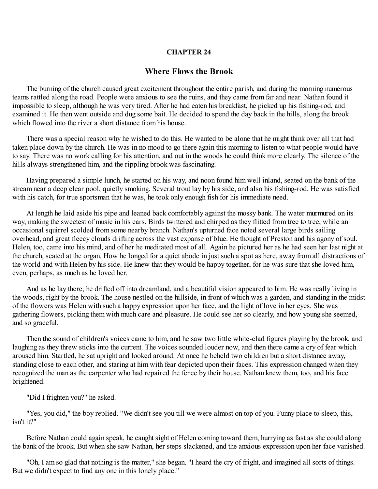### **CHAPTER 24**

### **Where Flows the Brook**

The burning of the church caused great excitement throughout the entire parish, and during the morning numerous teams rattled along the road. People were anxious to see the ruins, and they came from far and near. Nathan found it impossible to sleep, although he was very tired. After he had eaten his breakfast, he picked up his fishing-rod, and examined it. He then went outside and dug some bait. He decided to spend the day back in the hills, along the brook which flowed into the river a short distance from his house.

There was a special reason why he wished to do this. He wanted to be alone that he might think over all that had taken place down by the church. He was in no mood to go there again this morning to listen to what people would have to say. There was no work calling for his attention, and out in the woods he could think more clearly. The silence of the hills always strengthened him, and the rippling brook was fascinating.

Having prepared a simple lunch, he started on his way, and noon found him well inland, seated on the bank of the stream near a deep clear pool, quietly smoking. Several trout lay by his side, and also his fishing-rod. He was satisfied with his catch, for true sportsman that he was, he took only enough fish for his immediate need.

At length he laid aside his pipe and leaned back comfortably against the mossy bank. The water murmured on its way, making the sweetest of music in his ears. Birds twittered and chirped as they flitted from tree to tree, while an occasional squirrel scolded from some nearby branch. Nathan's upturned face noted several large birds sailing overhead, and great fleecy clouds drifting across the vast expanse of blue. He thought of Preston and his agony of soul. Helen, too, came into his mind, and of her he meditated most of all. Again he pictured her as he had seen her last night at the church, seated at the organ. How he longed for a quiet abode in just such a spot as here, away from all distractions of the world and with Helen by his side. He knew that they would be happy together, for he was sure that she loved him, even, perhaps, as much as he loved her.

And as he lay there, he drifted off into dreamland, and a beautiful vision appeared to him. He was really living in the woods, right by the brook. The house nestled on the hillside, in front of which was a garden, and standing in the midst of the flowers was Helen with such a happy expression upon her face, and the light of love in her eyes. She was gathering flowers, picking them with much care and pleasure. He could see her so clearly, and how young she seemed, and so graceful.

Then the sound of children's voices came to him, and he saw two little white-clad figures playing by the brook, and laughing as they threw sticks into the current. The voices sounded louder now, and then there came a cry of fear which aroused him. Startled, he sat upright and looked around. At once he beheld two children but a short distance away, standing close to each other, and staring at him with fear depicted upon their faces. This expression changed when they recognized the man as the carpenter who had repaired the fence by their house. Nathan knew them, too, and his face brightened.

"Did I frighten you?" he asked.

"Yes, you did," the boy replied. "We didn't see you till we were almost on top of you. Funny place to sleep, this, isn't it?"

Before Nathan could again speak, he caught sight of Helen coming toward them, hurrying as fast as she could along the bank of the brook. But when she saw Nathan, her steps slackened, and the anxious expression upon her face vanished.

"Oh, I am so glad that nothing is the matter," she began. "I heard the cry of fright, and imagined all sorts of things. But we didn't expect to find any one in this lonely place."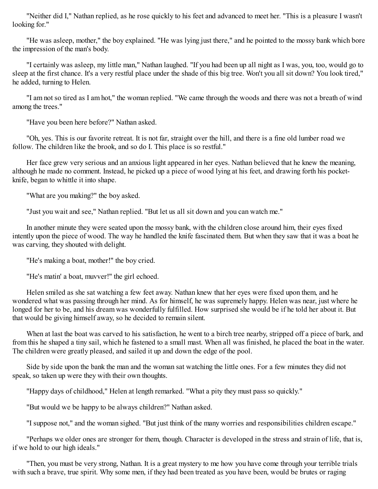"Neither did I," Nathan replied, as he rose quickly to his feet and advanced to meet her. "This is a pleasure I wasn't looking for."

"He was asleep, mother," the boy explained. "He was lying just there," and he pointed to the mossy bank which bore the impression of the man's body.

"I certainly was asleep, my little man," Nathan laughed. "If you had been up all night as I was, you, too, would go to sleep at the first chance. It's a very restful place under the shade of this big tree. Won't you all sit down? You look tired," he added, turning to Helen.

"I am not so tired as I am hot," the woman replied. "We came through the woods and there was not a breath of wind among the trees."

"Have you been here before?" Nathan asked.

"Oh, yes. This is our favorite retreat. It is not far, straight over the hill, and there is a fine old lumber road we follow. The children like the brook, and so do I. This place is so restful."

Her face grew very serious and an anxious light appeared in her eyes. Nathan believed that he knew the meaning, although he made no comment. Instead, he picked up a piece of wood lying at his feet, and drawing forth his pocketknife, began to whittle it into shape.

"What are you making?" the boy asked.

"Just you wait and see," Nathan replied. "But let us all sit down and you can watch me."

In another minute they were seated upon the mossy bank, with the children close around him, their eyes fixed intently upon the piece of wood. The way he handled the knife fascinated them. But when they saw that it was a boat he was carving, they shouted with delight.

"He's making a boat, mother!" the boy cried.

"He's matin' a boat, muvver!" the girl echoed.

Helen smiled as she sat watching a few feet away. Nathan knew that her eyes were fixed upon them, and he wondered what was passing through her mind. As for himself, he was supremely happy. Helen was near, just where he longed for her to be, and his dream was wonderfully fulfilled. How surprised she would be if he told her about it. But that would be giving himself away, so he decided to remain silent.

When at last the boat was carved to his satisfaction, he went to a birch tree nearby, stripped off a piece of bark, and from this he shaped a tiny sail, which he fastened to a small mast. When all was finished, he placed the boat in the water. The children were greatly pleased, and sailed it up and down the edge of the pool.

Side by side upon the bank the man and the woman sat watching the little ones. For a few minutes they did not speak, so taken up were they with their own thoughts.

"Happy days of childhood," Helen at length remarked. "What a pity they must pass so quickly."

"But would we be happy to be always children?" Nathan asked.

"I suppose not," and the woman sighed. "But just think of the many worries and responsibilities children escape."

"Perhaps we older ones are stronger for them, though. Character is developed in the stress and strain of life, that is, if we hold to our high ideals."

"Then, you must be very strong, Nathan. It is a great mystery to me how you have come through your terrible trials with such a brave, true spirit. Why some men, if they had been treated as you have been, would be brutes or raging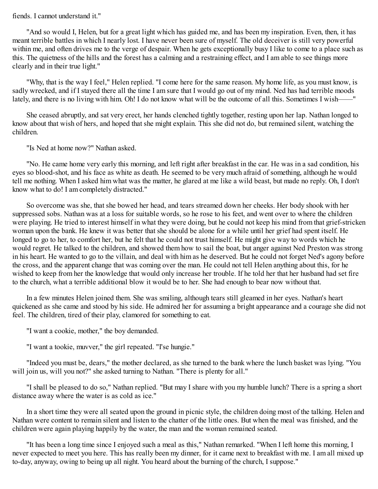#### fiends. I cannot understand it."

"And so would I, Helen, but for a great light which has guided me, and has been my inspiration. Even, then, it has meant terrible battles in which I nearly lost. I have never been sure of myself. The old deceiver is still very powerful within me, and often drives me to the verge of despair. When he gets exceptionally busy I like to come to a place such as this. The quietness of the hills and the forest has a calming and a restraining effect, and I am able to see things more clearly and in their true light."

"Why, that is the way I feel," Helen replied. "I come here for the same reason. My home life, as you must know, is sadly wrecked, and if I stayed there all the time I am sure that I would go out of my mind. Ned has had terrible moods lately, and there is no living with him. Oh! I do not know what will be the outcome of all this. Sometimes I wish——"

She ceased abruptly, and sat very erect, her hands clenched tightly together, resting upon her lap. Nathan longed to know about that wish of hers, and hoped that she might explain. This she did not do, but remained silent, watching the children.

"Is Ned at home now?" Nathan asked.

"No. He came home very early this morning, and left right after breakfast in the car. He was in a sad condition, his eyes so blood-shot, and his face as white as death. He seemed to be very much afraid of something, although he would tell me nothing. When I asked him what was the matter, he glared at me like a wild beast, but made no reply. Oh, I don't know what to do! I am completely distracted."

So overcome was she, that she bowed her head, and tears streamed down her cheeks. Her body shook with her suppressed sobs. Nathan was at a loss for suitable words, so he rose to his feet, and went over to where the children were playing. He tried to interest himself in what they were doing, but he could not keep his mind from that grief-stricken woman upon the bank. He knew it was better that she should be alone for a while until her grief had spent itself. He longed to go to her, to comfort her, but he felt that he could not trust himself. He might give way to words which he would regret. He talked to the children, and showed them how to sail the boat, but anger against Ned Preston was strong in his heart. He wanted to go to the villain, and deal with him as he deserved. But he could not forget Ned's agony before the cross, and the apparent change that was coming over the man. He could not tell Helen anything about this, for he wished to keep from her the knowledge that would only increase her trouble. If he told her that her husband had set fire to the church, what a terrible additional blow it would be to her. She had enough to bear now without that.

In a few minutes Helen joined them. She was smiling, although tears still gleamed in her eyes. Nathan's heart quickened as she came and stood by his side. He admired her for assuming a bright appearance and a courage she did not feel. The children, tired of their play, clamored for something to eat.

"I want a cookie, mother," the boy demanded.

"I want a tookie, muvver," the girl repeated. "I'se hungie."

"Indeed you must be, dears," the mother declared, as she turned to the bank where the lunch basket was lying. "You will join us, will you not?" she asked turning to Nathan. "There is plenty for all."

"I shall be pleased to do so," Nathan replied. "But may I share with you my humble lunch? There is a spring a short distance away where the water is as cold as ice."

In a short time they were all seated upon the ground in picnic style, the children doing most of the talking. Helen and Nathan were content to remain silent and listen to the chatter of the little ones. But when the meal was finished, and the children were again playing happily by the water, the man and the woman remained seated.

"It has been a long time since I enjoyed such a meal as this," Nathan remarked. "When I left home this morning, I never expected to meet you here. This has really been my dinner, for it came next to breakfast with me. I am all mixed up to-day, anyway, owing to being up all night. You heard about the burning of the church, I suppose."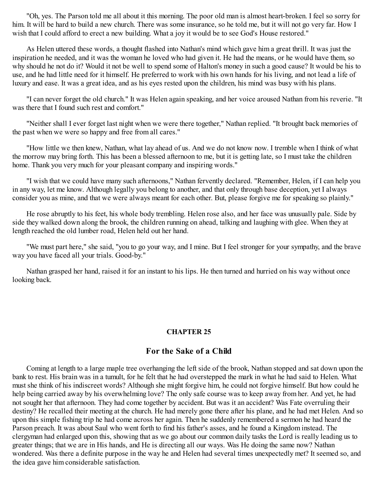"Oh, yes. The Parson told me all about it this morning. The poor old man is almost heart-broken. I feel so sorry for him. It will be hard to build a new church. There was some insurance, so he told me, but it will not go very far. How I wish that I could afford to erect a new building. What a joy it would be to see God's House restored."

As Helen uttered these words, a thought flashed into Nathan's mind which gave him a great thrill. It was just the inspiration he needed, and it was the woman he loved who had given it. He had the means, or he would have them, so why should he not do it? Would it not be well to spend some of Halton's money in such a good cause? It would be his to use, and he had little need for it himself. He preferred to work with his own hands for his living, and not lead a life of luxury and ease. It was a great idea, and as his eyes rested upon the children, his mind was busy with his plans.

"I can never forget the old church." It was Helen again speaking, and her voice aroused Nathan from his reverie. "It was there that I found such rest and comfort."

"Neither shall I ever forget last night when we were there together," Nathan replied. "It brought back memories of the past when we were so happy and free from all cares."

"How little we then knew, Nathan, what lay ahead of us. And we do not know now. I tremble when I think of what the morrow may bring forth. This has been a blessed afternoon to me, but it is getting late, so I must take the children home. Thank you very much for your pleasant company and inspiring words."

"I wish that we could have many such afternoons," Nathan fervently declared. "Remember, Helen, if I can help you in any way, let me know. Although legally you belong to another, and that only through base deception, yet I always consider you as mine, and that we were always meant for each other. But, please forgive me for speaking so plainly."

He rose abruptly to his feet, his whole body trembling. Helen rose also, and her face was unusually pale. Side by side they walked down along the brook, the children running on ahead, talking and laughing with glee. When they at length reached the old lumber road, Helen held out her hand.

"We must part here," she said, "you to go your way, and I mine. But I feel stronger for your sympathy, and the brave way you have faced all your trials. Good-by."

Nathan grasped her hand, raised it for an instant to his lips. He then turned and hurried on his way without once looking back.

#### **CHAPTER 25**

## **For the Sake of a Child**

Coming at length to a large maple tree overhanging the left side of the brook, Nathan stopped and sat down upon the bank to rest. His brain was in a tumult, for he felt that he had overstepped the mark in what he had said to Helen. What must she think of his indiscreet words? Although she might forgive him, he could not forgive himself. But how could he help being carried away by his overwhelming love? The only safe course was to keep away from her. And yet, he had not sought her that afternoon. They had come together by accident. But was it an accident? Was Fate overruling their destiny? He recalled their meeting at the church. He had merely gone there after his plane, and he had met Helen. And so upon this simple fishing trip he had come across her again. Then he suddenly remembered a sermon he had heard the Parson preach. It was about Saul who went forth to find his father's asses, and he found a Kingdom instead. The clergyman had enlarged upon this, showing that as we go about our common daily tasks the Lord is really leading us to greater things; that we are in His hands, and He is directing all our ways. Was He doing the same now? Nathan wondered. Was there a definite purpose in the way he and Helen had several times unexpectedly met? It seemed so, and the idea gave him considerable satisfaction.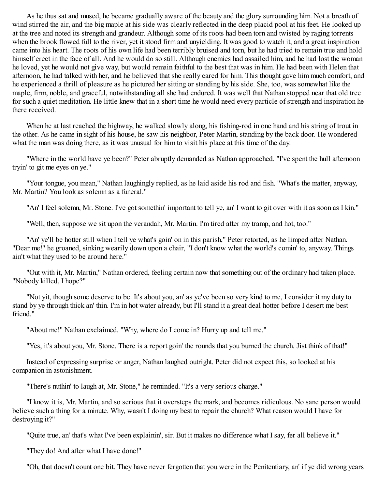As he thus sat and mused, he became gradually aware of the beauty and the glory surrounding him. Not a breath of wind stirred the air, and the big maple at his side was clearly reflected in the deep placid pool at his feet. He looked up at the tree and noted its strength and grandeur. Although some of its roots had been torn and twisted by raging torrents when the brook flowed full to the river, yet it stood firm and unyielding. It was good to watch it, and a great inspiration came into his heart. The roots of his own life had been terribly bruised and torn, but he had tried to remain true and hold himself erect in the face of all. And he would do so still. Although enemies had assailed him, and he had lost the woman he loved, yet he would not give way, but would remain faithful to the best that was in him. He had been with Helen that afternoon, he had talked with her, and he believed that she really cared for him. This thought gave him much comfort, and he experienced a thrill of pleasure as he pictured her sitting or standing by his side. She, too, was somewhat like the maple, firm, noble, and graceful, notwithstanding all she had endured. It was well that Nathan stopped near that old tree for such a quiet meditation. He little knew that in a short time he would need every particle of strength and inspiration he there received.

When he at last reached the highway, he walked slowly along, his fishing-rod in one hand and his string of trout in the other. As he came in sight of his house, he saw his neighbor, Peter Martin, standing by the back door. He wondered what the man was doing there, as it was unusual for him to visit his place at this time of the day.

"Where in the world have ye been?" Peter abruptly demanded as Nathan approached. "I've spent the hull afternoon tryin' to git me eyes on ye."

"Your tongue, you mean," Nathan laughingly replied, as he laid aside his rod and fish. "What's the matter, anyway, Mr. Martin? You look as solemn as a funeral."

"An' I feel solemn, Mr. Stone. I've got somethin' important to tell ye, an' I want to git over with it as soon as I kin."

"Well, then, suppose we sit upon the verandah, Mr. Martin. I'm tired after my tramp, and hot, too."

"An' ye'll be hotter still when I tell ye what's goin' on in this parish," Peter retorted, as he limped after Nathan. "Dear me!" he groaned, sinking wearily down upon a chair, "I don't know what the world's comin' to, anyway. Things ain't what they used to be around here."

"Out with it, Mr. Martin," Nathan ordered, feeling certain now that something out of the ordinary had taken place. "Nobody killed, I hope?"

"Not yit, though some deserve to be. It's about you, an' as ye've been so very kind to me, I consider it my duty to stand by ye through thick an' thin. I'm in hot water already, but I'll stand it a great deal hotter before I desert me best friend<sup>"</sup>

"About me!" Nathan exclaimed. "Why, where do I come in? Hurry up and tell me."

"Yes, it's about you, Mr. Stone. There is a report goin' the rounds that you burned the church. Jist think of that!"

Instead of expressing surprise or anger, Nathan laughed outright. Peter did not expect this, so looked at his companion in astonishment.

"There's nuthin' to laugh at, Mr. Stone," he reminded. "It's a very serious charge."

"I know it is, Mr. Martin, and so serious that it oversteps the mark, and becomes ridiculous. No sane person would believe such a thing for a minute. Why, wasn't I doing my best to repair the church? What reason would I have for destroying it?"

"Quite true, an' that's what I've been explainin', sir. But it makes no difference what I say, fer all believe it."

"They do! And after what I have done!"

"Oh, that doesn't count one bit. They have never fergotten that you were in the Penitentiary, an' if ye did wrong years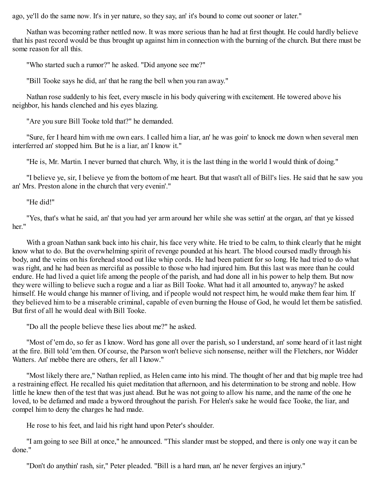ago, ye'll do the same now. It's in yer nature, so they say, an' it's bound to come out sooner or later."

Nathan was becoming rather nettled now. It was more serious than he had at first thought. He could hardly believe that his past record would be thus brought up against him in connection with the burning of the church. But there must be some reason for all this.

"Who started such a rumor?" he asked. "Did anyone see me?"

"Bill Tooke says he did, an' that he rang the bell when you ran away."

Nathan rose suddenly to his feet, every muscle in his body quivering with excitement. He towered above his neighbor, his hands clenched and his eyes blazing.

"Are you sure Bill Tooke told that?" he demanded.

"Sure, fer I heard him with me own ears. I called him a liar, an' he was goin' to knock me down when several men interferred an' stopped him. But he is a liar, an' I know it."

"He is, Mr. Martin. I never burned that church. Why, it is the last thing in the world I would think of doing."

"I believe ye, sir, I believe ye from the bottom of me heart. But that wasn't all of Bill's lies. He said that he saw you an' Mrs. Preston alone in the church that very evenin'."

#### "He did!"

"Yes, that's what he said, an' that you had yer arm around her while she was settin' at the organ, an' that ye kissed her"

With a groan Nathan sank back into his chair, his face very white. He tried to be calm, to think clearly that he might know what to do. But the overwhelming spirit of revenge pounded at his heart. The blood coursed madly through his body, and the veins on his forehead stood out like whip cords. He had been patient for so long. He had tried to do what was right, and he had been as merciful as possible to those who had injured him. But this last was more than he could endure. He had lived a quiet life among the people of the parish, and had done all in his power to help them. But now they were willing to believe such a rogue and a liar as Bill Tooke. What had it all amounted to, anyway? he asked himself. He would change his manner of living, and if people would not respect him, he would make them fear him. If they believed him to be a miserable criminal, capable of even burning the House of God, he would let them be satisfied. But first of all he would deal with Bill Tooke.

"Do all the people believe these lies about me?" he asked.

"Most of 'em do, so fer as I know. Word has gone all over the parish, so I understand, an' some heard of it last night at the fire. Bill told 'em then. Of course, the Parson won't believe sich nonsense, neither will the Fletchers, nor Widder Watters. An' mebbe there are others, fer all I know."

"Most likely there are," Nathan replied, as Helen came into his mind. The thought of her and that big maple tree had a restraining effect. He recalled his quiet meditation that afternoon, and his determination to be strong and noble. How little he knew then of the test that was just ahead. But he was not going to allow his name, and the name of the one he loved, to be defamed and made a byword throughout the parish. For Helen's sake he would face Tooke, the liar, and compel him to deny the charges he had made.

He rose to his feet, and laid his right hand upon Peter's shoulder.

"I am going to see Bill at once," he announced. "This slander must be stopped, and there is only one way it can be done."

"Don't do anythin' rash, sir," Peter pleaded. "Bill is a hard man, an' he never fergives an injury."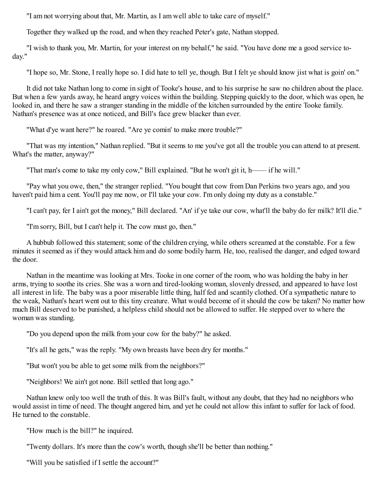"I am not worrying about that, Mr. Martin, as I am well able to take care of myself."

Together they walked up the road, and when they reached Peter's gate, Nathan stopped.

"I wish to thank you, Mr. Martin, for your interest on my behalf," he said. "You have done me a good service today."

"I hope so, Mr. Stone, I really hope so. I did hate to tell ye, though. But I felt ye should know jist what is goin' on."

It did not take Nathan long to come in sight of Tooke's house, and to his surprise he saw no children about the place. But when a few yards away, he heard angry voices within the building. Stepping quickly to the door, which was open, he looked in, and there he saw a stranger standing in the middle of the kitchen surrounded by the entire Tooke family. Nathan's presence was at once noticed, and Bill's face grew blacker than ever.

"What d'ye want here?" he roared. "Are ye comin' to make more trouble?"

"That was my intention," Nathan replied. "But it seems to me you've got all the trouble you can attend to at present. What's the matter, anyway?"

"That man's come to take my only cow," Bill explained. "But he won't git it, h—— if he will."

"Pay what you owe, then," the stranger replied. "You bought that cow from Dan Perkins two years ago, and you haven't paid him a cent. You'll pay me now, or I'll take your cow. I'm only doing my duty as a constable."

"I can't pay, fer I ain't got the money," Bill declared. "An' if ye take our cow, what'll the baby do fer milk? It'll die."

"I'm sorry, Bill, but I can't help it. The cow must go, then."

A hubbub followed this statement; some of the children crying, while others screamed at the constable. For a few minutes it seemed as if they would attack him and do some bodily harm. He, too, realised the danger, and edged toward the door.

Nathan in the meantime was looking at Mrs. Tooke in one corner of the room, who was holding the baby in her arms, trying to soothe its cries. She was a worn and tired-looking woman, slovenly dressed, and appeared to have lost all interest in life. The baby was a poor miserable little thing, half fed and scantily clothed. Of a sympathetic nature to the weak, Nathan's heart went out to this tiny creature. What would become of it should the cow be taken? No matter how much Bill deserved to be punished, a helpless child should not be allowed to suffer. He stepped over to where the woman was standing.

"Do you depend upon the milk from your cow for the baby?" he asked.

"It's all he gets," was the reply. "My own breasts have been dry fer months."

"But won't you be able to get some milk from the neighbors?"

"Neighbors! We ain't got none. Bill settled that long ago."

Nathan knew only too well the truth of this. It was Bill's fault, without any doubt, that they had no neighbors who would assist in time of need. The thought angered him, and yet he could not allow this infant to suffer for lack of food. He turned to the constable.

"How much is the bill?" he inquired.

"Twenty dollars. It's more than the cow's worth, though she'll be better than nothing."

"Will you be satisfied if I settle the account?"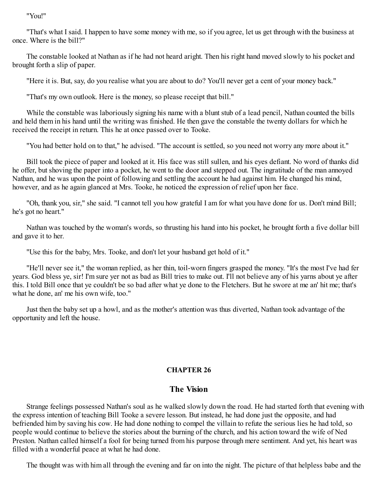"You!"

"That's what I said. I happen to have some money with me, so if you agree, let us get through with the business at once. Where is the bill?"

The constable looked at Nathan as if he had not heard aright. Then his right hand moved slowly to his pocket and brought forth a slip of paper.

"Here it is. But, say, do you realise what you are about to do? You'll never get a cent of your money back."

"That's my own outlook. Here is the money, so please receipt that bill."

While the constable was laboriously signing his name with a blunt stub of a lead pencil, Nathan counted the bills and held them in his hand until the writing was finished. He then gave the constable the twenty dollars for which he received the receipt in return. This he at once passed over to Tooke.

"You had better hold on to that," he advised. "The account is settled, so you need not worry any more about it."

Bill took the piece of paper and looked at it. His face was still sullen, and his eyes defiant. No word of thanks did he offer, but shoving the paper into a pocket, he went to the door and stepped out. The ingratitude of the man annoyed Nathan, and he was upon the point of following and settling the account he had against him. He changed his mind, however, and as he again glanced at Mrs. Tooke, he noticed the expression of relief upon her face.

"Oh, thank you, sir," she said. "I cannot tell you how grateful I am for what you have done for us. Don't mind Bill; he's got no heart."

Nathan was touched by the woman's words, so thrusting his hand into his pocket, he brought forth a five dollar bill and gave it to her.

"Use this for the baby, Mrs. Tooke, and don't let your husband get hold of it."

"He'll never see it," the woman replied, as her thin, toil-worn fingers grasped the money. "It's the most I've had fer years. God bless ye, sir! I'm sure yer not as bad as Bill tries to make out. I'll not believe any of his yarns about ye after this. I told Bill once that ye couldn't be so bad after what ye done to the Fletchers. But he swore at me an' hit me; that's what he done, an' me his own wife, too."

Just then the baby set up a howl, and as the mother's attention was thus diverted, Nathan took advantage of the opportunity and left the house.

#### **CHAPTER 26**

### **The Vision**

Strange feelings possessed Nathan's soul as he walked slowly down the road. He had started forth that evening with the express intention of teaching Bill Tooke a severe lesson. But instead, he had done just the opposite, and had befriended him by saving his cow. He had done nothing to compel the villain to refute the serious lies he had told, so people would continue to believe the stories about the burning of the church, and his action toward the wife of Ned Preston. Nathan called himself a fool for being turned from his purpose through mere sentiment. And yet, his heart was filled with a wonderful peace at what he had done.

The thought was with him all through the evening and far on into the night. The picture of that helpless babe and the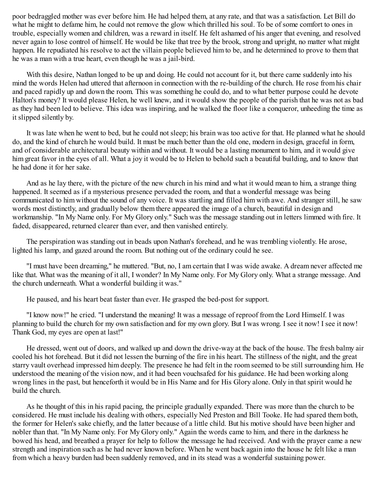poor bedraggled mother was ever before him. He had helped them, at any rate, and that was a satisfaction. Let Bill do what he might to defame him, he could not remove the glow which thrilled his soul. To be of some comfort to ones in trouble, especially women and children, was a reward in itself. He felt ashamed of his anger that evening, and resolved never again to lose control of himself. He would be like that tree by the brook, strong and upright, no matter what might happen. He repudiated his resolve to act the villain people believed him to be, and he determined to prove to them that he was a man with a true heart, even though he was a jail-bird.

With this desire, Nathan longed to be up and doing. He could not account for it, but there came suddenly into his mind the words Helen had uttered that afternoon in connection with the re-building of the church. He rose from his chair and paced rapidly up and down the room. This was something he could do, and to what better purpose could he devote Halton's money? It would please Helen, he well knew, and it would show the people of the parish that he was not as bad as they had been led to believe. This idea was inspiring, and he walked the floor like a conqueror, unheeding the time as it slipped silently by.

It was late when he went to bed, but he could not sleep; his brain was too active for that. He planned what he should do, and the kind of church he would build. It must be much better than the old one, modern in design, graceful in form, and of considerable architectural beauty within and without. It would be a lasting monument to him, and it would give him great favor in the eyes of all. What a joy it would be to Helen to behold such a beautiful building, and to know that he had done it for her sake.

And as he lay there, with the picture of the new church in his mind and what it would mean to him, a strange thing happened. It seemed as if a mysterious presence pervaded the room, and that a wonderful message was being communicated to him without the sound of any voice. It was startling and filled him with awe. And stranger still, he saw words most distinctly, and gradually below them there appeared the image of a church, beautiful in design and workmanship. "In My Name only. For My Glory only." Such was the message standing out in letters limmed with fire. It faded, disappeared, returned clearer than ever, and then vanished entirely.

The perspiration was standing out in beads upon Nathan's forehead, and he was trembling violently. He arose, lighted his lamp, and gazed around the room. But nothing out of the ordinary could he see.

"I must have been dreaming," he muttered. "But, no, I am certain that I was wide awake. A dream never affected me like that. What was the meaning of it all, I wonder? In My Name only. For My Glory only. What a strange message. And the church underneath. What a wonderful building it was."

He paused, and his heart beat faster than ever. He grasped the bed-post for support.

"I know now!" he cried. "I understand the meaning! It was a message of reproof from the Lord Himself. I was planning to build the church for my own satisfaction and for my own glory. But I was wrong. I see it now! I see it now! Thank God, my eyes are open at last!"

He dressed, went out of doors, and walked up and down the drive-way at the back of the house. The fresh balmy air cooled his hot forehead. But it did not lessen the burning of the fire in his heart. The stillness of the night, and the great starry vault overhead impressed him deeply. The presence he had felt in the room seemed to be still surrounding him. He understood the meaning of the vision now, and it had been vouchsafed for his guidance. He had been working along wrong lines in the past, but henceforth it would be in His Name and for His Glory alone. Only in that spirit would he build the church.

As he thought of this in his rapid pacing, the principle gradually expanded. There was more than the church to be considered. He must include his dealing with others, especially Ned Preston and Bill Tooke. He had spared them both, the former for Helen's sake chiefly, and the latter because of a little child. But his motive should have been higher and nobler than that. "In My Name only. For My Glory only." Again the words came to him, and there in the darkness he bowed his head, and breathed a prayer for help to follow the message he had received. And with the prayer came a new strength and inspiration such as he had never known before. When he went back again into the house he felt like a man from which a heavy burden had been suddenly removed, and in its stead was a wonderful sustaining power.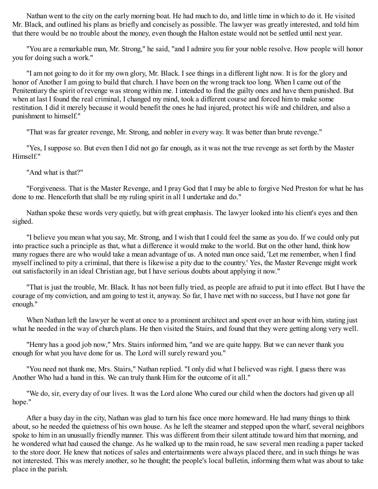Nathan went to the city on the early morning boat. He had much to do, and little time in which to do it. He visited Mr. Black, and outlined his plans as briefly and concisely as possible. The lawyer was greatly interested, and told him that there would be no trouble about the money, even though the Halton estate would not be settled until next year.

"You are a remarkable man, Mr. Strong," he said, "and I admire you for your noble resolve. How people will honor you for doing such a work."

"I am not going to do it for my own glory, Mr. Black. I see things in a different light now. It is for the glory and honor of Another I am going to build that church. I have been on the wrong track too long. When I came out of the Penitentiary the spirit of revenge was strong within me. I intended to find the guilty ones and have them punished. But when at last I found the real criminal, I changed my mind, took a different course and forced him to make some restitution. I did it merely because it would benefit the ones he had injured, protect his wife and children, and also a punishment to himself."

"That was far greater revenge, Mr. Strong, and nobler in every way. It was better than brute revenge."

"Yes, I suppose so. But even then I did not go far enough, as it was not the true revenge as set forth by the Master Himself."

"And what is that?"

"Forgiveness. That is the Master Revenge, and I pray God that I may be able to forgive Ned Preston for what he has done to me. Henceforth that shall be my ruling spirit in all I undertake and do."

Nathan spoke these words very quietly, but with great emphasis. The lawyer looked into his client's eyes and then sighed.

"I believe you mean what you say, Mr. Strong, and I wish that I could feel the same as you do. If we could only put into practice such a principle as that, what a difference it would make to the world. But on the other hand, think how many rogues there are who would take a mean advantage of us. A noted man once said, 'Let me remember, when I find myself inclined to pity a criminal, that there is likewise a pity due to the country.' Yes, the Master Revenge might work out satisfactorily in an ideal Christian age, but I have serious doubts about applying it now."

"That is just the trouble, Mr. Black. It has not been fully tried, as people are afraid to put it into effect. But I have the courage of my conviction, and am going to test it, anyway. So far, I have met with no success, but I have not gone far enough."

When Nathan left the lawyer he went at once to a prominent architect and spent over an hour with him, stating just what he needed in the way of church plans. He then visited the Stairs, and found that they were getting along very well.

"Henry has a good job now," Mrs. Stairs informed him, "and we are quite happy. But we can never thank you enough for what you have done for us. The Lord will surely reward you."

"You need not thank me, Mrs. Stairs," Nathan replied. "I only did what I believed was right. I guess there was Another Who had a hand in this. We can truly thank Him for the outcome of it all."

"We do, sir, every day of our lives. It was the Lord alone Who cured our child when the doctors had given up all hope."

After a busy day in the city, Nathan was glad to turn his face once more homeward. He had many things to think about, so he needed the quietness of his own house. As he left the steamer and stepped upon the wharf, several neighbors spoke to him in an unusually friendly manner. This was different from their silent attitude toward him that morning, and he wondered what had caused the change. As he walked up to the main road, he saw several men reading a paper tacked to the store door. He knew that notices of sales and entertainments were always placed there, and in such things he was not interested. This was merely another, so he thought; the people's local bulletin, informing them what was about to take place in the parish.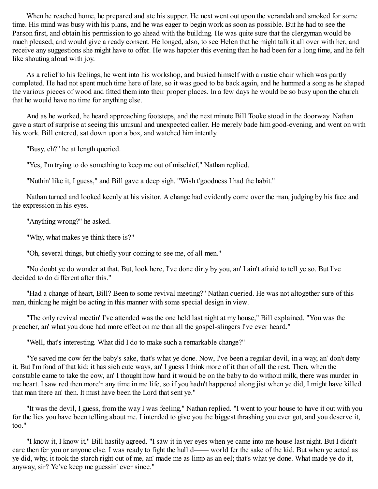When he reached home, he prepared and ate his supper. He next went out upon the verandah and smoked for some time. His mind was busy with his plans, and he was eager to begin work as soon as possible. But he had to see the Parson first, and obtain his permission to go ahead with the building. He was quite sure that the clergyman would be much pleased, and would give a ready consent. He longed, also, to see Helen that he might talk it all over with her, and receive any suggestions she might have to offer. He was happier this evening than he had been for a long time, and he felt like shouting aloud with joy.

As a relief to his feelings, he went into his workshop, and busied himself with a rustic chair which was partly completed. He had not spent much time here of late, so it was good to be back again, and he hummed a song as he shaped the various pieces of wood and fitted them into their proper places. In a few days he would be so busy upon the church that he would have no time for anything else.

And as he worked, he heard approaching footsteps, and the next minute Bill Tooke stood in the doorway. Nathan gave a start of surprise at seeing this unusual and unexpected caller. He merely bade him good-evening, and went on with his work. Bill entered, sat down upon a box, and watched him intently.

"Busy, eh?" he at length queried.

"Yes, I'm trying to do something to keep me out of mischief," Nathan replied.

"Nuthin' like it, I guess," and Bill gave a deep sigh. "Wish t'goodness I had the habit."

Nathan turned and looked keenly at his visitor. A change had evidently come over the man, judging by his face and the expression in his eyes.

"Anything wrong?" he asked.

"Why, what makes ye think there is?"

"Oh, several things, but chiefly your coming to see me, of all men."

"No doubt ye do wonder at that. But, look here, I've done dirty by you, an' I ain't afraid to tell ye so. But I've decided to do different after this."

"Had a change of heart, Bill? Been to some revival meeting?" Nathan queried. He was not altogether sure of this man, thinking he might be acting in this manner with some special design in view.

"The only revival meetin' I've attended was the one held last night at my house," Bill explained. "You was the preacher, an' what you done had more effect on me than all the gospel-slingers I've ever heard."

"Well, that's interesting. What did I do to make such a remarkable change?"

"Ye saved me cow fer the baby's sake, that's what ye done. Now, I've been a regular devil, in a way, an' don't deny it. But I'm fond of that kid; it has sich cute ways, an' I guess I think more of it than of all the rest. Then, when the constable came to take the cow, an' I thought how hard it would be on the baby to do without milk, there was murder in me heart. I saw red then more'n any time in me life, so if you hadn't happened along jist when ye did, I might have killed that man there an' then. It must have been the Lord that sent ye."

"It was the devil, I guess, from the way I was feeling," Nathan replied. "I went to your house to have it out with you for the lies you have been telling about me. I intended to give you the biggest thrashing you ever got, and you deserve it, too."

"I know it, I know it," Bill hastily agreed. "I saw it in yer eyes when ye came into me house last night. But I didn't care then fer you or anyone else. I was ready to fight the hull d—— world fer the sake of the kid. But when ye acted as ye did, why, it took the starch right out of me, an' made me as limp as an eel; that's what ye done. What made ye do it, anyway, sir? Ye've keep me guessin' ever since."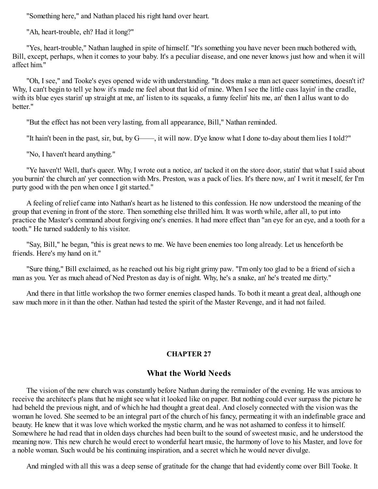"Something here," and Nathan placed his right hand over heart.

"Ah, heart-trouble, eh? Had it long?"

"Yes, heart-trouble," Nathan laughed in spite of himself. "It's something you have never been much bothered with, Bill, except, perhaps, when it comes to your baby. It's a peculiar disease, and one never knows just how and when it will affect him."

"Oh, I see," and Tooke's eyes opened wide with understanding. "It does make a man act queer sometimes, doesn't it? Why, I can't begin to tell ye how it's made me feel about that kid of mine. When I see the little cuss layin' in the cradle, with its blue eyes starin' up straight at me, an' listen to its squeaks, a funny feelin' hits me, an' then I allus want to do hetter"

"But the effect has not been very lasting, from all appearance, Bill," Nathan reminded.

"It hain't been in the past, sir, but, by G——, it will now. D'ye know what I done to-day about them lies I told?"

"No, I haven't heard anything."

"Ye haven't! Well, that's queer. Why, I wrote out a notice, an' tacked it on the store door, statin' that what I said about you burnin' the church an' yer connection with Mrs. Preston, was a pack of lies. It's there now, an' I writ it meself, fer I'm purty good with the pen when once I git started."

A feeling of relief came into Nathan's heart as he listened to this confession. He now understood the meaning of the group that evening in front of the store. Then something else thrilled him. It was worth while, after all, to put into practice the Master's command about forgiving one's enemies. It had more effect than "an eye for an eye, and a tooth for a tooth." He turned suddenly to his visitor.

"Say, Bill," he began, "this is great news to me. We have been enemies too long already. Let us henceforth be friends. Here's my hand on it."

"Sure thing," Bill exclaimed, as he reached out his big right grimy paw. "I'm only too glad to be a friend of sich a man as you. Yer as much ahead of Ned Preston as day is of night. Why, he's a snake, an' he's treated me dirty."

And there in that little workshop the two former enemies clasped hands. To both it meant a great deal, although one saw much more in it than the other. Nathan had tested the spirit of the Master Revenge, and it had not failed.

## **CHAPTER 27**

# **What the World Needs**

The vision of the new church was constantly before Nathan during the remainder of the evening. He was anxious to receive the architect's plans that he might see what it looked like on paper. But nothing could ever surpass the picture he had beheld the previous night, and of which he had thought a great deal. And closely connected with the vision was the woman he loved. She seemed to be an integral part of the church of his fancy, permeating it with an indefinable grace and beauty. He knew that it was love which worked the mystic charm, and he was not ashamed to confess it to himself. Somewhere he had read that in olden days churches had been built to the sound of sweetest music, and he understood the meaning now. This new church he would erect to wonderful heart music, the harmony of love to his Master, and love for a noble woman. Such would be his continuing inspiration, and a secret which he would never divulge.

And mingled with all this was a deep sense of gratitude for the change that had evidently come over Bill Tooke. It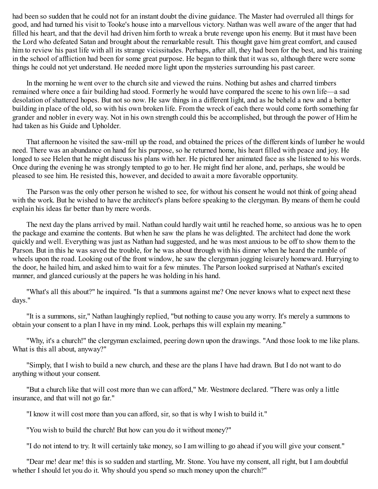had been so sudden that he could not for an instant doubt the divine guidance. The Master had overruled all things for good, and had turned his visit to Tooke's house into a marvellous victory. Nathan was well aware of the anger that had filled his heart, and that the devil had driven him forth to wreak a brute revenge upon his enemy. But it must have been the Lord who defeated Satan and brought about the remarkable result. This thought gave him great comfort, and caused him to review his past life with all its strange vicissitudes. Perhaps, after all, they had been for the best, and his training in the school of affliction had been for some great purpose. He began to think that it was so, although there were some things he could not yet understand. He needed more light upon the mysteries surrounding his past career.

In the morning he went over to the church site and viewed the ruins. Nothing but ashes and charred timbers remained where once a fair building had stood. Formerly he would have compared the scene to his own life—a sad desolation of shattered hopes. But not so now. He saw things in a different light, and as he beheld a new and a better building in place of the old, so with his own broken life. From the wreck of each there would come forth something far grander and nobler in every way. Not in his own strength could this be accomplished, but through the power of Him he had taken as his Guide and Upholder.

That afternoon he visited the saw-mill up the road, and obtained the prices of the different kinds of lumber he would need. There was an abundance on hand for his purpose, so he returned home, his heart filled with peace and joy. He longed to see Helen that he might discuss his plans with her. He pictured her animated face as she listened to his words. Once during the evening he was strongly tempted to go to her. He might find her alone, and, perhaps, she would be pleased to see him. He resisted this, however, and decided to await a more favorable opportunity.

The Parson was the only other person he wished to see, for without his consent he would not think of going ahead with the work. But he wished to have the architect's plans before speaking to the clergyman. By means of them he could explain his ideas far better than by mere words.

The next day the plans arrived by mail. Nathan could hardly wait until he reached home, so anxious was he to open the package and examine the contents. But when he saw the plans he was delighted. The architect had done the work quickly and well. Everything was just as Nathan had suggested, and he was most anxious to be off to show them to the Parson. But in this he was saved the trouble, for he was about through with his dinner when he heard the rumble of wheels upon the road. Looking out of the front window, he saw the clergyman jogging leisurely homeward. Hurrying to the door, he hailed him, and asked him to wait for a few minutes. The Parson looked surprised at Nathan's excited manner, and glanced curiously at the papers he was holding in his hand.

"What's all this about?" he inquired. "Is that a summons against me? One never knows what to expect next these days."

"It is a summons, sir," Nathan laughingly replied, "but nothing to cause you any worry. It's merely a summons to obtain your consent to a plan I have in my mind. Look, perhaps this will explain my meaning."

"Why, it's a church!" the clergyman exclaimed, peering down upon the drawings. "And those look to me like plans. What is this all about, anyway?"

"Simply, that I wish to build a new church, and these are the plans I have had drawn. But I do not want to do anything without your consent.

"But a church like that will cost more than we can afford," Mr. Westmore declared. "There was only a little insurance, and that will not go far."

"I know it will cost more than you can afford, sir, so that is why I wish to build it."

"You wish to build the church! But how can you do it without money?"

"I do not intend to try. It will certainly take money, so I am willing to go ahead if you will give your consent."

"Dear me! dear me! this is so sudden and startling, Mr. Stone. You have my consent, all right, but I am doubtful whether I should let you do it. Why should you spend so much money upon the church?"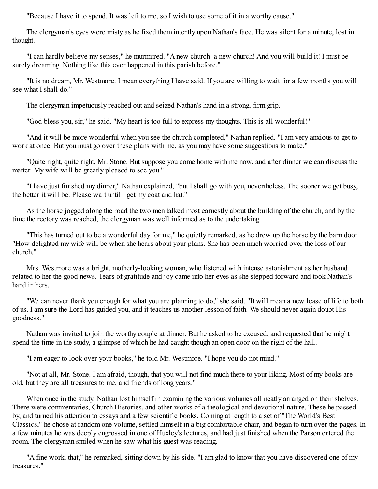"Because I have it to spend. It was left to me, so I wish to use some of it in a worthy cause."

The clergyman's eyes were misty as he fixed them intently upon Nathan's face. He was silent for a minute, lost in thought.

"I can hardly believe my senses," he murmured. "A new church! a new church! And you will build it! I must be surely dreaming. Nothing like this ever happened in this parish before."

"It is no dream, Mr. Westmore. I mean everything I have said. If you are willing to wait for a few months you will see what I shall do."

The clergyman impetuously reached out and seized Nathan's hand in a strong, firm grip.

"God bless you, sir," he said. "My heart is too full to express my thoughts. This is all wonderful!"

"And it will be more wonderful when you see the church completed," Nathan replied. "I am very anxious to get to work at once. But you must go over these plans with me, as you may have some suggestions to make."

"Quite right, quite right, Mr. Stone. But suppose you come home with me now, and after dinner we can discuss the matter. My wife will be greatly pleased to see you."

"I have just finished my dinner," Nathan explained, "but I shall go with you, nevertheless. The sooner we get busy, the better it will be. Please wait until I get my coat and hat."

As the horse jogged along the road the two men talked most earnestly about the building of the church, and by the time the rectory was reached, the clergyman was well informed as to the undertaking.

"This has turned out to be a wonderful day for me," he quietly remarked, as he drew up the horse by the barn door. "How delighted my wife will be when she hears about your plans. She has been much worried over the loss of our church."

Mrs. Westmore was a bright, motherly-looking woman, who listened with intense astonishment as her husband related to her the good news. Tears of gratitude and joy came into her eyes as she stepped forward and took Nathan's hand in hers.

"We can never thank you enough for what you are planning to do," she said. "It will mean a new lease of life to both of us. I am sure the Lord has guided you, and it teaches us another lesson of faith. We should never again doubt His goodness."

Nathan was invited to join the worthy couple at dinner. But he asked to be excused, and requested that he might spend the time in the study, a glimpse of which he had caught though an open door on the right of the hall.

"I am eager to look over your books," he told Mr. Westmore. "I hope you do not mind."

"Not at all, Mr. Stone. I am afraid, though, that you will not find much there to your liking. Most of my books are old, but they are all treasures to me, and friends of long years."

When once in the study, Nathan lost himself in examining the various volumes all neatly arranged on their shelves. There were commentaries, Church Histories, and other works of a theological and devotional nature. These he passed by, and turned his attention to essays and a few scientific books. Coming at length to a set of "The World's Best Classics," he chose at random one volume, settled himself in a big comfortable chair, and began to turn over the pages. In a few minutes he was deeply engrossed in one of Huxley's lectures, and had just finished when the Parson entered the room. The clergyman smiled when he saw what his guest was reading.

"A fine work, that," he remarked, sitting down by his side. "I am glad to know that you have discovered one of my treasures."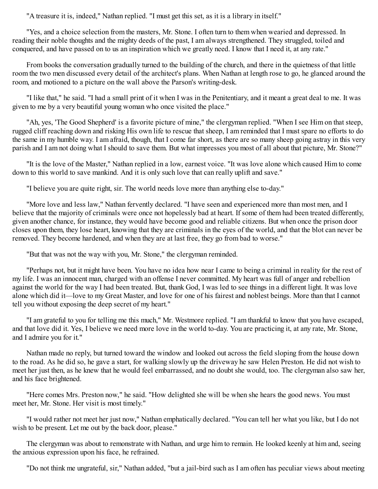"A treasure it is, indeed," Nathan replied. "I must get this set, as it is a library in itself."

"Yes, and a choice selection from the masters, Mr. Stone. I often turn to them when wearied and depressed. In reading their noble thoughts and the mighty deeds of the past, I am always strengthened. They struggled, toiled and conquered, and have passed on to us an inspiration which we greatly need. I know that I need it, at any rate."

From books the conversation gradually turned to the building of the church, and there in the quietness of that little room the two men discussed every detail of the architect's plans. When Nathan at length rose to go, he glanced around the room, and motioned to a picture on the wall above the Parson's writing-desk.

"I like that," he said. "I had a small print of it when I was in the Penitentiary, and it meant a great deal to me. It was given to me by a very beautiful young woman who once visited the place."

"Ah, yes, 'The Good Shepherd' is a favorite picture of mine," the clergyman replied. "When I see Him on that steep, rugged cliff reaching down and risking His own life to rescue that sheep, I am reminded that I must spare no efforts to do the same in my humble way. I am afraid, though, that I come far short, as there are so many sheep going astray in this very parish and I am not doing what I should to save them. But what impresses you most of all about that picture, Mr. Stone?"

"It is the love of the Master," Nathan replied in a low, earnest voice. "It was love alone which caused Him to come down to this world to save mankind. And it is only such love that can really uplift and save."

"I believe you are quite right, sir. The world needs love more than anything else to-day."

"More love and less law," Nathan fervently declared. "I have seen and experienced more than most men, and I believe that the majority of criminals were once not hopelessly bad at heart. If some of them had been treated differently, given another chance, for instance, they would have become good and reliable citizens. But when once the prison door closes upon them, they lose heart, knowing that they are criminals in the eyes of the world, and that the blot can never be removed. They become hardened, and when they are at last free, they go from bad to worse."

"But that was not the way with you, Mr. Stone," the clergyman reminded.

"Perhaps not, but it might have been. You have no idea how near I came to being a criminal in reality for the rest of my life. I was an innocent man, charged with an offense I never committed. My heart was full of anger and rebellion against the world for the way I had been treated. But, thank God, I was led to see things in a different light. It was love alone which did it—love to my Great Master, and love for one of his fairest and noblest beings. More than that I cannot tell you without exposing the deep secret of my heart."

"I am grateful to you for telling me this much," Mr. Westmore replied. "I am thankful to know that you have escaped, and that love did it. Yes, I believe we need more love in the world to-day. You are practicing it, at any rate, Mr. Stone, and I admire you for it."

Nathan made no reply, but turned toward the window and looked out across the field sloping from the house down to the road. As he did so, he gave a start, for walking slowly up the driveway he saw Helen Preston. He did not wish to meet her just then, as he knew that he would feel embarrassed, and no doubt she would, too. The clergyman also saw her, and his face brightened.

"Here comes Mrs. Preston now," he said. "How delighted she will be when she hears the good news. You must meet her, Mr. Stone. Her visit is most timely."

"I would rather not meet her just now," Nathan emphatically declared. "You can tell her what you like, but I do not wish to be present. Let me out by the back door, please."

The clergyman was about to remonstrate with Nathan, and urge him to remain. He looked keenly at him and, seeing the anxious expression upon his face, he refrained.

"Do not think me ungrateful, sir," Nathan added, "but a jail-bird such as I am often has peculiar views about meeting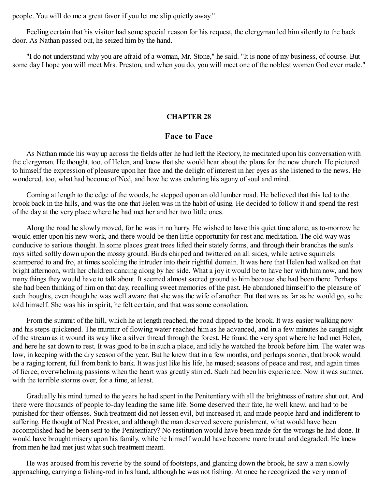people. You will do me a great favor if you let me slip quietly away."

Feeling certain that his visitor had some special reason for his request, the clergyman led him silently to the back door. As Nathan passed out, he seized him by the hand.

"I do not understand why you are afraid of a woman, Mr. Stone," he said. "It is none of my business, of course. But some day I hope you will meet Mrs. Preston, and when you do, you will meet one of the noblest women God ever made."

#### **CHAPTER 28**

## **Face to Face**

As Nathan made his way up across the fields after he had left the Rectory, he meditated upon his conversation with the clergyman. He thought, too, of Helen, and knew that she would hear about the plans for the new church. He pictured to himself the expression of pleasure upon her face and the delight of interest in her eyes as she listened to the news. He wondered, too, what had become of Ned, and how he was enduring his agony of soul and mind.

Coming at length to the edge of the woods, he stepped upon an old lumber road. He believed that this led to the brook back in the hills, and was the one that Helen was in the habit of using. He decided to follow it and spend the rest of the day at the very place where he had met her and her two little ones.

Along the road he slowly moved, for he was in no hurry. He wished to have this quiet time alone, as to-morrow he would enter upon his new work, and there would be then little opportunity for rest and meditation. The old way was conducive to serious thought. In some places great trees lifted their stately forms, and through their branches the sun's rays sifted softly down upon the mossy ground. Birds chirped and twittered on all sides, while active squirrels scampered to and fro, at times scolding the intruder into their rightful domain. It was here that Helen had walked on that bright afternoon, with her children dancing along by her side. What a joy it would be to have her with him now, and how many things they would have to talk about. It seemed almost sacred ground to him because she had been there. Perhaps she had been thinking of him on that day, recalling sweet memories of the past. He abandoned himself to the pleasure of such thoughts, even though he was well aware that she was the wife of another. But that was as far as he would go, so he told himself. She was his in spirit, he felt certain, and that was some consolation.

From the summit of the hill, which he at length reached, the road dipped to the brook. It was easier walking now and his steps quickened. The murmur of flowing water reached him as he advanced, and in a few minutes he caught sight of the stream as it wound its way like a silver thread through the forest. He found the very spot where he had met Helen, and here he sat down to rest. It was good to be in such a place, and idly he watched the brook before him. The water was low, in keeping with the dry season of the year. But he knew that in a few months, and perhaps sooner, that brook would be a raging torrent, full from bank to bank. It was just like his life, he mused; seasons of peace and rest, and again times of fierce, overwhelming passions when the heart was greatly stirred. Such had been his experience. Now it was summer, with the terrible storms over, for a time, at least.

Gradually his mind turned to the years he had spent in the Penitentiary with all the brightness of nature shut out. And there were thousands of people to-day leading the same life. Some deserved their fate, he well knew, and had to be punished for their offenses. Such treatment did not lessen evil, but increased it, and made people hard and indifferent to suffering. He thought of Ned Preston, and although the man deserved severe punishment, what would have been accomplished had he been sent to the Penitentiary? No restitution would have been made for the wrongs he had done. It would have brought misery upon his family, while he himself would have become more brutal and degraded. He knew from men he had met just what such treatment meant.

He was aroused from his reverie by the sound of footsteps, and glancing down the brook, he saw a man slowly approaching, carrying a fishing-rod in his hand, although he was not fishing. At once he recognized the very man of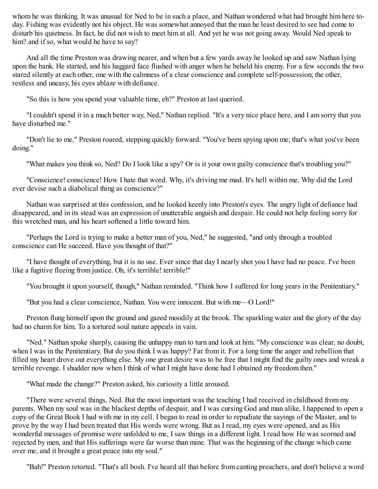whom he was thinking. It was unusual for Ned to be in such a place, and Nathan wondered what had brought him here today. Fishing was evidently not his object. He was somewhat annoyed that the man he least desired to see had come to disturb his quietness. In fact, he did not wish to meet him at all. And yet he was not going away. Would Ned speak to him? and if so, what would he have to say?

And all the time Preston was drawing nearer, and when but a few yards away he looked up and saw Nathan lying upon the bank. He started, and his haggard face flushed with anger when he beheld his enemy. For a few seconds the two stared silently at each other, one with the calmness of a clear conscience and complete self-possession; the other, restless and uneasy, his eyes ablaze with defiance.

"So this is how you spend your valuable time, eh?" Preston at last queried.

"I couldn't spend it in a much better way, Ned," Nathan replied. "It's a very nice place here, and I am sorry that you have disturbed me."

"Don't lie to me," Preston roared, stepping quickly forward. "You've been spying upon me; that's what you've been doing."

"What makes you think so, Ned? Do I look like a spy? Or is it your own guilty conscience that's troubling you?"

"Conscience! conscience! How I hate that word. Why, it's driving me mad. It's hell within me. Why did the Lord ever devise such a diabolical thing as conscience?"

Nathan was surprised at this confession, and he looked keenly into Preston's eyes. The angry light of defiance had disappeared, and in its stead was an expression of unutterable anguish and despair. He could not help feeling sorry for this wretched man, and his heart softened a little toward him.

"Perhaps the Lord is trying to make a better man of you, Ned," he suggested, "and only through a troubled conscience can He succeed. Have you thought of that?"

"I have thought of everything, but it is no use. Ever since that day I nearly shot you I have had no peace. I've been like a fugitive fleeing from justice. Oh, it's terrible! terrible!"

"You brought it upon yourself, though," Nathan reminded. "Think how I suffered for long years in the Penitentiary."

"But you had a clear conscience, Nathan. You were innocent. But with me—O Lord!"

Preston flung himself upon the ground and gazed moodily at the brook. The sparkling water and the glory of the day had no charm for him. To a tortured soul nature appeals in vain.

"Ned." Nathan spoke sharply, causing the unhappy man to turn and look at him. "My conscience was clear, no doubt, when I was in the Penitentiary. But do you think I was happy? Far from it. For a long time the anger and rebellion that filled my heart drove out everything else. My one great desire was to be free that I might find the guilty ones and wreak a terrible revenge. I shudder now when I think of what I might have done had I obtained my freedom then."

"What made the change?" Preston asked, his curiosity a little aroused.

"There were several things, Ned. But the most important was the teaching I had received in childhood from my parents. When my soul was in the blackest depths of despair, and I was cursing God and man alike, I happened to open a copy of the Great Book I had with me in my cell. I began to read in order to repudiate the sayings of the Master, and to prove by the way I had been treated that His words were wrong. But as I read, my eyes were opened, and as His wonderful messages of promise were unfolded to me, I saw things in a different light. I read how He was scorned and rejected by men, and that His sufferings were far worse than mine. That was the beginning of the change which came over me, and it brought a great peace into my soul."

"Bah!" Preston retorted. "That's all bosh. I've heard all that before from canting preachers, and don't believe a word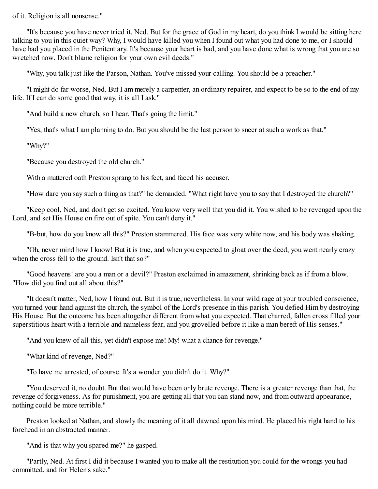of it. Religion is all nonsense."

"It's because you have never tried it, Ned. But for the grace of God in my heart, do you think I would be sitting here talking to you in this quiet way? Why, I would have killed you when I found out what you had done to me, or I should have had you placed in the Penitentiary. It's because your heart is bad, and you have done what is wrong that you are so wretched now. Don't blame religion for your own evil deeds."

"Why, you talk just like the Parson, Nathan. You've missed your calling. You should be a preacher."

"I might do far worse, Ned. But I am merely a carpenter, an ordinary repairer, and expect to be so to the end of my life. If I can do some good that way, it is all I ask."

"And build a new church, so I hear. That's going the limit."

"Yes, that's what I am planning to do. But you should be the last person to sneer at such a work as that."

"Why?"

"Because you destroyed the old church."

With a muttered oath Preston sprang to his feet, and faced his accuser.

"How dare you say such a thing as that?" he demanded. "What right have you to say that I destroyed the church?"

"Keep cool, Ned, and don't get so excited. You know very well that you did it. You wished to be revenged upon the Lord, and set His House on fire out of spite. You can't deny it."

"B-but, how do you know all this?" Preston stammered. His face was very white now, and his body was shaking.

"Oh, never mind how I know! But it is true, and when you expected to gloat over the deed, you went nearly crazy when the cross fell to the ground. Isn't that so?"

"Good heavens! are you a man or a devil?" Preston exclaimed in amazement, shrinking back as if from a blow. "How did you find out all about this?"

"It doesn't matter, Ned, how I found out. But it is true, nevertheless. In your wild rage at your troubled conscience, you turned your hand against the church, the symbol of the Lord's presence in this parish. You defied Him by destroying His House. But the outcome has been altogether different from what you expected. That charred, fallen cross filled your superstitious heart with a terrible and nameless fear, and you grovelled before it like a man bereft of His senses."

"And you knew of all this, yet didn't expose me! My! what a chance for revenge."

"What kind of revenge, Ned?"

"To have me arrested, of course. It's a wonder you didn't do it. Why?"

"You deserved it, no doubt. But that would have been only brute revenge. There is a greater revenge than that, the revenge of forgiveness. As for punishment, you are getting all that you can stand now, and from outward appearance, nothing could be more terrible."

Preston looked at Nathan, and slowly the meaning of it all dawned upon his mind. He placed his right hand to his forehead in an abstracted manner.

"And is that why you spared me?" he gasped.

"Partly, Ned. At first I did it because I wanted you to make all the restitution you could for the wrongs you had committed, and for Helen's sake."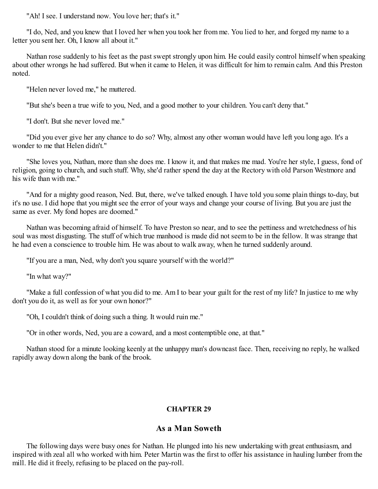"Ah! I see. I understand now. You love her; that's it."

"I do, Ned, and you knew that I loved her when you took her from me. You lied to her, and forged my name to a letter you sent her. Oh, I know all about it."

Nathan rose suddenly to his feet as the past swept strongly upon him. He could easily control himself when speaking about other wrongs he had suffered. But when it came to Helen, it was difficult for him to remain calm. And this Preston noted.

"Helen never loved me," he muttered.

"But she's been a true wife to you, Ned, and a good mother to your children. You can't deny that."

"I don't. But she never loved me."

"Did you ever give her any chance to do so? Why, almost any other woman would have left you long ago. It's a wonder to me that Helen didn't."

"She loves you, Nathan, more than she does me. I know it, and that makes me mad. You're her style, I guess, fond of religion, going to church, and such stuff. Why, she'd rather spend the day at the Rectory with old Parson Westmore and his wife than with me."

"And for a mighty good reason, Ned. But, there, we've talked enough. I have told you some plain things to-day, but it's no use. I did hope that you might see the error of your ways and change your course of living. But you are just the same as ever. My fond hopes are doomed."

Nathan was becoming afraid of himself. To have Preston so near, and to see the pettiness and wretchedness of his soul was most disgusting. The stuff of which true manhood is made did not seem to be in the fellow. It was strange that he had even a conscience to trouble him. He was about to walk away, when he turned suddenly around.

"If you are a man, Ned, why don't you square yourself with the world?"

"In what way?"

"Make a full confession of what you did to me. Am I to bear your guilt for the rest of my life? In justice to me why don't you do it, as well as for your own honor?"

"Oh, I couldn't think of doing such a thing. It would ruin me."

"Or in other words, Ned, you are a coward, and a most contemptible one, at that."

Nathan stood for a minute looking keenly at the unhappy man's downcast face. Then, receiving no reply, he walked rapidly away down along the bank of the brook.

## **CHAPTER 29**

## **As a Man Soweth**

The following days were busy ones for Nathan. He plunged into his new undertaking with great enthusiasm, and inspired with zeal all who worked with him. Peter Martin was the first to offer his assistance in hauling lumber from the mill. He did it freely, refusing to be placed on the pay-roll.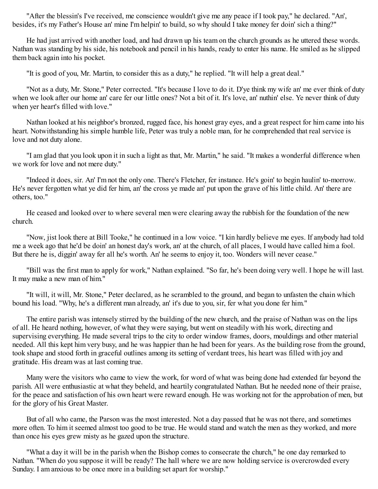"After the blessin's I've received, me conscience wouldn't give me any peace if I took pay," he declared. "An', besides, it's my Father's House an' mine I'm helpin' to build, so why should I take money fer doin' sich a thing?"

He had just arrived with another load, and had drawn up his team on the church grounds as he uttered these words. Nathan was standing by his side, his notebook and pencil in his hands, ready to enter his name. He smiled as he slipped them back again into his pocket.

"It is good of you, Mr. Martin, to consider this as a duty," he replied. "It will help a great deal."

"Not as a duty, Mr. Stone," Peter corrected. "It's because I love to do it. D'ye think my wife an' me ever think of duty when we look after our home an' care fer our little ones? Not a bit of it. It's love, an' nuthin' else. Ye never think of duty when yer heart's filled with love."

Nathan looked at his neighbor's bronzed, rugged face, his honest gray eyes, and a great respect for him came into his heart. Notwithstanding his simple humble life, Peter was truly a noble man, for he comprehended that real service is love and not duty alone.

"I am glad that you look upon it in such a light as that, Mr. Martin," he said. "It makes a wonderful difference when we work for love and not mere duty."

"Indeed it does, sir. An' I'm not the only one. There's Fletcher, fer instance. He's goin' to begin haulin' to-morrow. He's never fergotten what ye did fer him, an' the cross ye made an' put upon the grave of his little child. An' there are others, too."

He ceased and looked over to where several men were clearing away the rubbish for the foundation of the new church.

"Now, jist look there at Bill Tooke," he continued in a low voice. "I kin hardly believe me eyes. If anybody had told me a week ago that he'd be doin' an honest day's work, an' at the church, of all places, I would have called him a fool. But there he is, diggin' away fer all he's worth. An' he seems to enjoy it, too. Wonders will never cease."

"Bill was the first man to apply for work," Nathan explained. "So far, he's been doing very well. I hope he will last. It may make a new man of him."

"It will, it will, Mr. Stone," Peter declared, as he scrambled to the ground, and began to unfasten the chain which bound his load. "Why, he's a different man already, an' it's due to you, sir, fer what you done fer him."

The entire parish was intensely stirred by the building of the new church, and the praise of Nathan was on the lips of all. He heard nothing, however, of what they were saying, but went on steadily with his work, directing and supervising everything. He made several trips to the city to order window frames, doors, mouldings and other material needed. All this kept him very busy, and he was happier than he had been for years. As the building rose from the ground, took shape and stood forth in graceful outlines among its setting of verdant trees, his heart was filled with joy and gratitude. His dream was at last coming true.

Many were the visitors who came to view the work, for word of what was being done had extended far beyond the parish. All were enthusiastic at what they beheld, and heartily congratulated Nathan. But he needed none of their praise, for the peace and satisfaction of his own heart were reward enough. He was working not for the approbation of men, but for the glory of his Great Master.

But of all who came, the Parson was the most interested. Not a day passed that he was not there, and sometimes more often. To him it seemed almost too good to be true. He would stand and watch the men as they worked, and more than once his eyes grew misty as he gazed upon the structure.

"What a day it will be in the parish when the Bishop comes to consecrate the church," he one day remarked to Nathan. "When do you suppose it will be ready? The hall where we are now holding service is overcrowded every Sunday. I am anxious to be once more in a building set apart for worship."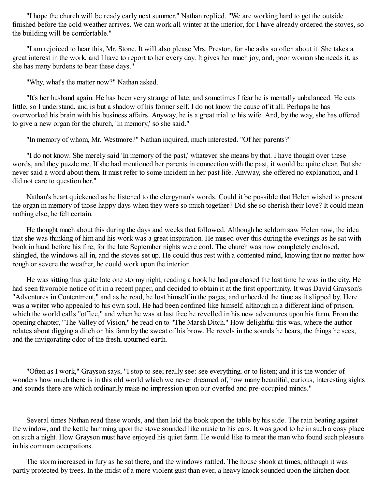"I hope the church will be ready early next summer," Nathan replied. "We are working hard to get the outside finished before the cold weather arrives. We can work all winter at the interior, for I have already ordered the stoves, so the building will be comfortable."

"I am rejoiced to hear this, Mr. Stone. It will also please Mrs. Preston, for she asks so often about it. She takes a great interest in the work, and I have to report to her every day. It gives her much joy, and, poor woman she needs it, as she has many burdens to bear these days."

"Why, what's the matter now?" Nathan asked.

"It's her husband again. He has been very strange of late, and sometimes I fear he is mentally unbalanced. He eats little, so I understand, and is but a shadow of his former self. I do not know the cause of it all. Perhaps he has overworked his brain with his business affairs. Anyway, he is a great trial to his wife. And, by the way, she has offered to give a new organ for the church, 'In memory,' so she said."

"In memory of whom, Mr. Westmore?" Nathan inquired, much interested. "Of her parents?"

"I do not know. She merely said 'In memory of the past,' whatever she means by that. I have thought over these words, and they puzzle me. If she had mentioned her parents in connection with the past, it would be quite clear. But she never said a word about them. It must refer to some incident in her past life. Anyway, she offered no explanation, and I did not care to question her."

Nathan's heart quickened as he listened to the clergyman's words. Could it be possible that Helen wished to present the organ in memory of those happy days when they were so much together? Did she so cherish their love? It could mean nothing else, he felt certain.

He thought much about this during the days and weeks that followed. Although he seldom saw Helen now, the idea that she was thinking of him and his work was a great inspiration. He mused over this during the evenings as he sat with book in hand before his fire, for the late September nights were cool. The church was now completely enclosed, shingled, the windows all in, and the stoves set up. He could thus rest with a contented mind, knowing that no matter how rough or severe the weather, he could work upon the interior.

He was sitting thus quite late one stormy night, reading a book he had purchased the last time he was in the city. He had seen favorable notice of it in a recent paper, and decided to obtain it at the first opportunity. It was David Grayson's "Adventures in Contentment," and as he read, he lost himself in the pages, and unheeded the time as it slipped by. Here was a writer who appealed to his own soul. He had been confined like himself, although in a different kind of prison, which the world calls "office," and when he was at last free he revelled in his new adventures upon his farm. From the opening chapter, "The Valley of Vision," he read on to "The Marsh Ditch." How delightful this was, where the author relates about digging a ditch on his farm by the sweat of his brow. He revels in the sounds he hears, the things he sees, and the invigorating odor of the fresh, upturned earth.

"Often as I work," Grayson says, "I stop to see; really see: see everything, or to listen; and it is the wonder of wonders how much there is in this old world which we never dreamed of, how many beautiful, curious, interesting sights and sounds there are which ordinarily make no impression upon our overfed and pre-occupied minds."

Several times Nathan read these words, and then laid the book upon the table by his side. The rain beating against the window, and the kettle humming upon the stove sounded like music to his ears. It was good to be in such a cosy place on such a night. How Grayson must have enjoyed his quiet farm. He would like to meet the man who found such pleasure in his common occupations.

The storm increased in fury as he sat there, and the windows rattled. The house shook at times, although it was partly protected by trees. In the midst of a more violent gust than ever, a heavy knock sounded upon the kitchen door.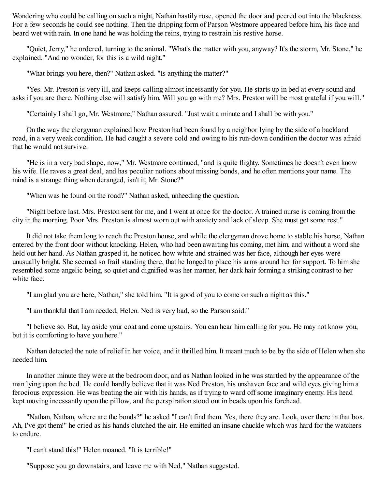Wondering who could be calling on such a night, Nathan hastily rose, opened the door and peered out into the blackness. For a few seconds he could see nothing. Then the dripping form of Parson Westmore appeared before him, his face and beard wet with rain. In one hand he was holding the reins, trying to restrain his restive horse.

"Quiet, Jerry," he ordered, turning to the animal. "What's the matter with you, anyway? It's the storm, Mr. Stone," he explained. "And no wonder, for this is a wild night."

"What brings you here, then?" Nathan asked. "Is anything the matter?"

"Yes. Mr. Preston is very ill, and keeps calling almost incessantly for you. He starts up in bed at every sound and asks if you are there. Nothing else will satisfy him. Will you go with me? Mrs. Preston will be most grateful if you will."

"Certainly I shall go, Mr. Westmore," Nathan assured. "Just wait a minute and I shall be with you."

On the way the clergyman explained how Preston had been found by a neighbor lying by the side of a backland road, in a very weak condition. He had caught a severe cold and owing to his run-down condition the doctor was afraid that he would not survive.

"He is in a very bad shape, now," Mr. Westmore continued, "and is quite flighty. Sometimes he doesn't even know his wife. He raves a great deal, and has peculiar notions about missing bonds, and he often mentions your name. The mind is a strange thing when deranged, isn't it, Mr. Stone?"

"When was he found on the road?" Nathan asked, unheeding the question.

"Night before last. Mrs. Preston sent for me, and I went at once for the doctor. A trained nurse is coming from the city in the morning. Poor Mrs. Preston is almost worn out with anxiety and lack of sleep. She must get some rest."

It did not take them long to reach the Preston house, and while the clergyman drove home to stable his horse, Nathan entered by the front door without knocking. Helen, who had been awaiting his coming, met him, and without a word she held out her hand. As Nathan grasped it, he noticed how white and strained was her face, although her eyes were unusually bright. She seemed so frail standing there, that he longed to place his arms around her for support. To him she resembled some angelic being, so quiet and dignified was her manner, her dark hair forming a striking contrast to her white face.

"I am glad you are here, Nathan," she told him. "It is good of you to come on such a night as this."

"I am thankful that I am needed, Helen. Ned is very bad, so the Parson said."

"I believe so. But, lay aside your coat and come upstairs. You can hear him calling for you. He may not know you, but it is comforting to have you here."

Nathan detected the note of relief in her voice, and it thrilled him. It meant much to be by the side of Helen when she needed him.

In another minute they were at the bedroom door, and as Nathan looked in he was startled by the appearance of the man lying upon the bed. He could hardly believe that it was Ned Preston, his unshaven face and wild eyes giving him a ferocious expression. He was beating the air with his hands, as if trying to ward off some imaginary enemy. His head kept moving incessantly upon the pillow, and the perspiration stood out in beads upon his forehead.

"Nathan, Nathan, where are the bonds?" he asked "I can't find them. Yes, there they are. Look, over there in that box. Ah, I've got them!" he cried as his hands clutched the air. He emitted an insane chuckle which was hard for the watchers to endure.

"I can't stand this!" Helen moaned. "It is terrible!"

"Suppose you go downstairs, and leave me with Ned," Nathan suggested.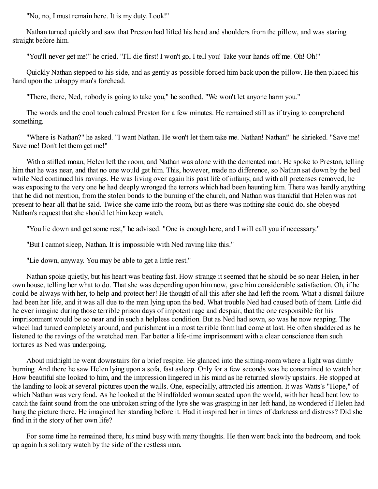"No, no, I must remain here. It is my duty. Look!"

Nathan turned quickly and saw that Preston had lifted his head and shoulders from the pillow, and was staring straight before him.

"You'll never get me!" he cried. "I'll die first! I won't go, I tell you! Take your hands off me. Oh! Oh!"

Quickly Nathan stepped to his side, and as gently as possible forced him back upon the pillow. He then placed his hand upon the unhappy man's forehead.

"There, there, Ned, nobody is going to take you," he soothed. "We won't let anyone harm you."

The words and the cool touch calmed Preston for a few minutes. He remained still as if trying to comprehend something.

"Where is Nathan?" he asked. "I want Nathan. He won't let them take me. Nathan! Nathan!" he shrieked. "Save me! Save me! Don't let them get me!"

With a stifled moan, Helen left the room, and Nathan was alone with the demented man. He spoke to Preston, telling him that he was near, and that no one would get him. This, however, made no difference, so Nathan sat down by the bed while Ned continued his ravings. He was living over again his past life of infamy, and with all pretenses removed, he was exposing to the very one he had deeply wronged the terrors which had been haunting him. There was hardly anything that he did not mention, from the stolen bonds to the burning of the church, and Nathan was thankful that Helen was not present to hear all that he said. Twice she came into the room, but as there was nothing she could do, she obeyed Nathan's request that she should let him keep watch.

"You lie down and get some rest," he advised. "One is enough here, and I will call you if necessary."

"But I cannot sleep, Nathan. It is impossible with Ned raving like this."

"Lie down, anyway. You may be able to get a little rest."

Nathan spoke quietly, but his heart was beating fast. How strange it seemed that he should be so near Helen, in her own house, telling her what to do. That she was depending upon him now, gave him considerable satisfaction. Oh, if he could be always with her, to help and protect her! He thought of all this after she had left the room. What a dismal failure had been her life, and it was all due to the man lying upon the bed. What trouble Ned had caused both of them. Little did he ever imagine during those terrible prison days of impotent rage and despair, that the one responsible for his imprisonment would be so near and in such a helpless condition. But as Ned had sown, so was he now reaping. The wheel had turned completely around, and punishment in a most terrible form had come at last. He often shuddered as he listened to the ravings of the wretched man. Far better a life-time imprisonment with a clear conscience than such tortures as Ned was undergoing.

About midnight he went downstairs for a brief respite. He glanced into the sitting-room where a light was dimly burning. And there he saw Helen lying upon a sofa, fast asleep. Only for a few seconds was he constrained to watch her. How beautiful she looked to him, and the impression lingered in his mind as he returned slowly upstairs. He stopped at the landing to look at several pictures upon the walls. One, especially, attracted his attention. It was Watts's "Hope," of which Nathan was very fond. As he looked at the blindfolded woman seated upon the world, with her head bent low to catch the faint sound from the one unbroken string of the lyre she was grasping in her left hand, he wondered if Helen had hung the picture there. He imagined her standing before it. Had it inspired her in times of darkness and distress? Did she find in it the story of her own life?

For some time he remained there, his mind busy with many thoughts. He then went back into the bedroom, and took up again his solitary watch by the side of the restless man.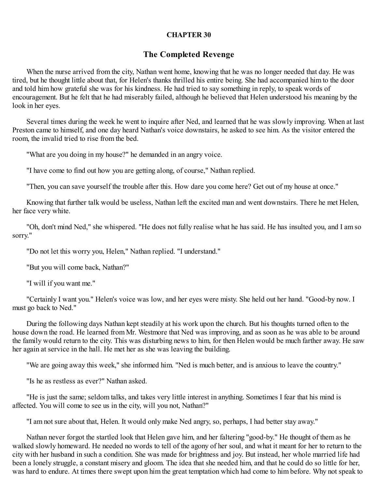#### **CHAPTER 30**

### **The Completed Revenge**

When the nurse arrived from the city, Nathan went home, knowing that he was no longer needed that day. He was tired, but he thought little about that, for Helen's thanks thrilled his entire being. She had accompanied him to the door and told him how grateful she was for his kindness. He had tried to say something in reply, to speak words of encouragement. But he felt that he had miserably failed, although he believed that Helen understood his meaning by the look in her eyes.

Several times during the week he went to inquire after Ned, and learned that he was slowly improving. When at last Preston came to himself, and one day heard Nathan's voice downstairs, he asked to see him. As the visitor entered the room, the invalid tried to rise from the bed.

"What are you doing in my house?" he demanded in an angry voice.

"I have come to find out how you are getting along, of course," Nathan replied.

"Then, you can save yourself the trouble after this. How dare you come here? Get out of my house at once."

Knowing that further talk would be useless, Nathan left the excited man and went downstairs. There he met Helen, her face very white.

"Oh, don't mind Ned," she whispered. "He does not fully realise what he has said. He has insulted you, and I am so sorry."

"Do not let this worry you, Helen," Nathan replied. "I understand."

"But you will come back, Nathan?"

"I will if you want me."

"Certainly I want you." Helen's voice was low, and her eyes were misty. She held out her hand. "Good-by now. I must go back to Ned."

During the following days Nathan kept steadily at his work upon the church. But his thoughts turned often to the house down the road. He learned from Mr. Westmore that Ned was improving, and as soon as he was able to be around the family would return to the city. This was disturbing news to him, for then Helen would be much farther away. He saw her again at service in the hall. He met her as she was leaving the building.

"We are going away this week," she informed him. "Ned is much better, and is anxious to leave the country."

"Is he as restless as ever?" Nathan asked.

"He is just the same; seldom talks, and takes very little interest in anything. Sometimes I fear that his mind is affected. You will come to see us in the city, will you not, Nathan?"

"I am not sure about that, Helen. It would only make Ned angry, so, perhaps, I had better stay away."

Nathan never forgot the startled look that Helen gave him, and her faltering "good-by." He thought of them as he walked slowly homeward. He needed no words to tell of the agony of her soul, and what it meant for her to return to the city with her husband in such a condition. She was made for brightness and joy. But instead, her whole married life had been a lonely struggle, a constant misery and gloom. The idea that she needed him, and that he could do so little for her, was hard to endure. At times there swept upon him the great temptation which had come to him before. Why not speak to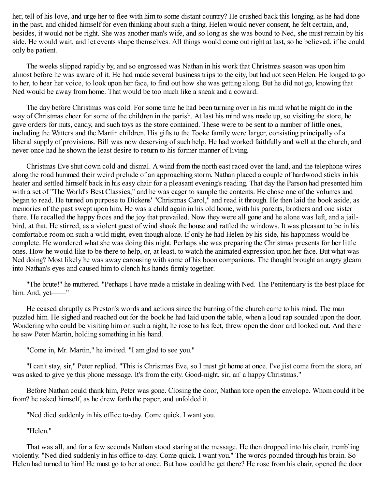her, tell of his love, and urge her to flee with him to some distant country? He crushed back this longing, as he had done in the past, and chided himself for even thinking about such a thing. Helen would never consent, he felt certain, and, besides, it would not be right. She was another man's wife, and so long as she was bound to Ned, she must remain by his side. He would wait, and let events shape themselves. All things would come out right at last, so he believed, if he could only be patient.

The weeks slipped rapidly by, and so engrossed was Nathan in his work that Christmas season was upon him almost before he was aware of it. He had made several business trips to the city, but had not seen Helen. He longed to go to her, to hear her voice, to look upon her face, to find out how she was getting along. But he did not go, knowing that Ned would be away from home. That would be too much like a sneak and a coward.

The day before Christmas was cold. For some time he had been turning over in his mind what he might do in the way of Christmas cheer for some of the children in the parish. At last his mind was made up, so visiting the store, he gave orders for nuts, candy, and such toys as the store contained. These were to be sent to a number of little ones, including the Watters and the Martin children. His gifts to the Tooke family were larger, consisting principally of a liberal supply of provisions. Bill was now deserving of such help. He had worked faithfully and well at the church, and never once had he shown the least desire to return to his former manner of living.

Christmas Eve shut down cold and dismal. A wind from the north east raced over the land, and the telephone wires along the road hummed their weird prelude of an approaching storm. Nathan placed a couple of hardwood sticks in his heater and settled himself back in his easy chair for a pleasant evening's reading. That day the Parson had presented him with a set of "The World's Best Classics," and he was eager to sample the contents. He chose one of the volumes and began to read. He turned on purpose to Dickens' "Christmas Carol," and read it through. He then laid the book aside, as memories of the past swept upon him. He was a child again in his old home, with his parents, brothers and one sister there. He recalled the happy faces and the joy that prevailed. Now they were all gone and he alone was left, and a jailbird, at that. He stirred, as a violent guest of wind shook the house and rattled the windows. It was pleasant to be in his comfortable room on such a wild night, even though alone. If only he had Helen by his side, his happiness would be complete. He wondered what she was doing this night. Perhaps she was preparing the Christmas presents for her little ones. How he would like to be there to help, or, at least, to watch the animated expression upon her face. But what was Ned doing? Most likely he was away carousing with some of his boon companions. The thought brought an angry gleam into Nathan's eyes and caused him to clench his hands firmly together.

"The brute!" he muttered. "Perhaps I have made a mistake in dealing with Ned. The Penitentiary is the best place for him. And, yet-<sup>"</sup>

He ceased abruptly as Preston's words and actions since the burning of the church came to his mind. The man puzzled him. He sighed and reached out for the book he had laid upon the table, when a loud rap sounded upon the door. Wondering who could be visiting him on such a night, he rose to his feet, threw open the door and looked out. And there he saw Peter Martin, holding something in his hand.

"Come in, Mr. Martin," he invited. "I am glad to see you."

"I can't stay, sir," Peter replied. "This is Christmas Eve, so I must git home at once. I've jist come from the store, an' was asked to give ye this phone message. It's from the city. Good-night, sir, an' a happy Christmas."

Before Nathan could thank him, Peter was gone. Closing the door, Nathan tore open the envelope. Whom could it be from? he asked himself, as he drew forth the paper, and unfolded it.

"Ned died suddenly in his office to-day. Come quick. I want you.

"Helen."

That was all, and for a few seconds Nathan stood staring at the message. He then dropped into his chair, trembling violently. "Ned died suddenly in his office to-day. Come quick. I want you." The words pounded through his brain. So Helen had turned to him! He must go to her at once. But how could he get there? He rose from his chair, opened the door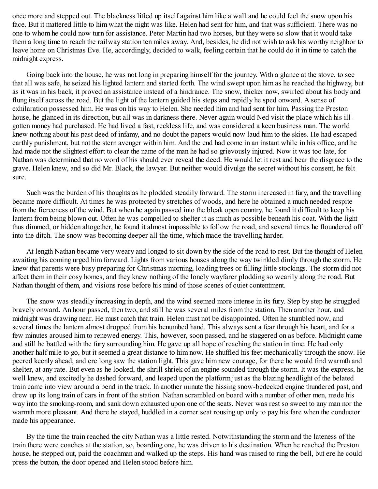once more and stepped out. The blackness lifted up itself against him like a wall and he could feel the snow upon his face. But it mattered little to him what the night was like. Helen had sent for him, and that was sufficient. There was no one to whom he could now turn for assistance. Peter Martin had two horses, but they were so slow that it would take them a long time to reach the railway station ten miles away. And, besides, he did not wish to ask his worthy neighbor to leave home on Christmas Eve. He, accordingly, decided to walk, feeling certain that he could do it in time to catch the midnight express.

Going back into the house, he was not long in preparing himself for the journey. With a glance at the stove, to see that all was safe, he seized his lighted lantern and started forth. The wind swept upon him as he reached the highway, but as it was in his back, it proved an assistance instead of a hindrance. The snow, thicker now, swirled about his body and flung itself across the road. But the light of the lantern guided his steps and rapidly he sped onward. A sense of exhilaration possessed him. He was on his way to Helen. She needed him and had sent for him. Passing the Preston house, he glanced in its direction, but all was in darkness there. Never again would Ned visit the place which his illgotten money had purchased. He had lived a fast, reckless life, and was considered a keen business man. The world knew nothing about his past deed of infamy, and no doubt the papers would now laud him to the skies. He had escaped earthly punishment, but not the stern avenger within him. And the end had come in an instant while in his office, and he had made not the slightest effort to clear the name of the man he had so grievously injured. Now it was too late, for Nathan was determined that no word of his should ever reveal the deed. He would let it rest and bear the disgrace to the grave. Helen knew, and so did Mr. Black, the lawyer. But neither would divulge the secret without his consent, he felt sure.

Such was the burden of his thoughts as he plodded steadily forward. The storm increased in fury, and the travelling became more difficult. At times he was protected by stretches of woods, and here he obtained a much needed respite from the fierceness of the wind. But when he again passed into the bleak open country, he found it difficult to keep his lantern from being blown out. Often he was compelled to shelter it as much as possible beneath his coat. With the light thus dimmed, or hidden altogether, he found it almost impossible to follow the road, and several times he floundered off into the ditch. The snow was becoming deeper all the time, which made the travelling harder.

At length Nathan became very weary and longed to sit down by the side of the road to rest. But the thought of Helen awaiting his coming urged him forward. Lights from various houses along the way twinkled dimly through the storm. He knew that parents were busy preparing for Christmas morning, loading trees or filling little stockings. The storm did not affect them in their cosy homes, and they knew nothing of the lonely wayfarer plodding so wearily along the road. But Nathan thought of them, and visions rose before his mind of those scenes of quiet contentment.

The snow was steadily increasing in depth, and the wind seemed more intense in its fury. Step by step he struggled bravely onward. An hour passed, then two, and still he was several miles from the station. Then another hour, and midnight was drawing near. He must catch that train. Helen must not be disappointed. Often he stumbled now, and several times the lantern almost dropped from his benumbed hand. This always sent a fear through his heart, and for a few minutes aroused him to renewed energy. This, however, soon passed, and he staggered on as before. Midnight came and still he battled with the fury surrounding him. He gave up all hope of reaching the station in time. He had only another half mile to go, but it seemed a great distance to him now. He shuffled his feet mechanically through the snow. He peered keenly ahead, and ere long saw the station light. This gave him new courage, for there he would find warmth and shelter, at any rate. But even as he looked, the shrill shriek of an engine sounded through the storm. It was the express, he well knew, and excitedly he dashed forward, and leaped upon the platform just as the blazing headlight of the belated train came into view around a bend in the track. In another minute the hissing snow-bedecked engine thundered past, and drew up its long train of cars in front of the station. Nathan scrambled on board with a number of other men, made his way into the smoking-room, and sank down exhausted upon one of the seats. Never was rest so sweet to any man nor the warmth more pleasant. And there he stayed, huddled in a corner seat rousing up only to pay his fare when the conductor made his appearance.

By the time the train reached the city Nathan was a little rested. Notwithstanding the storm and the lateness of the train there were coaches at the station, so, boarding one, he was driven to his destination. When he reached the Preston house, he stepped out, paid the coachman and walked up the steps. His hand was raised to ring the bell, but ere he could press the button, the door opened and Helen stood before him.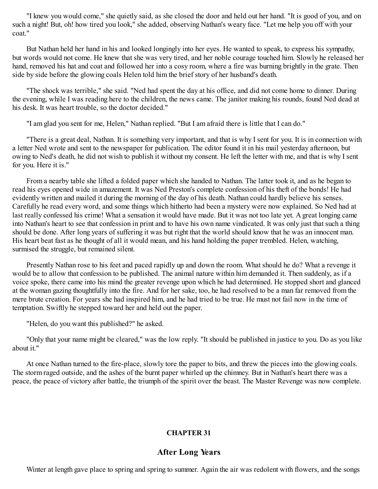"I knew you would come," she quietly said, as she closed the door and held out her hand. "It is good of you, and on such a night! But, oh! how tired you look," she added, observing Nathan's weary face. "Let me help you off with your coat."

But Nathan held her hand in his and looked longingly into her eyes. He wanted to speak, to express his sympathy, but words would not come. He knew that she was very tired, and her noble courage touched him. Slowly he released her hand, removed his hat and coat and followed her into a cosy room, where a fire was burning brightly in the grate. Then side by side before the glowing coals Helen told him the brief story of her husband's death.

"The shock was terrible," she said. "Ned had spent the day at his office, and did not come home to dinner. During the evening, while I was reading here to the children, the news came. The janitor making his rounds, found Ned dead at his desk. It was heart trouble, so the doctor decided."

"I am glad you sent for me, Helen," Nathan replied. "But I am afraid there is little that I can do."

"There is a great deal, Nathan. It is something very important, and that is why I sent for you. It is in connection with a letter Ned wrote and sent to the newspaper for publication. The editor found it in his mail yesterday afternoon, but owing to Ned's death, he did not wish to publish it without my consent. He left the letter with me, and that is why I sent for you. Here it is."

From a nearby table she lifted a folded paper which she handed to Nathan. The latter took it, and as he began to read his eyes opened wide in amazement. It was Ned Preston's complete confession of his theft of the bonds! He had evidently written and mailed it during the morning of the day of his death. Nathan could hardly believe his senses. Carefully he read every word, and some things which hitherto had been a mystery were now explained. So Ned had at last really confessed his crime! What a sensation it would have made. But it was not too late yet. A great longing came into Nathan's heart to see that confession in print and to have his own name vindicated. It was only just that such a thing should be done. After long years of suffering it was but right that the world should know that he was an innocent man. His heart beat fast as he thought of all it would mean, and his hand holding the paper trembled. Helen, watching, surmised the struggle, but remained silent.

Presently Nathan rose to his feet and paced rapidly up and down the room. What should he do? What a revenge it would be to allow that confession to be published. The animal nature within him demanded it. Then suddenly, as if a voice spoke, there came into his mind the greater revenge upon which he had determined. He stopped short and glanced at the woman gazing thoughtfully into the fire. And for her sake, too, he had resolved to be a man far removed from the mere brute creation. For years she had inspired him, and he had tried to be true. He must not fail now in the time of temptation. Swiftly he stepped toward her and held out the paper.

"Helen, do you want this published?" he asked.

"Only that your name might be cleared," was the low reply. "It should be published in justice to you. Do as you like about it."

At once Nathan turned to the fire-place, slowly tore the paper to bits, and threw the pieces into the glowing coals. The storm raged outside, and the ashes of the burnt paper whirled up the chimney. But in Nathan's heart there was a peace, the peace of victory after battle, the triumph of the spirit over the beast. The Master Revenge was now complete.

## **CHAPTER 31**

## **After Long Years**

Winter at length gave place to spring and spring to summer. Again the air was redolent with flowers, and the songs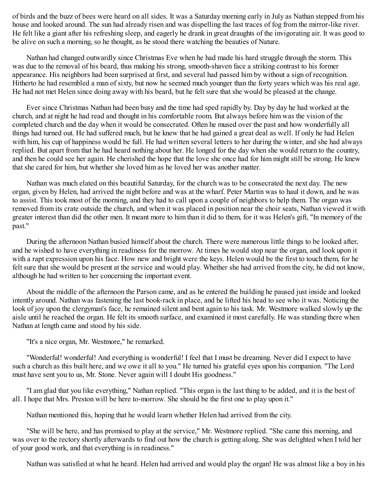of birds and the buzz of bees were heard on all sides. It was a Saturday morning early in July as Nathan stepped from his house and looked around. The sun had already risen and was dispelling the last traces of fog from the mirror-like river. He felt like a giant after his refreshing sleep, and eagerly he drank in great draughts of the invigorating air. It was good to be alive on such a morning, so he thought, as he stood there watching the beauties of Nature.

Nathan had changed outwardly since Christmas Eve when he had made his hard struggle through the storm. This was due to the removal of his beard, thus making his strong, smooth-shaven face a striking contrast to his former appearance. His neighbors had been surprised at first, and several had passed him by without a sign of recognition. Hitherto he had resembled a man of sixty, but now he seemed much younger than the forty years which was his real age. He had not met Helen since doing away with his beard, but he felt sure that she would be pleased at the change.

Ever since Christmas Nathan had been busy and the time had sped rapidly by. Day by day he had worked at the church, and at night he had read and thought in his comfortable room. But always before him was the vision of the completed church and the day when it would be consecrated. Often he mused over the past and how wonderfully all things had turned out. He had suffered much, but he knew that he had gained a great deal as well. If only he had Helen with him, his cup of happiness would be full. He had written several letters to her during the winter, and she had always replied. But apart from that he had heard nothing about her. He longed for the day when she would return to the country, and then he could see her again. He cherished the hope that the love she once had for him might still be strong. He knew that she cared for him, but whether she loved him as he loved her was another matter.

Nathan was much elated on this beautiful Saturday, for the church was to be consecrated the next day. The new organ, given by Helen, had arrived the night before and was at the wharf. Peter Martin was to haul it down, and he was to assist. This took most of the morning, and they had to call upon a couple of neighbors to help them. The organ was removed from its crate outside the church, and when it was placed in position near the choir seats, Nathan viewed it with greater interest than did the other men. It meant more to him than it did to them, for it was Helen's gift, "In memory of the past."

During the afternoon Nathan busied himself about the church. There were numerous little things to be looked after, and he wished to have everything in readiness for the morrow. At times he would stop near the organ, and look upon it with a rapt expression upon his face. How new and bright were the keys. Helen would be the first to touch them, for he felt sure that she would be present at the service and would play. Whether she had arrived from the city, he did not know, although he had written to her concerning the important event.

About the middle of the afternoon the Parson came, and as he entered the building he paused just inside and looked intently around. Nathan was fastening the last book-rack in place, and he lifted his head to see who it was. Noticing the look of joy upon the clergyman's face, he remained silent and bent again to his task. Mr. Westmore walked slowly up the aisle until he reached the organ. He felt its smooth surface, and examined it most carefully. He was standing there when Nathan at length came and stood by his side.

"It's a nice organ, Mr. Westmore," he remarked.

"Wonderful! wonderful! And everything is wonderful! I feel that I must be dreaming. Never did I expect to have such a church as this built here, and we owe it all to you." He turned his grateful eyes upon his companion. "The Lord must have sent you to us, Mr. Stone. Never again will I doubt His goodness."

"I am glad that you like everything," Nathan replied. "This organ is the last thing to be added, and it is the best of all. I hope that Mrs. Preston will be here to-morrow. She should be the first one to play upon it."

Nathan mentioned this, hoping that he would learn whether Helen had arrived from the city.

"She will be here, and has promised to play at the service," Mr. Westmore replied. "She came this morning, and was over to the rectory shortly afterwards to find out how the church is getting along. She was delighted when I told her of your good work, and that everything is in readiness."

Nathan was satisfied at what he heard. Helen had arrived and would play the organ! He was almost like a boy in his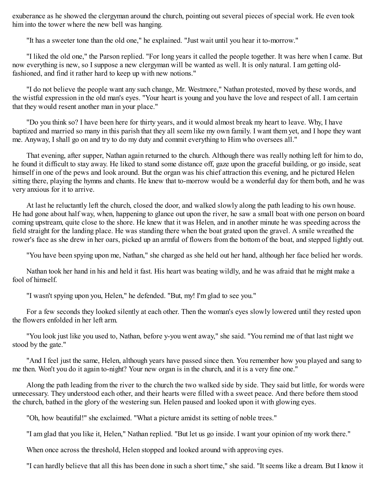exuberance as he showed the clergyman around the church, pointing out several pieces of special work. He even took him into the tower where the new bell was hanging.

"It has a sweeter tone than the old one," he explained. "Just wait until you hear it to-morrow."

"I liked the old one," the Parson replied. "For long years it called the people together. It was here when I came. But now everything is new, so I suppose a new clergyman will be wanted as well. It is only natural. I am getting oldfashioned, and find it rather hard to keep up with new notions."

"I do not believe the people want any such change, Mr. Westmore," Nathan protested, moved by these words, and the wistful expression in the old man's eyes. "Your heart is young and you have the love and respect of all. I am certain that they would resent another man in your place."

"Do you think so? I have been here for thirty years, and it would almost break my heart to leave. Why, I have baptized and married so many in this parish that they all seem like my own family. I want them yet, and I hope they want me. Anyway, I shall go on and try to do my duty and commit everything to Him who oversees all."

That evening, after supper, Nathan again returned to the church. Although there was really nothing left for him to do, he found it difficult to stay away. He liked to stand some distance off, gaze upon the graceful building, or go inside, seat himself in one of the pews and look around. But the organ was his chief attraction this evening, and he pictured Helen sitting there, playing the hymns and chants. He knew that to-morrow would be a wonderful day for them both, and he was very anxious for it to arrive.

At last he reluctantly left the church, closed the door, and walked slowly along the path leading to his own house. He had gone about half way, when, happening to glance out upon the river, he saw a small boat with one person on board coming upstream, quite close to the shore. He knew that it was Helen, and in another minute he was speeding across the field straight for the landing place. He was standing there when the boat grated upon the gravel. A smile wreathed the rower's face as she drew in her oars, picked up an armful of flowers from the bottom of the boat, and stepped lightly out.

"You have been spying upon me, Nathan," she charged as she held out her hand, although her face belied her words.

Nathan took her hand in his and held it fast. His heart was beating wildly, and he was afraid that he might make a fool of himself.

"I wasn't spying upon you, Helen," he defended. "But, my! I'm glad to see you."

For a few seconds they looked silently at each other. Then the woman's eyes slowly lowered until they rested upon the flowers enfolded in her left arm.

"You look just like you used to, Nathan, before y-you went away," she said. "You remind me of that last night we stood by the gate."

"And I feel just the same, Helen, although years have passed since then. You remember how you played and sang to me then. Won't you do it again to-night? Your new organ is in the church, and it is a very fine one."

Along the path leading from the river to the church the two walked side by side. They said but little, for words were unnecessary. They understood each other, and their hearts were filled with a sweet peace. And there before them stood the church, bathed in the glory of the westering sun. Helen paused and looked upon it with glowing eyes.

"Oh, how beautiful!" she exclaimed. "What a picture amidst its setting of noble trees."

"I am glad that you like it, Helen," Nathan replied. "But let us go inside. I want your opinion of my work there."

When once across the threshold, Helen stopped and looked around with approving eyes.

"I can hardly believe that all this has been done in such a short time," she said. "It seems like a dream. But I know it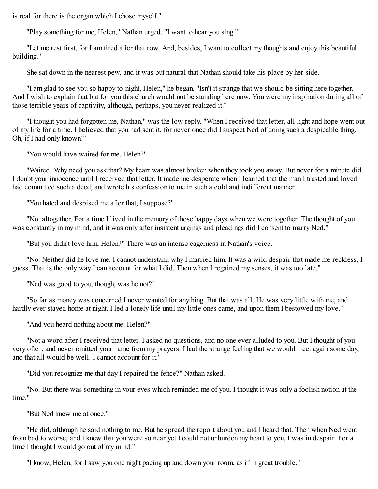is real for there is the organ which I chose myself."

"Play something for me, Helen," Nathan urged. "I want to hear you sing."

"Let me rest first, for I am tired after that row. And, besides, I want to collect my thoughts and enjoy this beautiful building."

She sat down in the nearest pew, and it was but natural that Nathan should take his place by her side.

"I am glad to see you so happy to-night, Helen," he began. "Isn't it strange that we should be sitting here together. And I wish to explain that but for you this church would not be standing here now. You were my inspiration during all of those terrible years of captivity, although, perhaps, you never realized it."

"I thought you had forgotten me, Nathan," was the low reply. "When I received that letter, all light and hope went out of my life for a time. I believed that you had sent it, for never once did I suspect Ned of doing such a despicable thing. Oh, if I had only known!"

"You would have waited for me, Helen?"

"Waited! Why need you ask that? My heart was almost broken when they took you away. But never for a minute did I doubt your innocence until I received that letter. It made me desperate when I learned that the man I trusted and loved had committed such a deed, and wrote his confession to me in such a cold and indifferent manner."

"You hated and despised me after that, I suppose?"

"Not altogether. For a time I lived in the memory of those happy days when we were together. The thought of you was constantly in my mind, and it was only after insistent urgings and pleadings did I consent to marry Ned."

"But you didn't love him, Helen?" There was an intense eagerness in Nathan's voice.

"No. Neither did he love me. I cannot understand why I married him. It was a wild despair that made me reckless, I guess. That is the only way I can account for what I did. Then when I regained my senses, it was too late."

"Ned was good to you, though, was he not?"

"So far as money was concerned I never wanted for anything. But that was all. He was very little with me, and hardly ever stayed home at night. I led a lonely life until my little ones came, and upon them I bestowed my love."

"And you heard nothing about me, Helen?"

"Not a word after I received that letter. I asked no questions, and no one ever alluded to you. But I thought of you very often, and never omitted your name from my prayers. I had the strange feeling that we would meet again some day, and that all would be well. I cannot account for it."

"Did you recognize me that day I repaired the fence?" Nathan asked.

"No. But there was something in your eyes which reminded me of you. I thought it was only a foolish notion at the time."

"But Ned knew me at once."

"He did, although he said nothing to me. But he spread the report about you and I heard that. Then when Ned went from bad to worse, and I knew that you were so near yet I could not unburden my heart to you, I was in despair. For a time I thought I would go out of my mind."

"I know, Helen, for I saw you one night pacing up and down your room, as if in great trouble."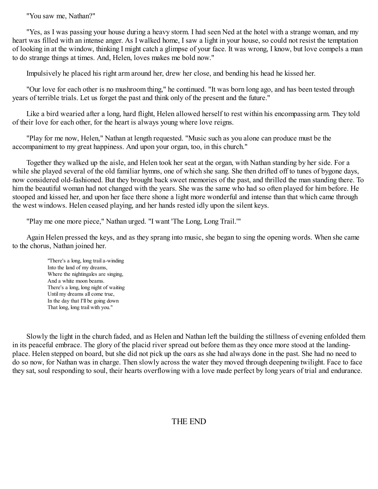"You saw me, Nathan?"

"Yes, as I was passing your house during a heavy storm. I had seen Ned at the hotel with a strange woman, and my heart was filled with an intense anger. As I walked home, I saw a light in your house, so could not resist the temptation of looking in at the window, thinking I might catch a glimpse of your face. It was wrong, I know, but love compels a man to do strange things at times. And, Helen, loves makes me bold now."

Impulsively he placed his right arm around her, drew her close, and bending his head he kissed her.

"Our love for each other is no mushroom thing," he continued. "It was born long ago, and has been tested through years of terrible trials. Let us forget the past and think only of the present and the future."

Like a bird wearied after a long, hard flight, Helen allowed herself to rest within his encompassing arm. They told of their love for each other, for the heart is always young where love reigns.

"Play for me now, Helen," Nathan at length requested. "Music such as you alone can produce must be the accompaniment to my great happiness. And upon your organ, too, in this church."

Together they walked up the aisle, and Helen took her seat at the organ, with Nathan standing by her side. For a while she played several of the old familiar hymns, one of which she sang. She then drifted off to tunes of bygone days, now considered old-fashioned. But they brought back sweet memories of the past, and thrilled the man standing there. To him the beautiful woman had not changed with the years. She was the same who had so often played for him before. He stooped and kissed her, and upon her face there shone a light more wonderful and intense than that which came through the west windows. Helen ceased playing, and her hands rested idly upon the silent keys.

"Play me one more piece," Nathan urged. "I want 'The Long, Long Trail.'"

Again Helen pressed the keys, and as they sprang into music, she began to sing the opening words. When she came to the chorus, Nathan joined her.

"There's a long, long trail a-winding Into the land of my dreams, Where the nightingales are singing, And a white moon beams. There's a long, long night of waiting Until my dreams all come true, In the day that I'll be going down That long, long trail with you."

Slowly the light in the church faded, and as Helen and Nathan left the building the stillness of evening enfolded them in its peaceful embrace. The glory of the placid river spread out before them as they once more stood at the landingplace. Helen stepped on board, but she did not pick up the oars as she had always done in the past. She had no need to do so now, for Nathan was in charge. Then slowly across the water they moved through deepening twilight. Face to face they sat, soul responding to soul, their hearts overflowing with a love made perfect by long years of trial and endurance.

# THE END